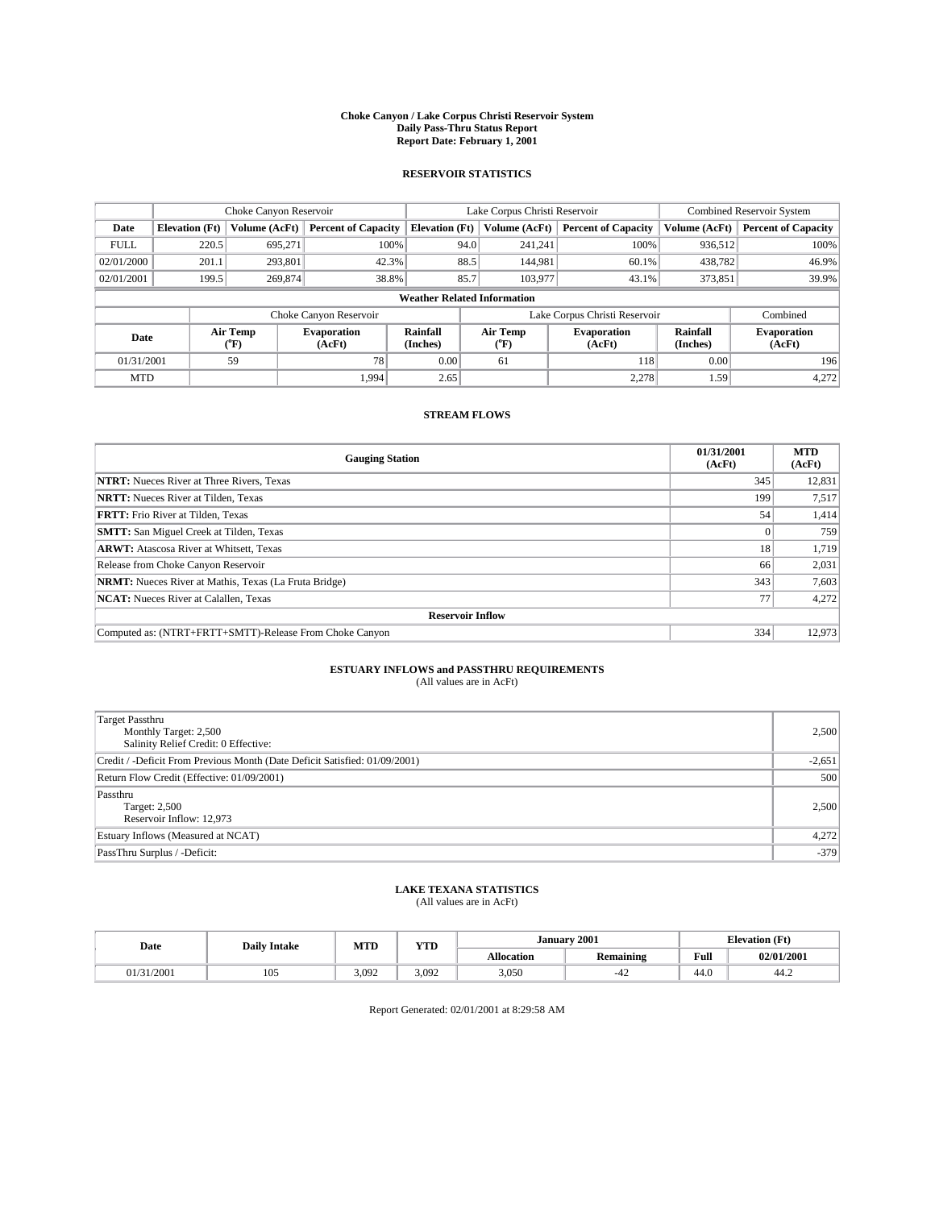#### **Choke Canyon / Lake Corpus Christi Reservoir System Daily Pass-Thru Status Report Report Date: February 1, 2001**

#### **RESERVOIR STATISTICS**

|                                    | Choke Canyon Reservoir |                  |                              |                       | Lake Corpus Christi Reservoir |                  |                               |                      | <b>Combined Reservoir System</b> |  |
|------------------------------------|------------------------|------------------|------------------------------|-----------------------|-------------------------------|------------------|-------------------------------|----------------------|----------------------------------|--|
| Date                               | <b>Elevation</b> (Ft)  | Volume (AcFt)    | <b>Percent of Capacity</b>   | <b>Elevation</b> (Ft) |                               | Volume (AcFt)    | <b>Percent of Capacity</b>    | Volume (AcFt)        | <b>Percent of Capacity</b>       |  |
| <b>FULL</b>                        | 220.5                  | 695.271          |                              | 100%                  | 94.0                          | 241,241          | 100%                          | 936.512              | 100%                             |  |
| 02/01/2000                         | 201.1                  | 293.801          | 42.3%                        |                       | 88.5                          | 144.981          | 60.1%                         | 438,782              | 46.9%                            |  |
| 02/01/2001                         | 199.5                  | 269,874          | 38.8%                        |                       | 85.7                          | 103,977          | 43.1%                         | 373,851              | 39.9%                            |  |
| <b>Weather Related Information</b> |                        |                  |                              |                       |                               |                  |                               |                      |                                  |  |
|                                    |                        |                  | Choke Canyon Reservoir       |                       |                               |                  | Lake Corpus Christi Reservoir |                      | Combined                         |  |
| Date                               |                        | Air Temp<br>(°F) | <b>Evaporation</b><br>(AcFt) | Rainfall<br>(Inches)  |                               | Air Temp<br>("F) | <b>Evaporation</b><br>(AcFt)  | Rainfall<br>(Inches) | <b>Evaporation</b><br>(AcFt)     |  |
| 01/31/2001                         |                        | 59               | 78                           | 0.00                  |                               | 61               | 118                           | 0.00                 | 196                              |  |
| <b>MTD</b>                         |                        |                  | 1.994                        | 2.65                  |                               |                  | 2,278                         | 1.59                 | 4,272                            |  |

### **STREAM FLOWS**

| <b>Gauging Station</b>                                       | 01/31/2001<br>(AcFt) | <b>MTD</b><br>(AcFt) |  |  |  |  |
|--------------------------------------------------------------|----------------------|----------------------|--|--|--|--|
| <b>NTRT:</b> Nueces River at Three Rivers, Texas             | 345                  | 12,831               |  |  |  |  |
| <b>NRTT:</b> Nueces River at Tilden, Texas                   | 199                  | 7,517                |  |  |  |  |
| <b>FRTT:</b> Frio River at Tilden, Texas                     | 54                   | 1,414                |  |  |  |  |
| <b>SMTT:</b> San Miguel Creek at Tilden, Texas               |                      | 759                  |  |  |  |  |
| <b>ARWT:</b> Atascosa River at Whitsett, Texas               | 18                   | 1,719                |  |  |  |  |
| Release from Choke Canyon Reservoir                          | 66                   | 2,031                |  |  |  |  |
| <b>NRMT:</b> Nueces River at Mathis, Texas (La Fruta Bridge) | 343                  | 7,603                |  |  |  |  |
| <b>NCAT:</b> Nueces River at Calallen, Texas                 | 77                   | 4,272                |  |  |  |  |
| <b>Reservoir Inflow</b>                                      |                      |                      |  |  |  |  |
| Computed as: (NTRT+FRTT+SMTT)-Release From Choke Canyon      | 334                  | 12,973               |  |  |  |  |

### **ESTUARY INFLOWS and PASSTHRU REQUIREMENTS**<br>(All values are in AcFt)

| Target Passthru<br>Monthly Target: 2,500<br>Salinity Relief Credit: 0 Effective: | 2,500    |
|----------------------------------------------------------------------------------|----------|
| Credit / -Deficit From Previous Month (Date Deficit Satisfied: 01/09/2001)       | $-2,651$ |
| Return Flow Credit (Effective: 01/09/2001)                                       | 500      |
| Passthru<br>Target: 2,500<br>Reservoir Inflow: 12,973                            | 2,500    |
| Estuary Inflows (Measured at NCAT)                                               | 4,272    |
| PassThru Surplus / -Deficit:                                                     | $-379$   |

# **LAKE TEXANA STATISTICS** (All values are in AcFt)

| Date  | <b>Daily Intake</b> | <b>MTD</b> | $\mathbf{v}$<br>1 I D | January           | 2001                    | <b>Elevation</b> (Ft) |            |
|-------|---------------------|------------|-----------------------|-------------------|-------------------------|-----------------------|------------|
|       |                     |            |                       | <b>Allocation</b> | . .<br><b>Remaining</b> | Full                  | 02/01/2001 |
| /2001 | 105                 | 3.092      | 3.092                 | 3,050             | -4<br>--                | 44.0                  | 44.2       |

Report Generated: 02/01/2001 at 8:29:58 AM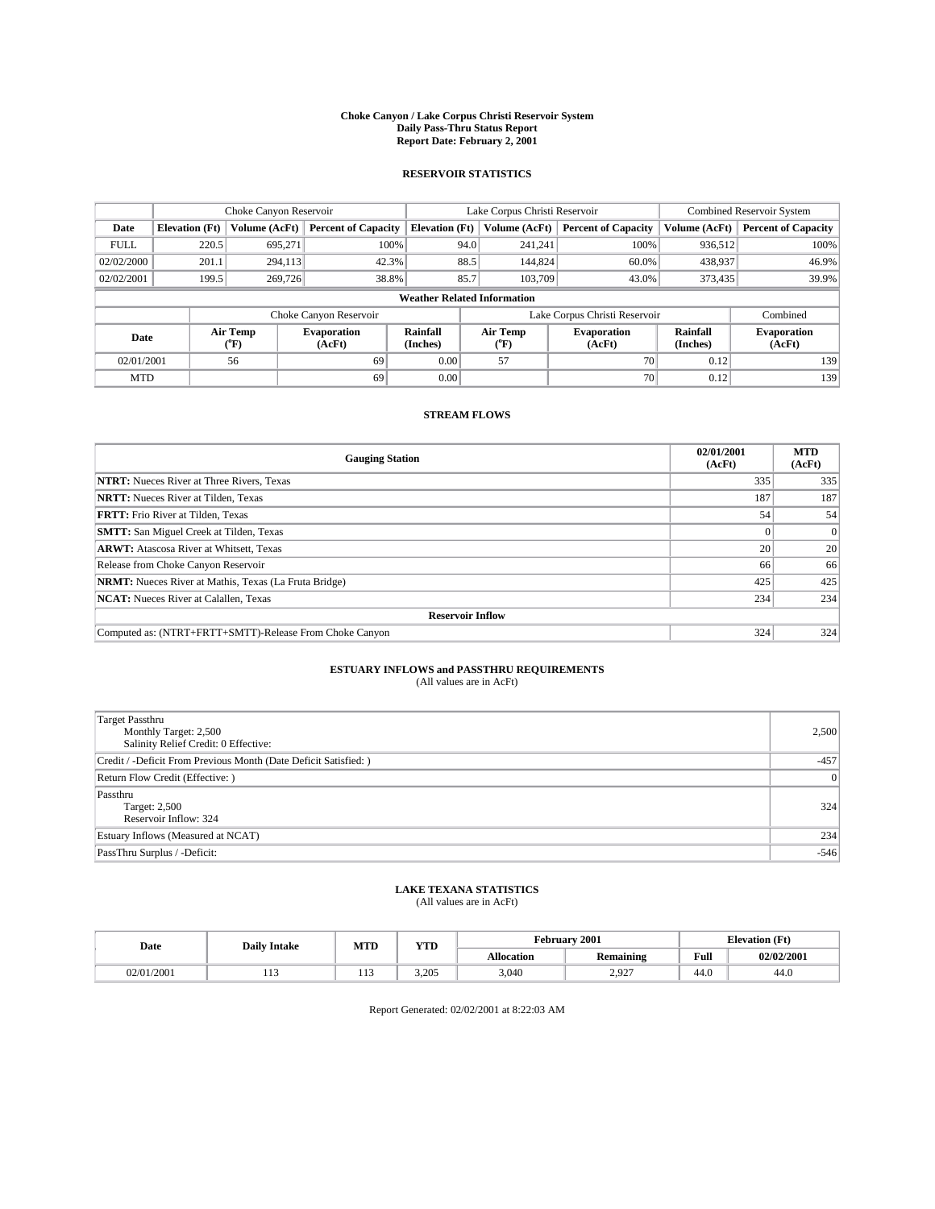#### **Choke Canyon / Lake Corpus Christi Reservoir System Daily Pass-Thru Status Report Report Date: February 2, 2001**

#### **RESERVOIR STATISTICS**

|                                    | Choke Canyon Reservoir                                              |                             |                              |                             | Lake Corpus Christi Reservoir |                  |                              |                      | <b>Combined Reservoir System</b> |  |
|------------------------------------|---------------------------------------------------------------------|-----------------------------|------------------------------|-----------------------------|-------------------------------|------------------|------------------------------|----------------------|----------------------------------|--|
| Date                               | <b>Elevation</b> (Ft)                                               | Volume (AcFt)               | <b>Percent of Capacity</b>   | <b>Elevation</b> (Ft)       |                               | Volume (AcFt)    | <b>Percent of Capacity</b>   | Volume (AcFt)        | <b>Percent of Capacity</b>       |  |
| <b>FULL</b>                        | 220.5                                                               | 695,271                     | 100%                         |                             | 94.0                          | 241,241          | 100%                         | 936.512              | 100%                             |  |
| 02/02/2000                         | 201.1                                                               | 294,113                     | 42.3%                        |                             | 88.5                          | 144,824          | 60.0%                        | 438,937              | 46.9%                            |  |
| 02/02/2001                         | 199.5                                                               | 269,726                     | 38.8%                        |                             | 85.7                          | 103.709          | 43.0%                        | 373,435              | 39.9%                            |  |
| <b>Weather Related Information</b> |                                                                     |                             |                              |                             |                               |                  |                              |                      |                                  |  |
|                                    | Lake Corpus Christi Reservoir<br>Combined<br>Choke Canyon Reservoir |                             |                              |                             |                               |                  |                              |                      |                                  |  |
| Date                               |                                                                     | Air Temp<br>${}^{\circ}$ F) | <b>Evaporation</b><br>(AcFt) | <b>Rainfall</b><br>(Inches) |                               | Air Temp<br>("F) | <b>Evaporation</b><br>(AcFt) | Rainfall<br>(Inches) | <b>Evaporation</b><br>(AcFt)     |  |
| 02/01/2001                         |                                                                     | 56                          | 69                           | 0.00                        |                               | 57               | 70 <sub>1</sub>              | 0.12                 | 139                              |  |
| <b>MTD</b>                         |                                                                     |                             | 69                           | 0.00                        |                               |                  | 70                           | 0.12                 | 139                              |  |

### **STREAM FLOWS**

| <b>Gauging Station</b>                                       | 02/01/2001<br>(AcFt) | <b>MTD</b><br>(AcFt) |  |  |  |  |
|--------------------------------------------------------------|----------------------|----------------------|--|--|--|--|
| <b>NTRT:</b> Nueces River at Three Rivers, Texas             | 335                  | 335                  |  |  |  |  |
| <b>NRTT:</b> Nueces River at Tilden, Texas                   | 187                  | 187                  |  |  |  |  |
| <b>FRTT:</b> Frio River at Tilden, Texas                     | 54                   | 54                   |  |  |  |  |
| <b>SMTT:</b> San Miguel Creek at Tilden, Texas               |                      |                      |  |  |  |  |
| <b>ARWT:</b> Atascosa River at Whitsett, Texas               | 20                   | 20                   |  |  |  |  |
| Release from Choke Canyon Reservoir                          | 66                   | 66                   |  |  |  |  |
| <b>NRMT:</b> Nueces River at Mathis, Texas (La Fruta Bridge) | 425                  | 425                  |  |  |  |  |
| <b>NCAT:</b> Nueces River at Calallen, Texas                 | 234                  | 234                  |  |  |  |  |
| <b>Reservoir Inflow</b>                                      |                      |                      |  |  |  |  |
| Computed as: (NTRT+FRTT+SMTT)-Release From Choke Canyon      | 324                  | 324                  |  |  |  |  |

## **ESTUARY INFLOWS and PASSTHRU REQUIREMENTS**<br>(All values are in AcFt)

| Target Passthru<br>Monthly Target: 2,500<br>Salinity Relief Credit: 0 Effective: | 2,500  |
|----------------------------------------------------------------------------------|--------|
| Credit / -Deficit From Previous Month (Date Deficit Satisfied: )                 | $-457$ |
| Return Flow Credit (Effective: )                                                 | 0      |
| Passthru<br>Target: 2,500<br>Reservoir Inflow: 324                               | 324    |
| Estuary Inflows (Measured at NCAT)                                               | 234    |
| PassThru Surplus / -Deficit:                                                     | $-546$ |

# **LAKE TEXANA STATISTICS** (All values are in AcFt)

| Date   | <b>Daily Intake</b> | MTD         | <b>VTT</b><br>1 I D |                   | February 2001                            | <b>Elevation</b> (Ft) |            |
|--------|---------------------|-------------|---------------------|-------------------|------------------------------------------|-----------------------|------------|
|        |                     |             |                     | <b>Allocation</b> | $\ddot{\phantom{1}}$<br><b>Remaining</b> | Full                  | 02/02/2001 |
| 1/2001 | .                   | $\pm$ $\pm$ | 3.205               | 3,040             | 2.927<br>المصروب                         | $\cdot$<br>44.O       | 44.U       |

Report Generated: 02/02/2001 at 8:22:03 AM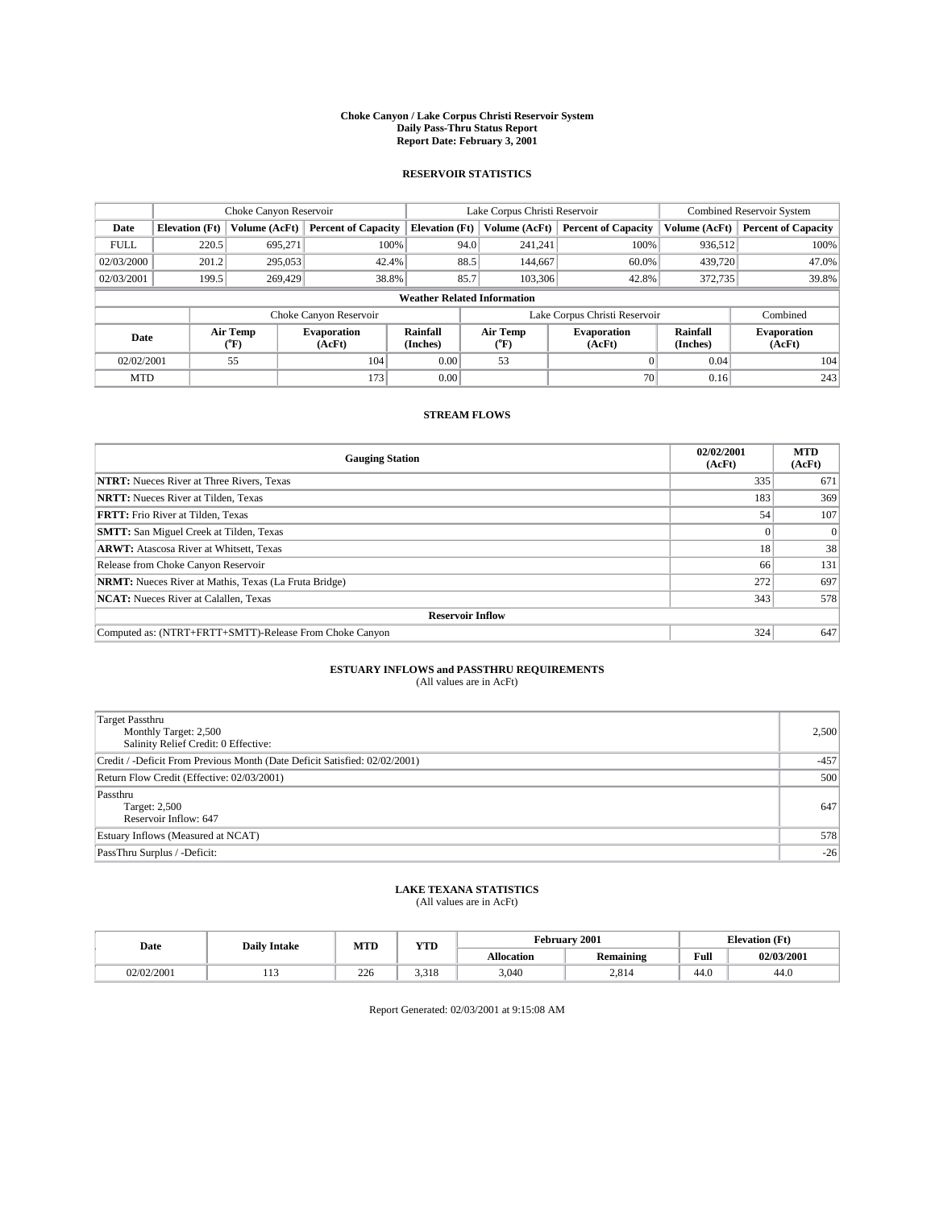#### **Choke Canyon / Lake Corpus Christi Reservoir System Daily Pass-Thru Status Report Report Date: February 3, 2001**

#### **RESERVOIR STATISTICS**

|                                    | Choke Canyon Reservoir                                              |                          |                              |                             | Lake Corpus Christi Reservoir | <b>Combined Reservoir System</b> |                      |                              |  |
|------------------------------------|---------------------------------------------------------------------|--------------------------|------------------------------|-----------------------------|-------------------------------|----------------------------------|----------------------|------------------------------|--|
| Date                               | <b>Elevation</b> (Ft)                                               | Volume (AcFt)            | <b>Percent of Capacity</b>   | <b>Elevation</b> (Ft)       | Volume (AcFt)                 | <b>Percent of Capacity</b>       | Volume (AcFt)        | <b>Percent of Capacity</b>   |  |
| <b>FULL</b>                        | 220.5                                                               | 695,271                  | 100%                         |                             | 94.0<br>241,241               | 100%                             | 936.512              | 100%                         |  |
| 02/03/2000                         | 201.2                                                               | 295,053                  | 42.4%                        | 88.5                        | 144,667                       | 60.0%                            | 439,720              | 47.0%                        |  |
| 02/03/2001                         | 199.5                                                               | 269,429                  | 38.8%                        | 85.7                        | 103,306                       | 42.8%                            | 372,735              | 39.8%                        |  |
| <b>Weather Related Information</b> |                                                                     |                          |                              |                             |                               |                                  |                      |                              |  |
|                                    | Lake Corpus Christi Reservoir<br>Combined<br>Choke Canyon Reservoir |                          |                              |                             |                               |                                  |                      |                              |  |
| Date                               |                                                                     | Air Temp<br>$\rm ^{o}F)$ | <b>Evaporation</b><br>(AcFt) | <b>Rainfall</b><br>(Inches) | Air Temp<br>("F)              | <b>Evaporation</b><br>(AcFt)     | Rainfall<br>(Inches) | <b>Evaporation</b><br>(AcFt) |  |
| 02/02/2001                         |                                                                     | 55                       | 104                          | 0.00                        | 53                            |                                  | 0.04                 | 104                          |  |
| <b>MTD</b>                         |                                                                     |                          | 173                          | 0.00                        |                               | 70                               | 0.16                 | 243                          |  |

### **STREAM FLOWS**

| <b>Gauging Station</b>                                       | 02/02/2001<br>(AcFt) | <b>MTD</b><br>(AcFt) |  |  |  |  |
|--------------------------------------------------------------|----------------------|----------------------|--|--|--|--|
| <b>NTRT:</b> Nueces River at Three Rivers, Texas             | 335                  | 671                  |  |  |  |  |
| <b>NRTT:</b> Nueces River at Tilden, Texas                   | 183                  | 369                  |  |  |  |  |
| <b>FRTT:</b> Frio River at Tilden, Texas                     | 54                   | 107                  |  |  |  |  |
| <b>SMTT:</b> San Miguel Creek at Tilden, Texas               |                      |                      |  |  |  |  |
| <b>ARWT:</b> Atascosa River at Whitsett, Texas               | 18                   | 38                   |  |  |  |  |
| Release from Choke Canyon Reservoir                          | 66                   | 131                  |  |  |  |  |
| <b>NRMT:</b> Nueces River at Mathis, Texas (La Fruta Bridge) | 272                  | 697                  |  |  |  |  |
| <b>NCAT:</b> Nueces River at Calallen, Texas                 | 343                  | 578                  |  |  |  |  |
| <b>Reservoir Inflow</b>                                      |                      |                      |  |  |  |  |
| Computed as: (NTRT+FRTT+SMTT)-Release From Choke Canyon      | 324                  | 647                  |  |  |  |  |

## **ESTUARY INFLOWS and PASSTHRU REQUIREMENTS**<br>(All values are in AcFt)

| Target Passthru<br>Monthly Target: 2,500<br>Salinity Relief Credit: 0 Effective: | 2,500  |
|----------------------------------------------------------------------------------|--------|
| Credit / -Deficit From Previous Month (Date Deficit Satisfied: 02/02/2001)       | $-457$ |
| Return Flow Credit (Effective: 02/03/2001)                                       | 500    |
| Passthru<br>Target: 2,500<br>Reservoir Inflow: 647                               | 647    |
| Estuary Inflows (Measured at NCAT)                                               | 578    |
| PassThru Surplus / -Deficit:                                                     | $-26$  |

# **LAKE TEXANA STATISTICS** (All values are in AcFt)

| Date       | <b>Daily Intake</b> | <b>MTD</b> | VTT<br>1 I D  |                   | February 2001    | <b>Elevation</b> (Ft) |            |
|------------|---------------------|------------|---------------|-------------------|------------------|-----------------------|------------|
|            |                     |            |               | <b>Allocation</b> | <b>Remaining</b> | Full                  | 02/03/2001 |
| 02/02/2001 | .                   | 226        | 210<br>J.J 10 | 3,040             | 2,814            | 44.U                  | 44.U       |

Report Generated: 02/03/2001 at 9:15:08 AM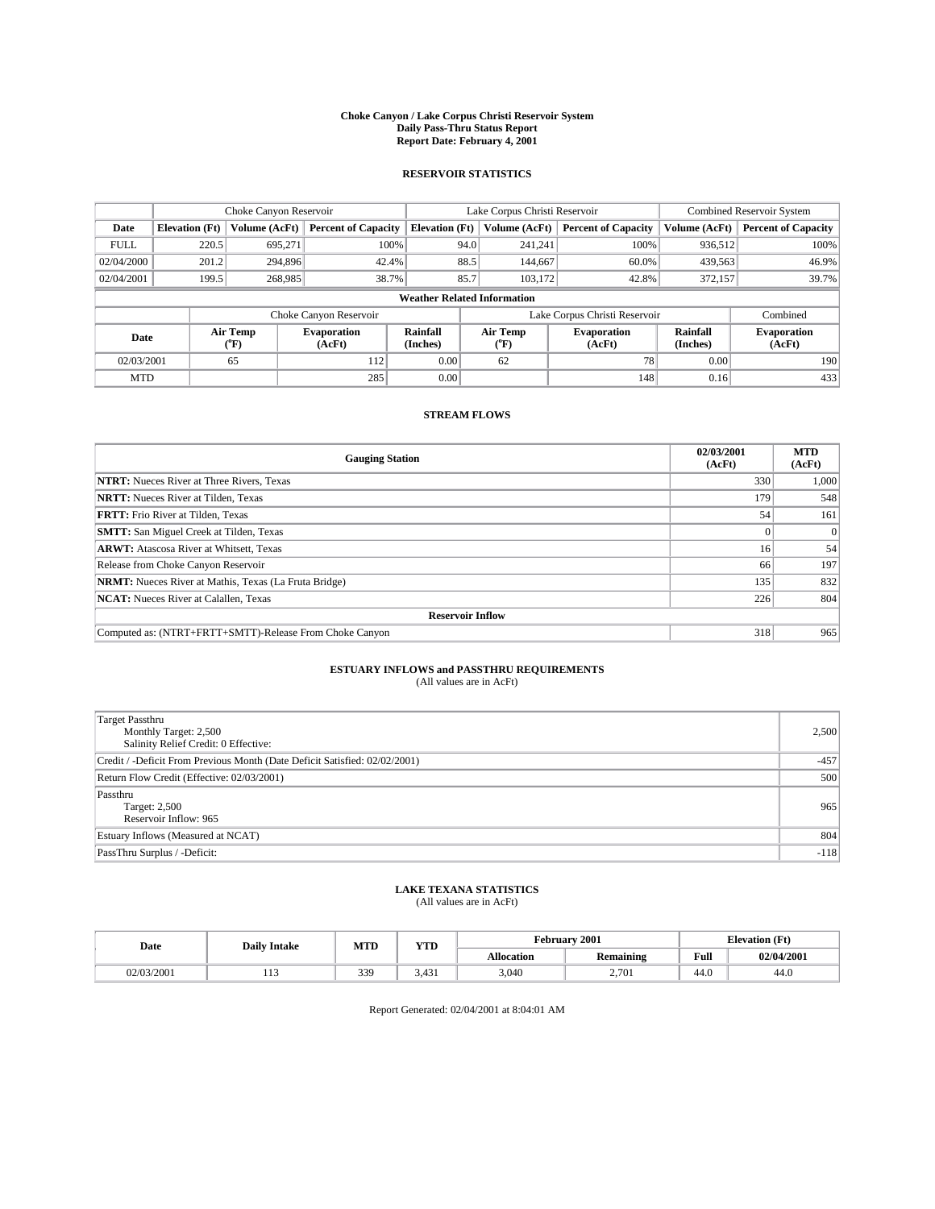#### **Choke Canyon / Lake Corpus Christi Reservoir System Daily Pass-Thru Status Report Report Date: February 4, 2001**

#### **RESERVOIR STATISTICS**

|             | Choke Canyon Reservoir             |                             |                              |                             | Lake Corpus Christi Reservoir | <b>Combined Reservoir System</b> |                      |                              |  |
|-------------|------------------------------------|-----------------------------|------------------------------|-----------------------------|-------------------------------|----------------------------------|----------------------|------------------------------|--|
| Date        | <b>Elevation</b> (Ft)              | Volume (AcFt)               | <b>Percent of Capacity</b>   | <b>Elevation</b> (Ft)       | Volume (AcFt)                 | <b>Percent of Capacity</b>       | Volume (AcFt)        | <b>Percent of Capacity</b>   |  |
| <b>FULL</b> | 220.5                              | 695,271                     | 100%                         | 94.0                        | 241,241                       | 100%                             | 936,512              | 100%                         |  |
| 02/04/2000  | 201.2                              | 294,896                     | 42.4%                        | 88.5                        | 144,667                       | 60.0%                            | 439,563              | 46.9%                        |  |
| 02/04/2001  | 199.5                              | 268,985                     | 38.7%                        | 85.7                        | 103.172                       | 42.8%                            | 372,157              | 39.7%                        |  |
|             | <b>Weather Related Information</b> |                             |                              |                             |                               |                                  |                      |                              |  |
|             |                                    |                             | Choke Canyon Reservoir       |                             |                               | Lake Corpus Christi Reservoir    |                      | Combined                     |  |
| Date        |                                    | Air Temp<br>${}^{\circ}$ F) | <b>Evaporation</b><br>(AcFt) | <b>Rainfall</b><br>(Inches) | Air Temp<br>("F)              | <b>Evaporation</b><br>(AcFt)     | Rainfall<br>(Inches) | <b>Evaporation</b><br>(AcFt) |  |
| 02/03/2001  |                                    | 65                          | 112                          | 0.00                        | 62                            | 78                               | 0.00                 | 190                          |  |
| <b>MTD</b>  |                                    |                             | 285                          | 0.00                        |                               | 148                              | 0.16                 | 433                          |  |

### **STREAM FLOWS**

| <b>Gauging Station</b>                                       | 02/03/2001<br>(AcFt) | <b>MTD</b><br>(AcFt) |  |  |  |  |
|--------------------------------------------------------------|----------------------|----------------------|--|--|--|--|
| <b>NTRT:</b> Nueces River at Three Rivers, Texas             | 330                  | 1,000                |  |  |  |  |
| <b>NRTT:</b> Nueces River at Tilden, Texas                   | 179                  | 548                  |  |  |  |  |
| <b>FRTT:</b> Frio River at Tilden, Texas                     | 54                   | 161                  |  |  |  |  |
| <b>SMTT:</b> San Miguel Creek at Tilden, Texas               |                      |                      |  |  |  |  |
| <b>ARWT:</b> Atascosa River at Whitsett, Texas               | 16 <sup>1</sup>      | 54                   |  |  |  |  |
| Release from Choke Canyon Reservoir                          | 66                   | 197                  |  |  |  |  |
| <b>NRMT:</b> Nueces River at Mathis, Texas (La Fruta Bridge) | 135                  | 832                  |  |  |  |  |
| <b>NCAT:</b> Nueces River at Calallen, Texas                 | 226                  | 804                  |  |  |  |  |
| <b>Reservoir Inflow</b>                                      |                      |                      |  |  |  |  |
| Computed as: (NTRT+FRTT+SMTT)-Release From Choke Canyon      | 318                  | 965                  |  |  |  |  |

## **ESTUARY INFLOWS and PASSTHRU REQUIREMENTS**<br>(All values are in AcFt)

| Target Passthru<br>Monthly Target: 2,500<br>Salinity Relief Credit: 0 Effective: | 2,500  |
|----------------------------------------------------------------------------------|--------|
| Credit / -Deficit From Previous Month (Date Deficit Satisfied: 02/02/2001)       | $-457$ |
| Return Flow Credit (Effective: 02/03/2001)                                       | 500    |
| Passthru<br>Target: 2,500<br>Reservoir Inflow: 965                               | 965    |
| Estuary Inflows (Measured at NCAT)                                               | 804    |
| PassThru Surplus / -Deficit:                                                     | $-118$ |

# **LAKE TEXANA STATISTICS** (All values are in AcFt)

| Date       | <b>Daily Intake</b> | <b>MTD</b> | VTT<br>1 I D                        |                   | February 2001    | <b>Elevation</b> (Ft) |            |
|------------|---------------------|------------|-------------------------------------|-------------------|------------------|-----------------------|------------|
|            |                     |            |                                     | <b>Allocation</b> | <b>Remaining</b> | Full                  | 02/04/2001 |
| 02/03/2001 | .                   | 339        | $\sqrt{2}$<br>$\sqrt{14}$<br>J.TJ 1 | 3,040             | 2,701            | 44.U                  | 44.U       |

Report Generated: 02/04/2001 at 8:04:01 AM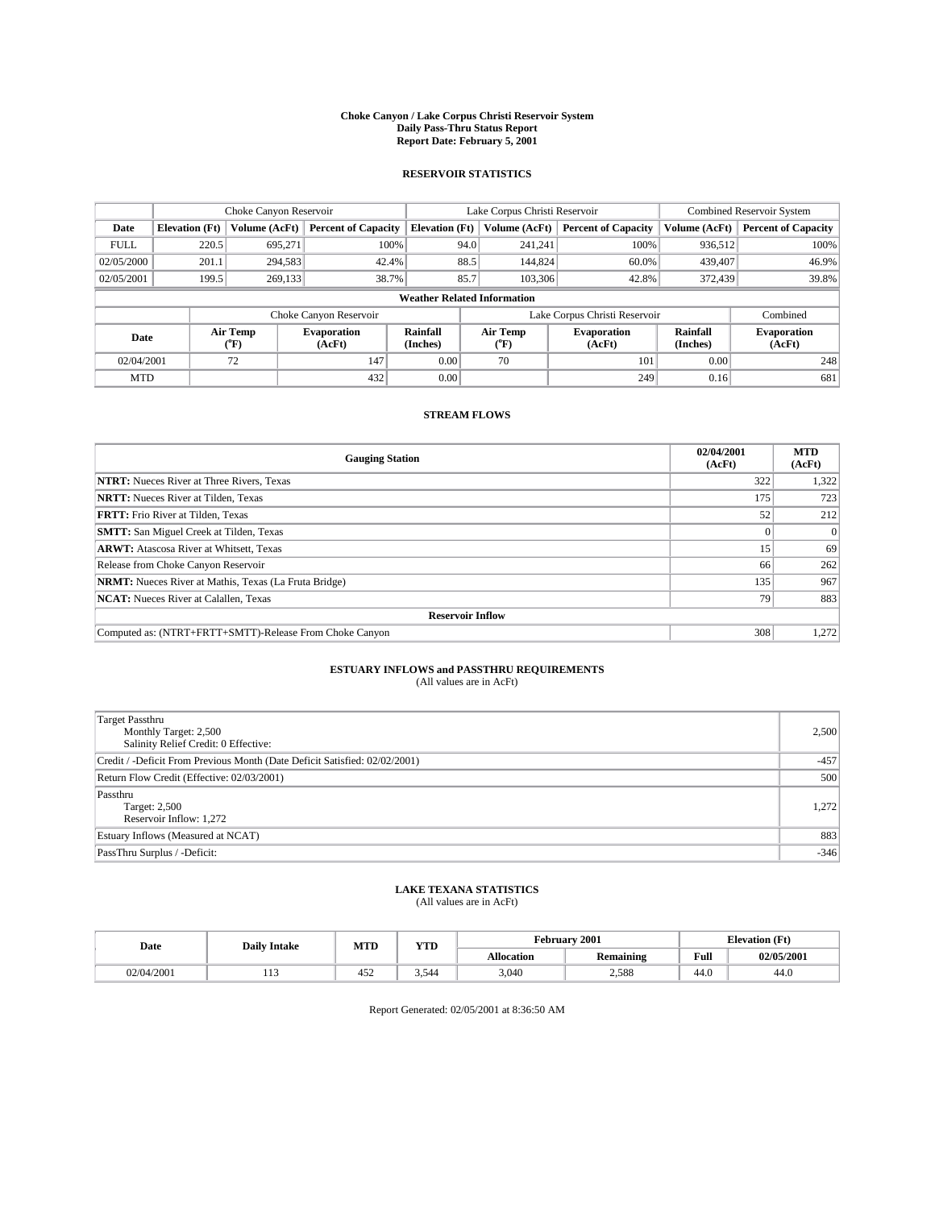#### **Choke Canyon / Lake Corpus Christi Reservoir System Daily Pass-Thru Status Report Report Date: February 5, 2001**

#### **RESERVOIR STATISTICS**

|             | Choke Canyon Reservoir             |                             |                              |                             | Lake Corpus Christi Reservoir |  |                               |                      | <b>Combined Reservoir System</b> |  |
|-------------|------------------------------------|-----------------------------|------------------------------|-----------------------------|-------------------------------|--|-------------------------------|----------------------|----------------------------------|--|
| Date        | <b>Elevation</b> (Ft)              | Volume (AcFt)               | <b>Percent of Capacity</b>   | <b>Elevation</b> (Ft)       | Volume (AcFt)                 |  | <b>Percent of Capacity</b>    | Volume (AcFt)        | <b>Percent of Capacity</b>       |  |
| <b>FULL</b> | 220.5                              | 695,271                     | 100%                         |                             | 94.0<br>241,241               |  | 100%                          | 936.512              | 100%                             |  |
| 02/05/2000  | 201.1                              | 294,583                     | 42.4%                        |                             | 88.5<br>144,824               |  | 60.0%                         | 439,407              | 46.9%                            |  |
| 02/05/2001  | 199.5                              | 269,133                     | 38.7%                        |                             | 85.7<br>103,306               |  | 42.8%                         | 372,439              | 39.8%                            |  |
|             | <b>Weather Related Information</b> |                             |                              |                             |                               |  |                               |                      |                                  |  |
|             |                                    |                             | Choke Canyon Reservoir       |                             |                               |  | Lake Corpus Christi Reservoir |                      | Combined                         |  |
| Date        |                                    | Air Temp<br>${}^{\circ}$ F) | <b>Evaporation</b><br>(AcFt) | <b>Rainfall</b><br>(Inches) | Air Temp<br>("F)              |  | <b>Evaporation</b><br>(AcFt)  | Rainfall<br>(Inches) | <b>Evaporation</b><br>(AcFt)     |  |
| 02/04/2001  |                                    | 72                          | 147                          | 0.00                        | 70                            |  | 101                           | 0.00                 | 248                              |  |
| <b>MTD</b>  |                                    |                             | 432                          | 0.00                        |                               |  | 249                           | 0.16                 | 681                              |  |

### **STREAM FLOWS**

| <b>Gauging Station</b>                                       | 02/04/2001<br>(AcFt) | <b>MTD</b><br>(AcFt) |  |  |  |
|--------------------------------------------------------------|----------------------|----------------------|--|--|--|
| <b>NTRT:</b> Nueces River at Three Rivers, Texas             | 322                  | 1,322                |  |  |  |
| <b>NRTT:</b> Nueces River at Tilden, Texas                   | 175                  | 723                  |  |  |  |
| <b>FRTT:</b> Frio River at Tilden, Texas                     | 52                   | 212                  |  |  |  |
| <b>SMTT:</b> San Miguel Creek at Tilden, Texas               |                      |                      |  |  |  |
| <b>ARWT:</b> Atascosa River at Whitsett, Texas               | 15                   | 69                   |  |  |  |
| Release from Choke Canyon Reservoir                          | 66                   | 262                  |  |  |  |
| <b>NRMT:</b> Nueces River at Mathis, Texas (La Fruta Bridge) | 135                  | 967                  |  |  |  |
| <b>NCAT:</b> Nueces River at Calallen, Texas                 | 79                   | 883                  |  |  |  |
| <b>Reservoir Inflow</b>                                      |                      |                      |  |  |  |
| Computed as: (NTRT+FRTT+SMTT)-Release From Choke Canyon      | 308                  | 1,272                |  |  |  |

## **ESTUARY INFLOWS and PASSTHRU REQUIREMENTS**<br>(All values are in AcFt)

| Target Passthru<br>Monthly Target: 2,500<br>Salinity Relief Credit: 0 Effective: | 2,500  |
|----------------------------------------------------------------------------------|--------|
| Credit / -Deficit From Previous Month (Date Deficit Satisfied: 02/02/2001)       | $-457$ |
| Return Flow Credit (Effective: 02/03/2001)                                       | 500    |
| Passthru<br>Target: 2,500<br>Reservoir Inflow: 1,272                             | 1,272  |
| Estuary Inflows (Measured at NCAT)                                               | 883    |
| PassThru Surplus / -Deficit:                                                     | $-346$ |

# **LAKE TEXANA STATISTICS** (All values are in AcFt)

| Date       | <b>Daily Intake</b> | <b>MTD</b> | VTF<br>1 I D | February 2001     |                  |      | <b>Elevation</b> (Ft) |
|------------|---------------------|------------|--------------|-------------------|------------------|------|-----------------------|
|            |                     |            |              | <b>Allocation</b> | <b>Remaining</b> | Full | 02/05/2001            |
| 02/04/2001 | .                   | 452        | .544<br>ر. ر | 3,040             | 2,588            | 44.U | 44.U                  |

Report Generated: 02/05/2001 at 8:36:50 AM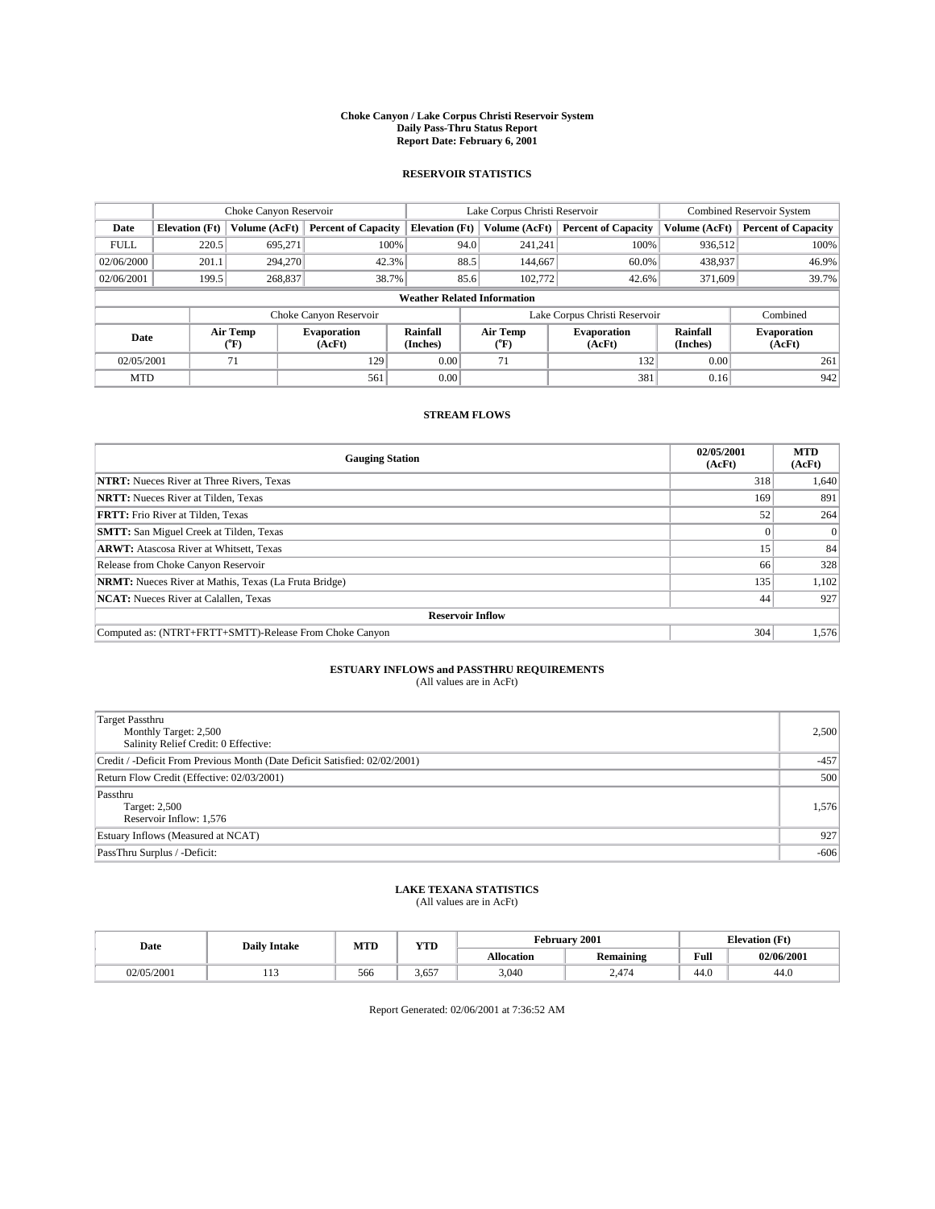#### **Choke Canyon / Lake Corpus Christi Reservoir System Daily Pass-Thru Status Report Report Date: February 6, 2001**

#### **RESERVOIR STATISTICS**

|                                    | Choke Canyon Reservoir |                             |                              |                             | Lake Corpus Christi Reservoir | <b>Combined Reservoir System</b> |                      |                              |
|------------------------------------|------------------------|-----------------------------|------------------------------|-----------------------------|-------------------------------|----------------------------------|----------------------|------------------------------|
| Date                               | <b>Elevation</b> (Ft)  | Volume (AcFt)               | <b>Percent of Capacity</b>   | <b>Elevation</b> (Ft)       | Volume (AcFt)                 | <b>Percent of Capacity</b>       | Volume (AcFt)        | <b>Percent of Capacity</b>   |
| <b>FULL</b>                        | 220.5                  | 695,271                     | 100%                         |                             | 94.0<br>241,241               | 100%                             | 936.512              | 100%                         |
| 02/06/2000                         | 201.1                  | 294,270                     | 42.3%                        |                             | 88.5<br>144,667               | 60.0%                            | 438,937              | 46.9%                        |
| 02/06/2001                         | 199.5                  | 268,837                     | 38.7%                        |                             | 85.6<br>102,772               | 42.6%                            | 371,609              | 39.7%                        |
| <b>Weather Related Information</b> |                        |                             |                              |                             |                               |                                  |                      |                              |
|                                    |                        |                             | Choke Canyon Reservoir       |                             |                               | Lake Corpus Christi Reservoir    |                      | Combined                     |
| Date                               |                        | Air Temp<br>${}^{\circ}$ F) | <b>Evaporation</b><br>(AcFt) | <b>Rainfall</b><br>(Inches) | Air Temp<br>("F)              | <b>Evaporation</b><br>(AcFt)     | Rainfall<br>(Inches) | <b>Evaporation</b><br>(AcFt) |
| 02/05/2001                         |                        | 71                          | 129                          | 0.00                        | 71                            | 132                              | 0.00                 | 261                          |
| <b>MTD</b>                         |                        |                             | 561                          | 0.00                        |                               | 381                              | 0.16                 | 942                          |

### **STREAM FLOWS**

| <b>Gauging Station</b>                                       | 02/05/2001<br>(AcFt) | <b>MTD</b><br>(AcFt) |  |  |  |  |
|--------------------------------------------------------------|----------------------|----------------------|--|--|--|--|
| <b>NTRT:</b> Nueces River at Three Rivers, Texas             | 318                  | 1,640                |  |  |  |  |
| <b>NRTT:</b> Nueces River at Tilden, Texas                   | 169                  | 891                  |  |  |  |  |
| <b>FRTT:</b> Frio River at Tilden, Texas                     | 52                   | 264                  |  |  |  |  |
| <b>SMTT:</b> San Miguel Creek at Tilden, Texas               |                      | $\Omega$             |  |  |  |  |
| <b>ARWT:</b> Atascosa River at Whitsett, Texas               | 15                   | 84                   |  |  |  |  |
| Release from Choke Canyon Reservoir                          | 66                   | 328                  |  |  |  |  |
| <b>NRMT:</b> Nueces River at Mathis, Texas (La Fruta Bridge) | 135                  | 1,102                |  |  |  |  |
| <b>NCAT:</b> Nueces River at Calallen, Texas                 | 44                   | 927                  |  |  |  |  |
| <b>Reservoir Inflow</b>                                      |                      |                      |  |  |  |  |
| Computed as: (NTRT+FRTT+SMTT)-Release From Choke Canyon      | 304                  | 1,576                |  |  |  |  |

# **ESTUARY INFLOWS and PASSTHRU REQUIREMENTS**<br>(All values are in AcFt)

| Target Passthru<br>Monthly Target: 2,500<br>Salinity Relief Credit: 0 Effective: | 2,500  |
|----------------------------------------------------------------------------------|--------|
| Credit / -Deficit From Previous Month (Date Deficit Satisfied: 02/02/2001)       | $-457$ |
| Return Flow Credit (Effective: 02/03/2001)                                       | 500    |
| Passthru<br>Target: 2,500<br>Reservoir Inflow: 1,576                             | 1,576  |
| Estuary Inflows (Measured at NCAT)                                               | 927    |
| PassThru Surplus / -Deficit:                                                     | $-606$ |

# **LAKE TEXANA STATISTICS** (All values are in AcFt)

| Date       | <b>Daily Intake</b> | MTD | <b>WTD</b><br>1 I D | 2001<br>February  |                  |                        | - (Ft<br><b>Elevation</b> |
|------------|---------------------|-----|---------------------|-------------------|------------------|------------------------|---------------------------|
|            |                     |     |                     | <b>Allocation</b> | <b>Remaining</b> | Full                   | 02/06/2001                |
| 02/05/2001 | .                   | 566 | ---<br>3.65         | 3,040             | 2.474            | $\overline{1}$<br>44.U | 44.U                      |

Report Generated: 02/06/2001 at 7:36:52 AM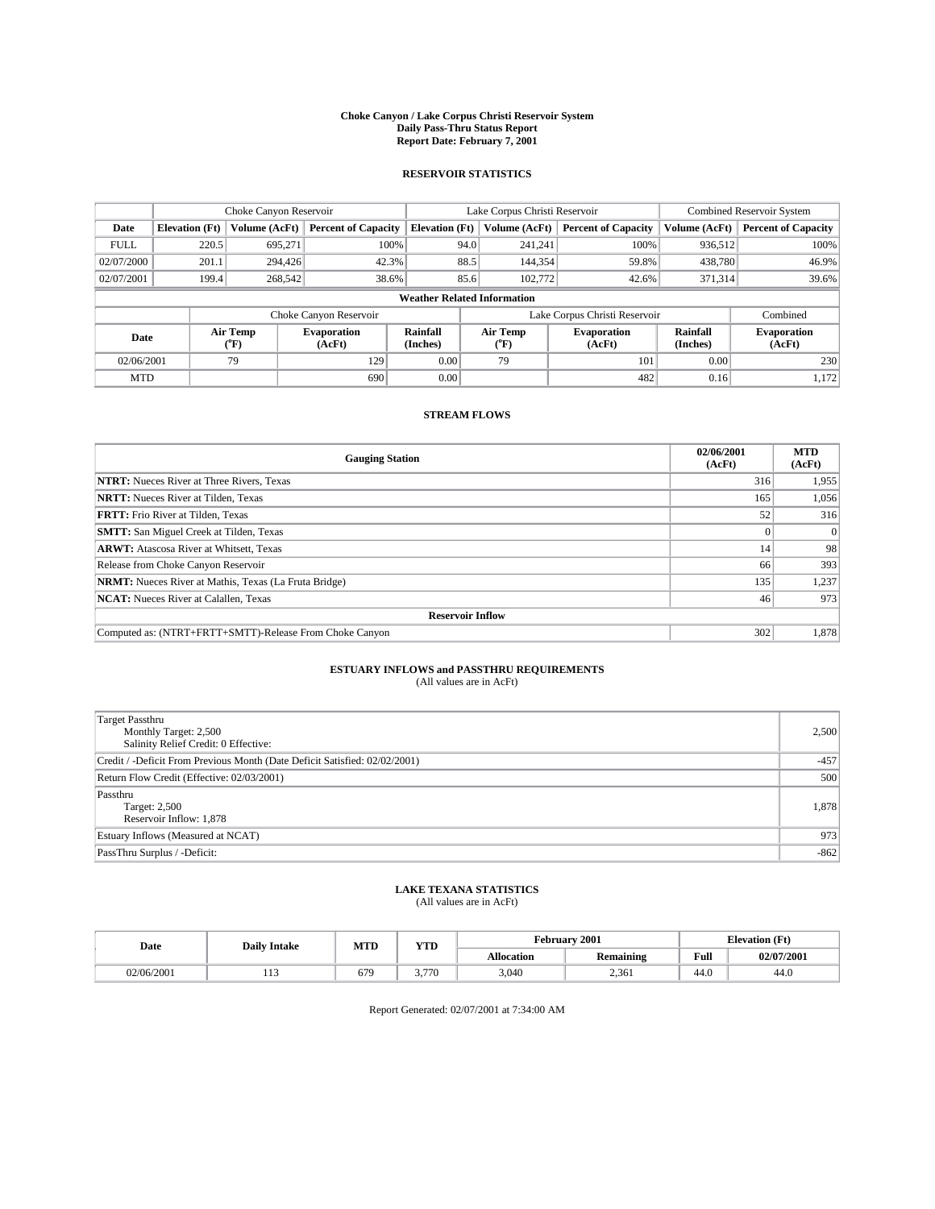#### **Choke Canyon / Lake Corpus Christi Reservoir System Daily Pass-Thru Status Report Report Date: February 7, 2001**

#### **RESERVOIR STATISTICS**

|             | Choke Canyon Reservoir             |                             |                              |                             | Lake Corpus Christi Reservoir | <b>Combined Reservoir System</b> |                      |                              |  |
|-------------|------------------------------------|-----------------------------|------------------------------|-----------------------------|-------------------------------|----------------------------------|----------------------|------------------------------|--|
| Date        | <b>Elevation</b> (Ft)              | Volume (AcFt)               | <b>Percent of Capacity</b>   | <b>Elevation</b> (Ft)       | Volume (AcFt)                 | <b>Percent of Capacity</b>       | Volume (AcFt)        | <b>Percent of Capacity</b>   |  |
| <b>FULL</b> | 220.5                              | 695,271                     | 100%                         | 94.0                        | 241,241                       | 100%                             | 936,512              | 100%                         |  |
| 02/07/2000  | 201.1                              | 294,426                     | 42.3%                        | 88.5                        | 144,354                       | 59.8%                            | 438,780              | 46.9%                        |  |
| 02/07/2001  | 199.4                              | 268,542                     | 38.6%                        | 85.6                        | 102,772                       | 42.6%                            | 371,314              | 39.6%                        |  |
|             | <b>Weather Related Information</b> |                             |                              |                             |                               |                                  |                      |                              |  |
|             |                                    |                             | Choke Canyon Reservoir       |                             |                               | Lake Corpus Christi Reservoir    |                      | Combined                     |  |
| Date        |                                    | Air Temp<br>${}^{\circ}$ F) | <b>Evaporation</b><br>(AcFt) | <b>Rainfall</b><br>(Inches) | Air Temp<br>("F)              | <b>Evaporation</b><br>(AcFt)     | Rainfall<br>(Inches) | <b>Evaporation</b><br>(AcFt) |  |
| 02/06/2001  |                                    | 79                          | 129                          | 0.00                        | 79                            | 101                              | 0.00                 | 230                          |  |
| <b>MTD</b>  |                                    |                             | 690                          | 0.00                        |                               | 482                              | 0.16                 | 1,172                        |  |

### **STREAM FLOWS**

| <b>Gauging Station</b>                                       | 02/06/2001<br>(AcFt) | <b>MTD</b><br>(AcFt) |  |  |  |  |
|--------------------------------------------------------------|----------------------|----------------------|--|--|--|--|
| <b>NTRT:</b> Nueces River at Three Rivers, Texas             | 316                  | 1,955                |  |  |  |  |
| <b>NRTT:</b> Nueces River at Tilden, Texas                   | 165                  | 1,056                |  |  |  |  |
| <b>FRTT:</b> Frio River at Tilden, Texas                     | 52                   | 316                  |  |  |  |  |
| <b>SMTT:</b> San Miguel Creek at Tilden, Texas               |                      |                      |  |  |  |  |
| <b>ARWT:</b> Atascosa River at Whitsett, Texas               | 14                   | 98                   |  |  |  |  |
| Release from Choke Canyon Reservoir                          | 66                   | 393                  |  |  |  |  |
| <b>NRMT:</b> Nueces River at Mathis, Texas (La Fruta Bridge) | 135                  | 1,237                |  |  |  |  |
| <b>NCAT:</b> Nueces River at Calallen, Texas                 | 46                   | 973                  |  |  |  |  |
| <b>Reservoir Inflow</b>                                      |                      |                      |  |  |  |  |
| Computed as: (NTRT+FRTT+SMTT)-Release From Choke Canyon      | 302                  | 1,878                |  |  |  |  |

## **ESTUARY INFLOWS and PASSTHRU REQUIREMENTS**<br>(All values are in AcFt)

| Target Passthru<br>Monthly Target: 2,500<br>Salinity Relief Credit: 0 Effective: | 2,500  |
|----------------------------------------------------------------------------------|--------|
| Credit / -Deficit From Previous Month (Date Deficit Satisfied: 02/02/2001)       | $-457$ |
| Return Flow Credit (Effective: 02/03/2001)                                       | 500    |
| Passthru<br>Target: 2,500<br>Reservoir Inflow: 1,878                             | 1,878  |
| Estuary Inflows (Measured at NCAT)                                               | 973    |
| PassThru Surplus / -Deficit:                                                     | $-862$ |

# **LAKE TEXANA STATISTICS** (All values are in AcFt)

| Date       | <b>Daily Intake</b> | MTD | VTT   |                   | February 2001                            | <b>Elevation</b> (Ft) |            |
|------------|---------------------|-----|-------|-------------------|------------------------------------------|-----------------------|------------|
|            |                     |     | 1 I D | <b>Allocation</b> | $\ddot{\phantom{1}}$<br><b>Remaining</b> | Full                  | 02/07/2001 |
| 02/06/2001 | .                   | 679 | .770  | 3,040             | 2,361                                    | $\sim$<br>44.O        | 44.U       |

Report Generated: 02/07/2001 at 7:34:00 AM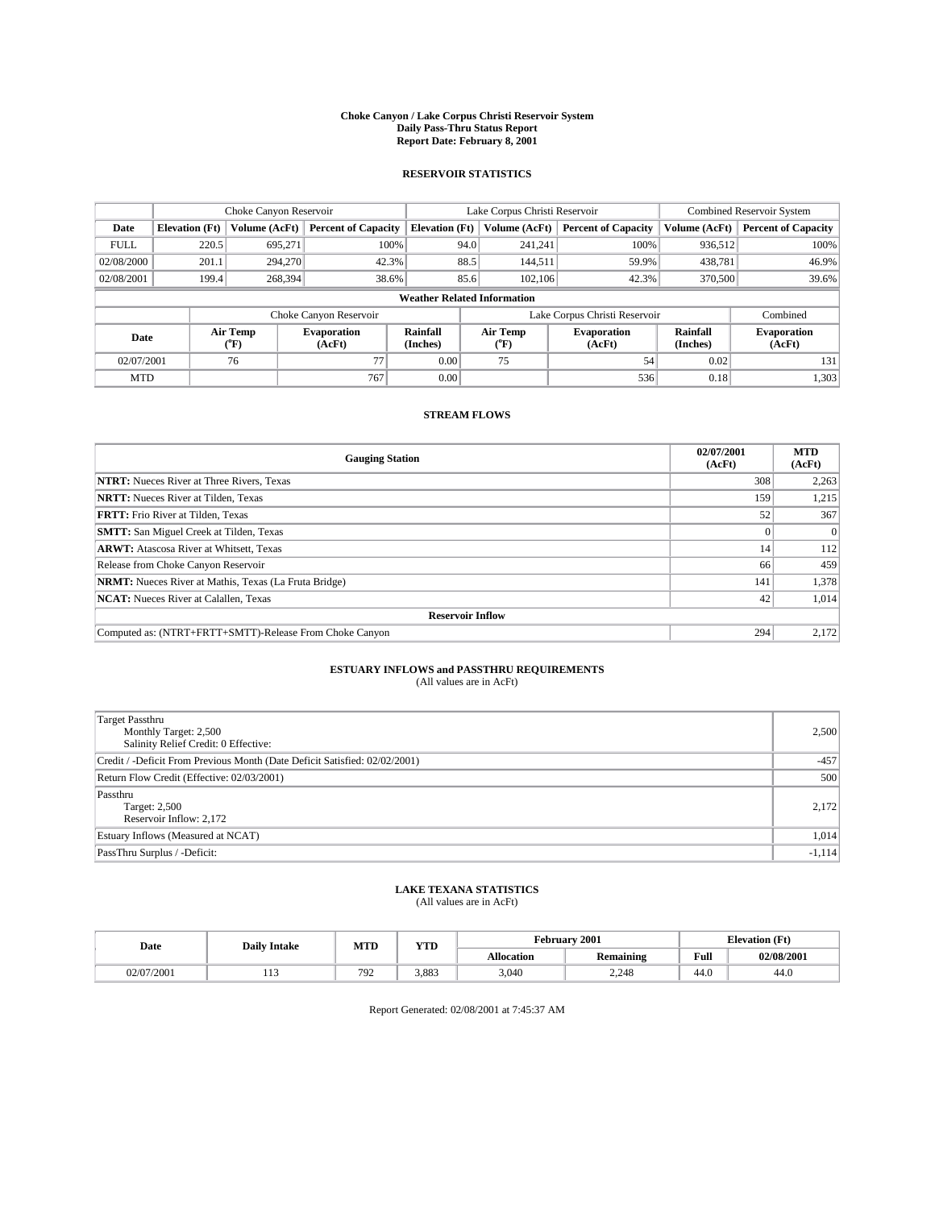#### **Choke Canyon / Lake Corpus Christi Reservoir System Daily Pass-Thru Status Report Report Date: February 8, 2001**

#### **RESERVOIR STATISTICS**

|                                    | Choke Canyon Reservoir                                              |                             |                              |                             | Lake Corpus Christi Reservoir | <b>Combined Reservoir System</b> |                      |                              |  |
|------------------------------------|---------------------------------------------------------------------|-----------------------------|------------------------------|-----------------------------|-------------------------------|----------------------------------|----------------------|------------------------------|--|
| Date                               | <b>Elevation</b> (Ft)                                               | Volume (AcFt)               | <b>Percent of Capacity</b>   | <b>Elevation</b> (Ft)       | Volume (AcFt)                 | <b>Percent of Capacity</b>       | Volume (AcFt)        | <b>Percent of Capacity</b>   |  |
| <b>FULL</b>                        | 220.5                                                               | 695,271                     | 100%                         | 94.0                        | 241,241                       | 100%                             | 936,512              | 100%                         |  |
| 02/08/2000                         | 201.1                                                               | 294,270                     | 42.3%                        | 88.5                        | 144.511                       | 59.9%                            | 438,781              | 46.9%                        |  |
| 02/08/2001                         | 199.4                                                               | 268,394                     | 38.6%                        | 85.6                        | 102,106                       | 42.3%                            | 370,500              | 39.6%                        |  |
| <b>Weather Related Information</b> |                                                                     |                             |                              |                             |                               |                                  |                      |                              |  |
|                                    | Combined<br>Choke Canyon Reservoir<br>Lake Corpus Christi Reservoir |                             |                              |                             |                               |                                  |                      |                              |  |
| Date                               |                                                                     | Air Temp<br>${}^{\circ}$ F) | <b>Evaporation</b><br>(AcFt) | <b>Rainfall</b><br>(Inches) | Air Temp<br>("F)              | <b>Evaporation</b><br>(AcFt)     | Rainfall<br>(Inches) | <b>Evaporation</b><br>(AcFt) |  |
| 02/07/2001                         |                                                                     | 76                          | 77                           | 0.00                        | 75                            | 54                               | 0.02                 | 131                          |  |
| <b>MTD</b>                         |                                                                     |                             | 767                          | 0.00                        |                               | 536                              | 0.18                 | 1,303                        |  |

### **STREAM FLOWS**

| <b>Gauging Station</b>                                       | 02/07/2001<br>(AcFt) | <b>MTD</b><br>(AcFt) |  |  |  |  |
|--------------------------------------------------------------|----------------------|----------------------|--|--|--|--|
| <b>NTRT:</b> Nueces River at Three Rivers, Texas             | 308                  | 2,263                |  |  |  |  |
| <b>NRTT:</b> Nueces River at Tilden, Texas                   | 159                  | 1,215                |  |  |  |  |
| <b>FRTT:</b> Frio River at Tilden, Texas                     | 52                   | 367                  |  |  |  |  |
| <b>SMTT:</b> San Miguel Creek at Tilden, Texas               |                      |                      |  |  |  |  |
| <b>ARWT:</b> Atascosa River at Whitsett, Texas               | 14                   | 112                  |  |  |  |  |
| Release from Choke Canyon Reservoir                          | 66                   | 459                  |  |  |  |  |
| <b>NRMT:</b> Nueces River at Mathis, Texas (La Fruta Bridge) | 141                  | 1,378                |  |  |  |  |
| <b>NCAT:</b> Nueces River at Calallen, Texas                 | 42                   | 1,014                |  |  |  |  |
| <b>Reservoir Inflow</b>                                      |                      |                      |  |  |  |  |
| Computed as: (NTRT+FRTT+SMTT)-Release From Choke Canyon      | 294                  | 2,172                |  |  |  |  |

### **ESTUARY INFLOWS and PASSTHRU REQUIREMENTS**

(All values are in AcFt)

| <b>Target Passthru</b><br>Monthly Target: 2,500<br>Salinity Relief Credit: 0 Effective: | 2,500    |
|-----------------------------------------------------------------------------------------|----------|
| Credit / -Deficit From Previous Month (Date Deficit Satisfied: 02/02/2001)              | $-457$   |
| Return Flow Credit (Effective: 02/03/2001)                                              | 500      |
| Passthru<br>Target: 2,500<br>Reservoir Inflow: 2,172                                    | 2,172    |
| Estuary Inflows (Measured at NCAT)                                                      | 1,014    |
| PassThru Surplus / -Deficit:                                                            | $-1,114$ |

# **LAKE TEXANA STATISTICS** (All values are in AcFt)

| Date       | <b>Daily Intake</b> | MTD | <b>TIME</b><br>1 I D | <b>February</b>   | 2001                    | <b>Elevation (Ft)</b> |            |
|------------|---------------------|-----|----------------------|-------------------|-------------------------|-----------------------|------------|
|            |                     |     |                      | <b>Allocation</b> | . .<br><b>Remaining</b> | Full                  | 02/08/2001 |
| 02/07/2001 |                     | 792 | 3.883                | 3,040             | 2.248                   | 44.0                  | 44.0       |

Report Generated: 02/08/2001 at 7:45:37 AM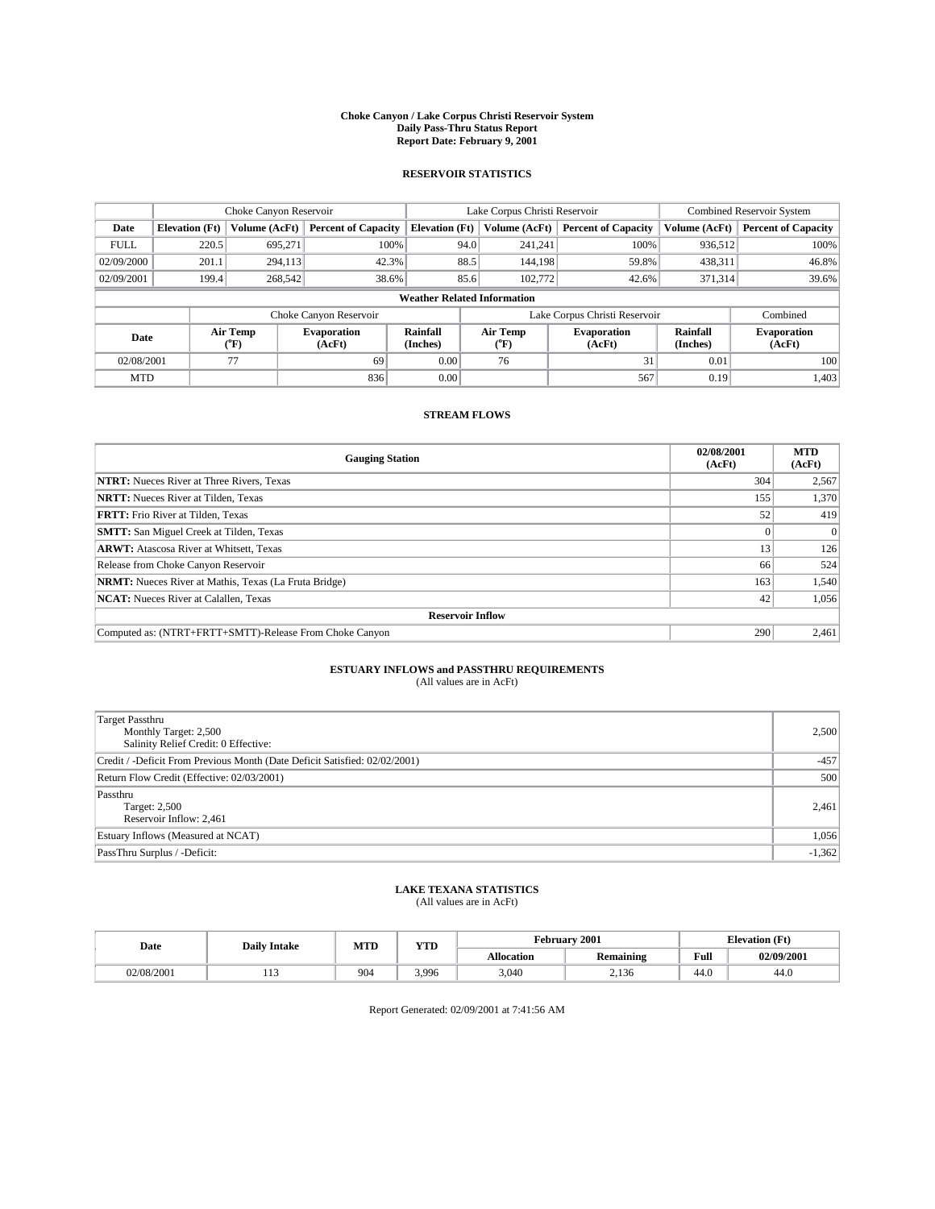#### **Choke Canyon / Lake Corpus Christi Reservoir System Daily Pass-Thru Status Report Report Date: February 9, 2001**

#### **RESERVOIR STATISTICS**

|             | Choke Canyon Reservoir                                              |                             |                              |                             | Lake Corpus Christi Reservoir | <b>Combined Reservoir System</b> |                      |                              |  |
|-------------|---------------------------------------------------------------------|-----------------------------|------------------------------|-----------------------------|-------------------------------|----------------------------------|----------------------|------------------------------|--|
| Date        | <b>Elevation</b> (Ft)                                               | Volume (AcFt)               | <b>Percent of Capacity</b>   | <b>Elevation</b> (Ft)       | Volume (AcFt)                 | <b>Percent of Capacity</b>       | Volume (AcFt)        | <b>Percent of Capacity</b>   |  |
| <b>FULL</b> | 220.5                                                               | 695,271                     | 100%                         | 94.0                        | 241,241                       | 100%                             | 936,512              | 100%                         |  |
| 02/09/2000  | 201.1                                                               | 294,113                     | 42.3%                        | 88.5                        | 144.198                       | 59.8%                            | 438,311              | 46.8%                        |  |
| 02/09/2001  | 199.4                                                               | 268,542                     | 38.6%                        | 85.6                        | 102,772                       | 42.6%                            | 371,314              | 39.6%                        |  |
|             | <b>Weather Related Information</b>                                  |                             |                              |                             |                               |                                  |                      |                              |  |
|             | Combined<br>Choke Canyon Reservoir<br>Lake Corpus Christi Reservoir |                             |                              |                             |                               |                                  |                      |                              |  |
| Date        |                                                                     | Air Temp<br>${}^{\circ}$ F) | <b>Evaporation</b><br>(AcFt) | <b>Rainfall</b><br>(Inches) | Air Temp<br>("F)              | <b>Evaporation</b><br>(AcFt)     | Rainfall<br>(Inches) | <b>Evaporation</b><br>(AcFt) |  |
| 02/08/2001  |                                                                     | 77                          | 69                           | 0.00                        | 76                            | 31                               | 0.01                 | 100                          |  |
| <b>MTD</b>  |                                                                     |                             | 836                          | 0.00                        |                               | 567                              | 0.19                 | 1,403                        |  |

### **STREAM FLOWS**

| <b>Gauging Station</b>                                       | 02/08/2001<br>(AcFt) | <b>MTD</b><br>(AcFt) |  |  |  |  |
|--------------------------------------------------------------|----------------------|----------------------|--|--|--|--|
| <b>NTRT:</b> Nueces River at Three Rivers, Texas             | 304                  | 2,567                |  |  |  |  |
| <b>NRTT:</b> Nueces River at Tilden, Texas                   | 155                  | 1,370                |  |  |  |  |
| <b>FRTT:</b> Frio River at Tilden, Texas                     | 52                   | 419                  |  |  |  |  |
| <b>SMTT:</b> San Miguel Creek at Tilden, Texas               |                      |                      |  |  |  |  |
| <b>ARWT:</b> Atascosa River at Whitsett, Texas               | 13                   | 126                  |  |  |  |  |
| Release from Choke Canyon Reservoir                          | 66                   | 524                  |  |  |  |  |
| <b>NRMT:</b> Nueces River at Mathis, Texas (La Fruta Bridge) | 163                  | 1,540                |  |  |  |  |
| <b>NCAT:</b> Nueces River at Calallen, Texas                 | 42                   | 1,056                |  |  |  |  |
| <b>Reservoir Inflow</b>                                      |                      |                      |  |  |  |  |
| Computed as: (NTRT+FRTT+SMTT)-Release From Choke Canyon      | 290                  | 2,461                |  |  |  |  |

# **ESTUARY INFLOWS and PASSTHRU REQUIREMENTS**<br>(All values are in AcFt)

| <b>Target Passthru</b><br>Monthly Target: 2,500<br>Salinity Relief Credit: 0 Effective: | 2,500    |
|-----------------------------------------------------------------------------------------|----------|
| Credit / -Deficit From Previous Month (Date Deficit Satisfied: 02/02/2001)              | $-457$   |
| Return Flow Credit (Effective: 02/03/2001)                                              | 500      |
| Passthru<br>Target: 2,500<br>Reservoir Inflow: 2,461                                    | 2,461    |
| Estuary Inflows (Measured at NCAT)                                                      | 1,056    |
| PassThru Surplus / -Deficit:                                                            | $-1,362$ |

# **LAKE TEXANA STATISTICS** (All values are in AcFt)

| Date       | <b>Daily Intake</b> | MTD | $\mathbf{v}$<br>1 I D |            | February 2001    | <b>Elevation (Ft)</b> |            |
|------------|---------------------|-----|-----------------------|------------|------------------|-----------------------|------------|
|            |                     |     |                       | Allocation | <b>Remaining</b> | Full                  | 02/09/2001 |
| 02/08/2001 | .                   | 904 | 3.996                 | 3,040      | 2,136            | 44.0                  | -44.6      |

Report Generated: 02/09/2001 at 7:41:56 AM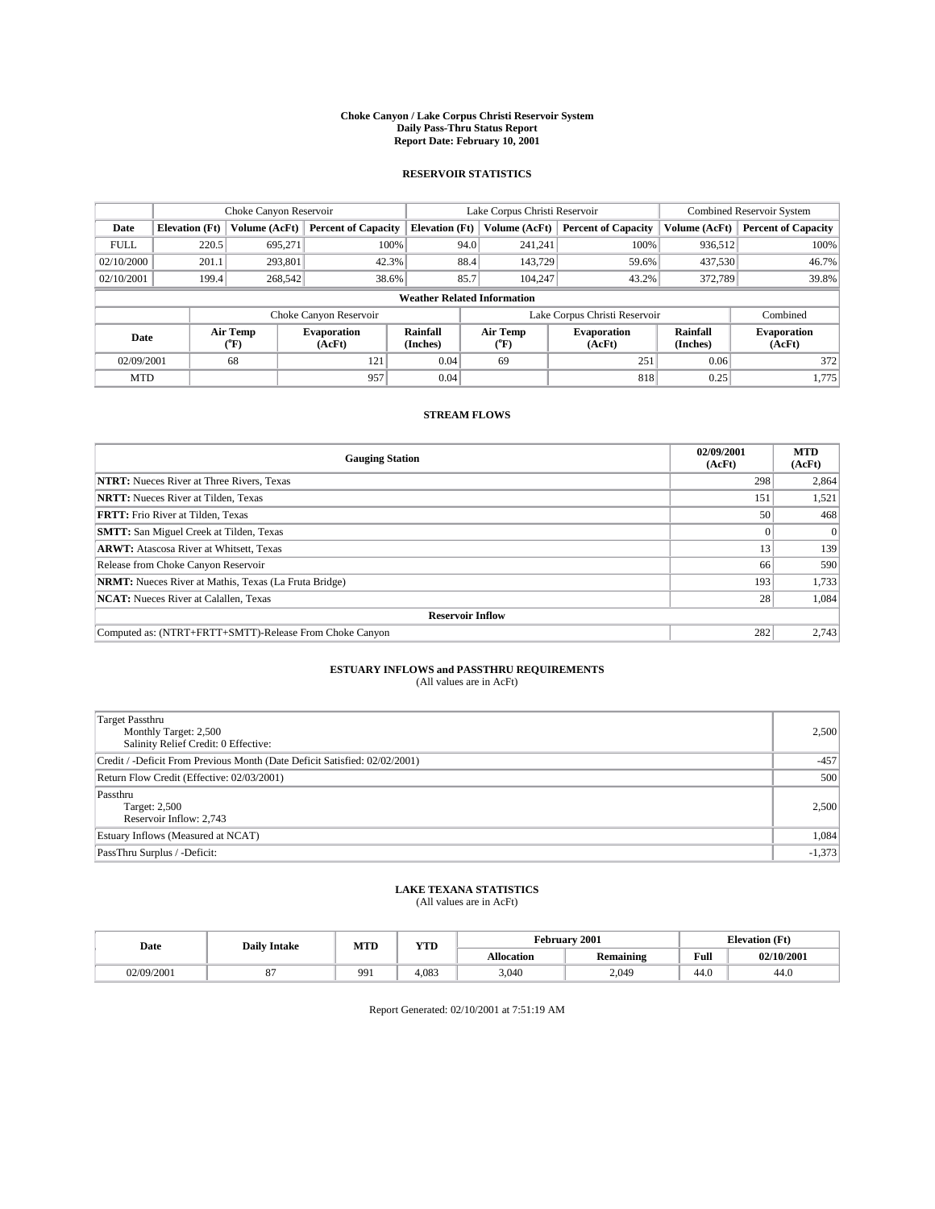#### **Choke Canyon / Lake Corpus Christi Reservoir System Daily Pass-Thru Status Report Report Date: February 10, 2001**

#### **RESERVOIR STATISTICS**

|             | Choke Canyon Reservoir             |                             |                              |                             | Lake Corpus Christi Reservoir | <b>Combined Reservoir System</b> |                      |                              |  |  |
|-------------|------------------------------------|-----------------------------|------------------------------|-----------------------------|-------------------------------|----------------------------------|----------------------|------------------------------|--|--|
| Date        | <b>Elevation</b> (Ft)              | Volume (AcFt)               | <b>Percent of Capacity</b>   | <b>Elevation</b> (Ft)       | Volume (AcFt)                 | <b>Percent of Capacity</b>       | Volume (AcFt)        | <b>Percent of Capacity</b>   |  |  |
| <b>FULL</b> | 220.5                              | 695,271                     | 100%                         | 94.0                        | 241,241                       | 100%                             | 936.512              | 100%                         |  |  |
| 02/10/2000  | 201.1                              | 293,801                     | 42.3%                        | 88.4                        | 143,729                       | 59.6%                            | 437,530              | 46.7%                        |  |  |
| 02/10/2001  | 199.4                              | 268,542                     | 38.6%                        | 85.7                        | 104,247                       | 43.2%                            | 372,789              | 39.8%                        |  |  |
|             | <b>Weather Related Information</b> |                             |                              |                             |                               |                                  |                      |                              |  |  |
|             |                                    |                             | Choke Canyon Reservoir       |                             |                               | Lake Corpus Christi Reservoir    |                      | Combined                     |  |  |
| Date        |                                    | Air Temp<br>${}^{\circ}$ F) | <b>Evaporation</b><br>(AcFt) | <b>Rainfall</b><br>(Inches) | Air Temp<br>("F)              | <b>Evaporation</b><br>(AcFt)     | Rainfall<br>(Inches) | <b>Evaporation</b><br>(AcFt) |  |  |
| 02/09/2001  |                                    | 68                          | 121                          | 0.04                        | 69                            | 251                              | 0.06                 | 372                          |  |  |
| <b>MTD</b>  |                                    |                             | 957                          | 0.04                        |                               | 818                              | 0.25                 | 1,775                        |  |  |

### **STREAM FLOWS**

| <b>Gauging Station</b>                                       | 02/09/2001<br>(AcFt) | <b>MTD</b><br>(AcFt) |  |  |  |  |
|--------------------------------------------------------------|----------------------|----------------------|--|--|--|--|
| <b>NTRT:</b> Nueces River at Three Rivers, Texas             | 298                  | 2,864                |  |  |  |  |
| <b>NRTT:</b> Nueces River at Tilden, Texas                   | 151                  | 1,521                |  |  |  |  |
| <b>FRTT:</b> Frio River at Tilden, Texas                     | 50 <sup>1</sup>      | 468                  |  |  |  |  |
| <b>SMTT:</b> San Miguel Creek at Tilden, Texas               |                      |                      |  |  |  |  |
| <b>ARWT:</b> Atascosa River at Whitsett, Texas               | 13                   | 139                  |  |  |  |  |
| Release from Choke Canyon Reservoir                          | 66                   | 590                  |  |  |  |  |
| <b>NRMT:</b> Nueces River at Mathis, Texas (La Fruta Bridge) | 193                  | 1,733                |  |  |  |  |
| <b>NCAT:</b> Nueces River at Calallen, Texas                 | 28 <sub>1</sub>      | 1,084                |  |  |  |  |
| <b>Reservoir Inflow</b>                                      |                      |                      |  |  |  |  |
| Computed as: (NTRT+FRTT+SMTT)-Release From Choke Canyon      | 282                  | 2,743                |  |  |  |  |

### **ESTUARY INFLOWS and PASSTHRU REQUIREMENTS**<br>(All values are in AcFt)

| <b>Target Passthru</b><br>Monthly Target: 2,500<br>Salinity Relief Credit: 0 Effective: | 2,500    |
|-----------------------------------------------------------------------------------------|----------|
| Credit / -Deficit From Previous Month (Date Deficit Satisfied: 02/02/2001)              | $-457$   |
| Return Flow Credit (Effective: 02/03/2001)                                              | 500      |
| Passthru<br>Target: 2,500<br>Reservoir Inflow: 2,743                                    | 2,500    |
| Estuary Inflows (Measured at NCAT)                                                      | 1,084    |
| PassThru Surplus / -Deficit:                                                            | $-1,373$ |

# **LAKE TEXANA STATISTICS** (All values are in AcFt)

| Date       | <b>Daily Intake</b> | MTD | <b>TIME</b><br>1 I D | 2001<br><b>February</b> |                         |      | <b>Elevation (Ft)</b> |  |
|------------|---------------------|-----|----------------------|-------------------------|-------------------------|------|-----------------------|--|
|            |                     |     |                      | <b>Allocation</b>       | . .<br><b>Remaining</b> | Full | 02/10/2001            |  |
| 02/09/2001 | v.                  | 991 | 4.083                | 3,040                   | 2.049                   | 44.0 | 44.0                  |  |

Report Generated: 02/10/2001 at 7:51:19 AM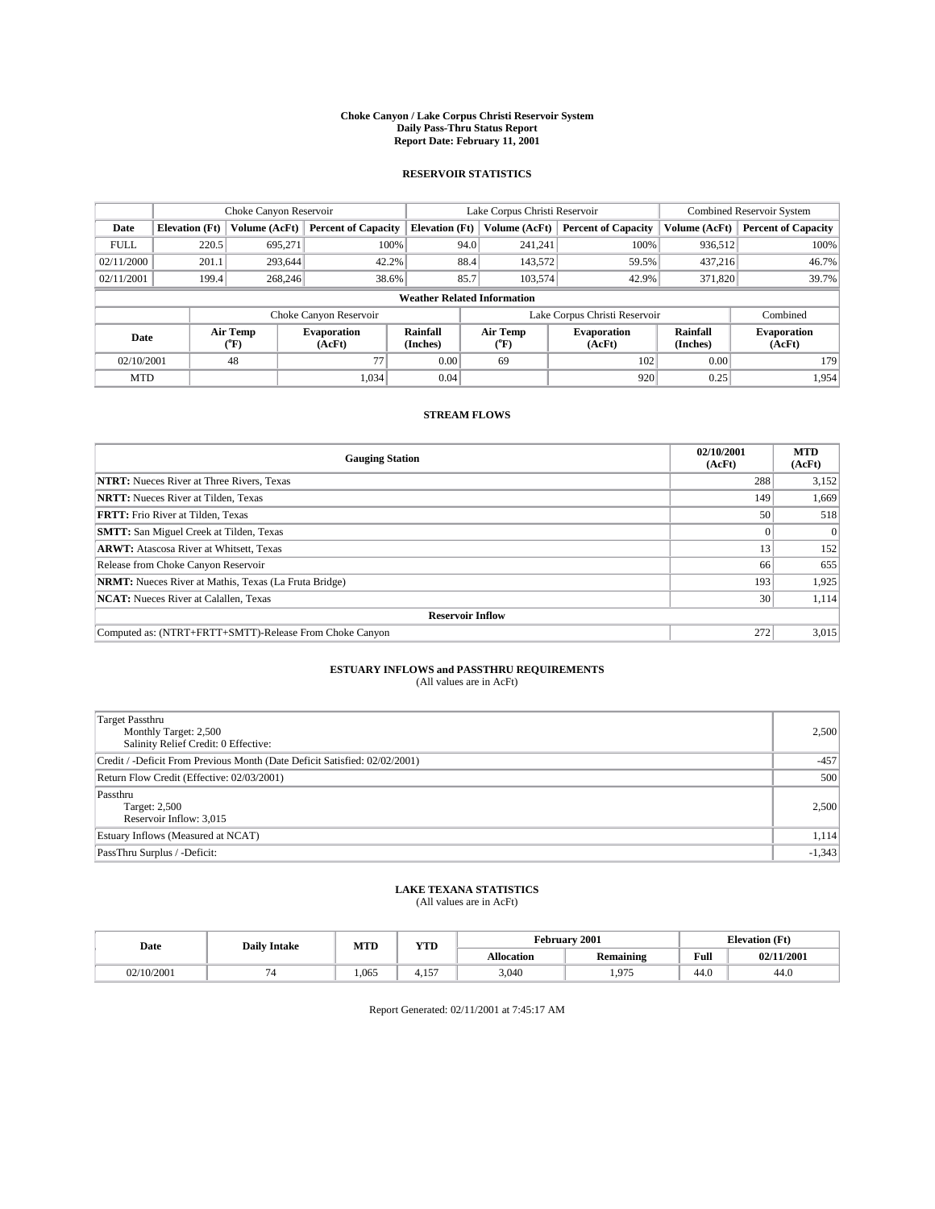#### **Choke Canyon / Lake Corpus Christi Reservoir System Daily Pass-Thru Status Report Report Date: February 11, 2001**

#### **RESERVOIR STATISTICS**

|             | Choke Canyon Reservoir             |                             |                              |                             | Lake Corpus Christi Reservoir |                  |                               |                      | <b>Combined Reservoir System</b> |  |  |
|-------------|------------------------------------|-----------------------------|------------------------------|-----------------------------|-------------------------------|------------------|-------------------------------|----------------------|----------------------------------|--|--|
| Date        | <b>Elevation</b> (Ft)              | Volume (AcFt)               | <b>Percent of Capacity</b>   | <b>Elevation</b> (Ft)       |                               | Volume (AcFt)    | <b>Percent of Capacity</b>    | Volume (AcFt)        | <b>Percent of Capacity</b>       |  |  |
| <b>FULL</b> | 220.5                              | 695,271                     | 100%                         |                             | 94.0                          | 241,241          | 100%                          | 936.512              | 100%                             |  |  |
| 02/11/2000  | 201.1                              | 293.644                     | 42.2%                        |                             | 88.4                          | 143,572          | 59.5%                         | 437.216              | 46.7%                            |  |  |
| 02/11/2001  | 199.4                              | 268,246                     | 38.6%                        |                             | 85.7                          | 103,574          | 42.9%                         | 371,820              | 39.7%                            |  |  |
|             | <b>Weather Related Information</b> |                             |                              |                             |                               |                  |                               |                      |                                  |  |  |
|             |                                    |                             | Choke Canyon Reservoir       |                             |                               |                  | Lake Corpus Christi Reservoir |                      | Combined                         |  |  |
| Date        |                                    | Air Temp<br>${}^{\circ}$ F) | <b>Evaporation</b><br>(AcFt) | <b>Rainfall</b><br>(Inches) |                               | Air Temp<br>("F) | <b>Evaporation</b><br>(AcFt)  | Rainfall<br>(Inches) | <b>Evaporation</b><br>(AcFt)     |  |  |
| 02/10/2001  |                                    | 48                          | 77                           | 0.00                        |                               | 69               | 102                           | 0.00                 | 179                              |  |  |
| <b>MTD</b>  |                                    |                             | 1.034                        | 0.04                        |                               |                  | 920                           | 0.25                 | 1.954                            |  |  |

### **STREAM FLOWS**

| <b>Gauging Station</b>                                       | 02/10/2001<br>(AcFt) | <b>MTD</b><br>(AcFt) |  |  |  |  |
|--------------------------------------------------------------|----------------------|----------------------|--|--|--|--|
| <b>NTRT:</b> Nueces River at Three Rivers, Texas             | 288                  | 3,152                |  |  |  |  |
| <b>NRTT:</b> Nueces River at Tilden, Texas                   | 149                  | 1,669                |  |  |  |  |
| <b>FRTT:</b> Frio River at Tilden, Texas                     | 50                   | 518                  |  |  |  |  |
| <b>SMTT:</b> San Miguel Creek at Tilden, Texas               |                      |                      |  |  |  |  |
| <b>ARWT:</b> Atascosa River at Whitsett, Texas               | 13                   | 152                  |  |  |  |  |
| Release from Choke Canyon Reservoir                          | 66                   | 655                  |  |  |  |  |
| <b>NRMT:</b> Nueces River at Mathis, Texas (La Fruta Bridge) | 193                  | 1,925                |  |  |  |  |
| <b>NCAT:</b> Nueces River at Calallen, Texas                 | 30 <sub>1</sub>      | 1,114                |  |  |  |  |
| <b>Reservoir Inflow</b>                                      |                      |                      |  |  |  |  |
| Computed as: (NTRT+FRTT+SMTT)-Release From Choke Canyon      | 272                  | 3,015                |  |  |  |  |

### **ESTUARY INFLOWS and PASSTHRU REQUIREMENTS**<br>(All values are in AcFt)

| <b>Target Passthru</b><br>Monthly Target: 2,500<br>Salinity Relief Credit: 0 Effective: | 2,500    |
|-----------------------------------------------------------------------------------------|----------|
| Credit / -Deficit From Previous Month (Date Deficit Satisfied: 02/02/2001)              | $-457$   |
| Return Flow Credit (Effective: 02/03/2001)                                              | 500      |
| Passthru<br>Target: 2,500<br>Reservoir Inflow: 3,015                                    | 2,500    |
| Estuary Inflows (Measured at NCAT)                                                      | 1,114    |
| PassThru Surplus / -Deficit:                                                            | $-1,343$ |

# **LAKE TEXANA STATISTICS** (All values are in AcFt)

| Date   | <b>Daily Intake</b> | MTD  | <b>TIME</b><br>1 I D             |                   | February 2001           | <b>Elevation (Ft)</b> |            |
|--------|---------------------|------|----------------------------------|-------------------|-------------------------|-----------------------|------------|
|        |                     |      |                                  | <b>Allocation</b> | . .<br><b>Remaining</b> | Full                  | 02/11/2001 |
| 0/2001 |                     | .065 | $\sim$ $\sim$ $\sim$<br>4<br>. J | 3,040             | 075<br>1.71.            | 44.0                  | 44.0       |

Report Generated: 02/11/2001 at 7:45:17 AM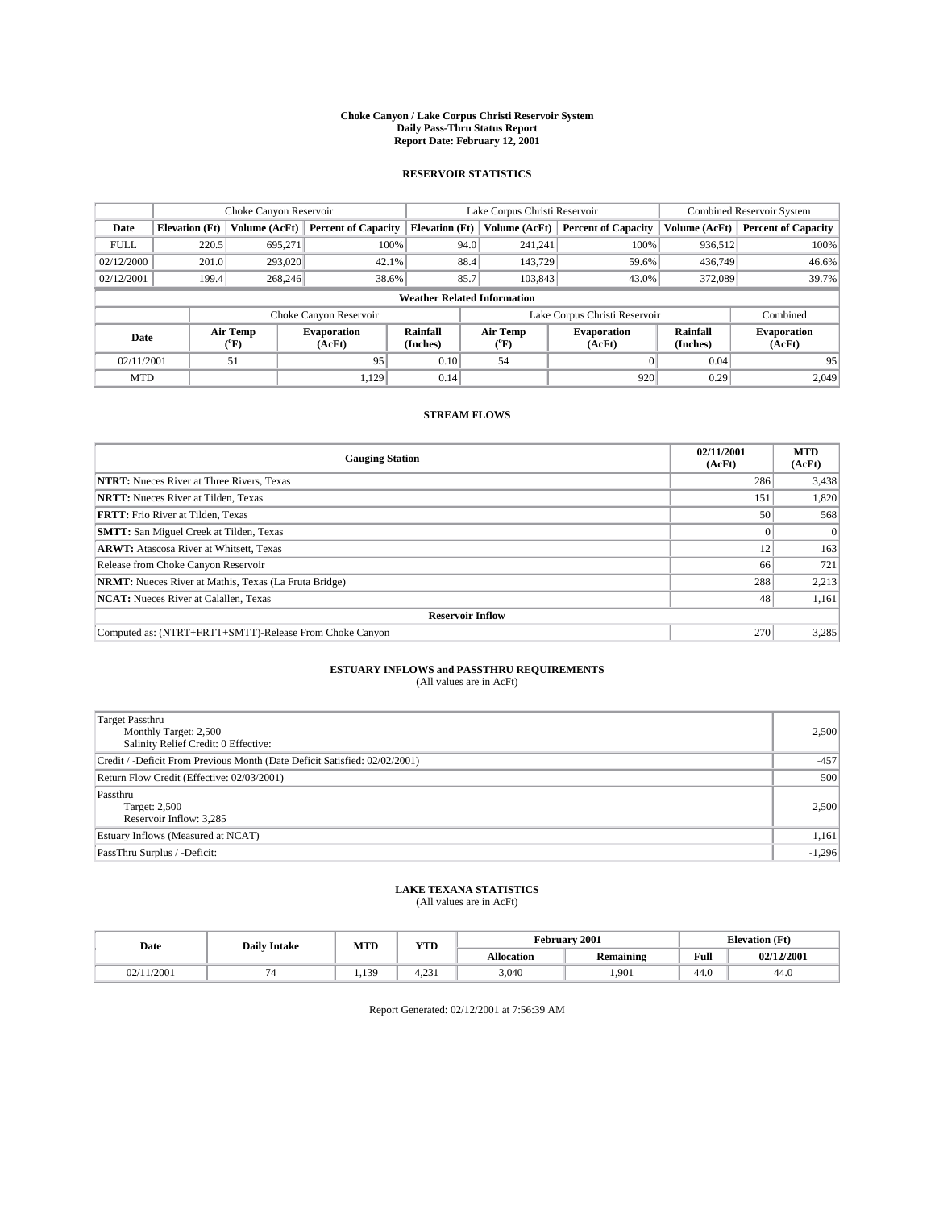#### **Choke Canyon / Lake Corpus Christi Reservoir System Daily Pass-Thru Status Report Report Date: February 12, 2001**

#### **RESERVOIR STATISTICS**

|             | Choke Canyon Reservoir             |                             |                              |                             | Lake Corpus Christi Reservoir |                  |                               |                      | <b>Combined Reservoir System</b> |  |  |
|-------------|------------------------------------|-----------------------------|------------------------------|-----------------------------|-------------------------------|------------------|-------------------------------|----------------------|----------------------------------|--|--|
| Date        | <b>Elevation</b> (Ft)              | Volume (AcFt)               | <b>Percent of Capacity</b>   | <b>Elevation</b> (Ft)       |                               | Volume (AcFt)    | <b>Percent of Capacity</b>    | Volume (AcFt)        | <b>Percent of Capacity</b>       |  |  |
| <b>FULL</b> | 220.5                              | 695,271                     | 100%                         |                             | 94.0                          | 241,241          | 100%                          | 936.512              | 100%                             |  |  |
| 02/12/2000  | 201.0                              | 293,020                     | $42.1\%$                     |                             | 88.4                          | 143,729          | 59.6%                         | 436,749              | 46.6%                            |  |  |
| 02/12/2001  | 199.4                              | 268,246                     | 38.6%                        |                             | 85.7                          | 103,843          | 43.0%                         | 372,089              | 39.7%                            |  |  |
|             | <b>Weather Related Information</b> |                             |                              |                             |                               |                  |                               |                      |                                  |  |  |
|             |                                    |                             | Choke Canyon Reservoir       |                             |                               |                  | Lake Corpus Christi Reservoir |                      | Combined                         |  |  |
| Date        |                                    | Air Temp<br>${}^{\circ}$ F) | <b>Evaporation</b><br>(AcFt) | <b>Rainfall</b><br>(Inches) |                               | Air Temp<br>("F) | <b>Evaporation</b><br>(AcFt)  | Rainfall<br>(Inches) | <b>Evaporation</b><br>(AcFt)     |  |  |
| 02/11/2001  |                                    | 51                          | 95                           | 0.10                        |                               | 54               |                               | 0.04                 | 95                               |  |  |
| <b>MTD</b>  |                                    |                             | 1.129                        | 0.14                        |                               |                  | 920                           | 0.29                 | 2.049                            |  |  |

### **STREAM FLOWS**

| <b>Gauging Station</b>                                       | 02/11/2001<br>(AcFt) | <b>MTD</b><br>(AcFt) |  |  |  |  |
|--------------------------------------------------------------|----------------------|----------------------|--|--|--|--|
| <b>NTRT:</b> Nueces River at Three Rivers, Texas             | 286                  | 3,438                |  |  |  |  |
| <b>NRTT:</b> Nueces River at Tilden, Texas                   | 151                  | 1,820                |  |  |  |  |
| <b>FRTT:</b> Frio River at Tilden, Texas                     | 50                   | 568                  |  |  |  |  |
| <b>SMTT:</b> San Miguel Creek at Tilden, Texas               |                      |                      |  |  |  |  |
| <b>ARWT:</b> Atascosa River at Whitsett, Texas               | 12                   | 163                  |  |  |  |  |
| Release from Choke Canyon Reservoir                          | 66                   | 721                  |  |  |  |  |
| <b>NRMT:</b> Nueces River at Mathis, Texas (La Fruta Bridge) | 288                  | 2,213                |  |  |  |  |
| <b>NCAT:</b> Nueces River at Calallen, Texas                 | 48                   | 1,161                |  |  |  |  |
| <b>Reservoir Inflow</b>                                      |                      |                      |  |  |  |  |
| Computed as: (NTRT+FRTT+SMTT)-Release From Choke Canyon      | 270                  | 3,285                |  |  |  |  |

### **ESTUARY INFLOWS and PASSTHRU REQUIREMENTS**

(All values are in AcFt)

| Target Passthru<br>Monthly Target: 2,500<br>Salinity Relief Credit: 0 Effective: | 2,500    |
|----------------------------------------------------------------------------------|----------|
| Credit / -Deficit From Previous Month (Date Deficit Satisfied: 02/02/2001)       | $-457$   |
| Return Flow Credit (Effective: 02/03/2001)                                       | 500      |
| Passthru<br>Target: 2,500<br>Reservoir Inflow: 3,285                             | 2,500    |
| Estuary Inflows (Measured at NCAT)                                               | 1,161    |
| PassThru Surplus / -Deficit:                                                     | $-1,296$ |

# **LAKE TEXANA STATISTICS** (All values are in AcFt)

| Date  | <b>Daily Intake</b> | MTD     | T/TD<br>1 I D              | 2001<br>February |                  |      | <b>Elevation</b> (Ft) |
|-------|---------------------|---------|----------------------------|------------------|------------------|------|-----------------------|
|       |                     |         |                            | Allocation       | <b>Remaining</b> | Full | 02/12/2001            |
| /2001 |                     | 130<br> | $\sim$ 0.0<br>4<br>T. 49 1 | 3,040            | 1,901            | 44.0 | 44.0                  |

Report Generated: 02/12/2001 at 7:56:39 AM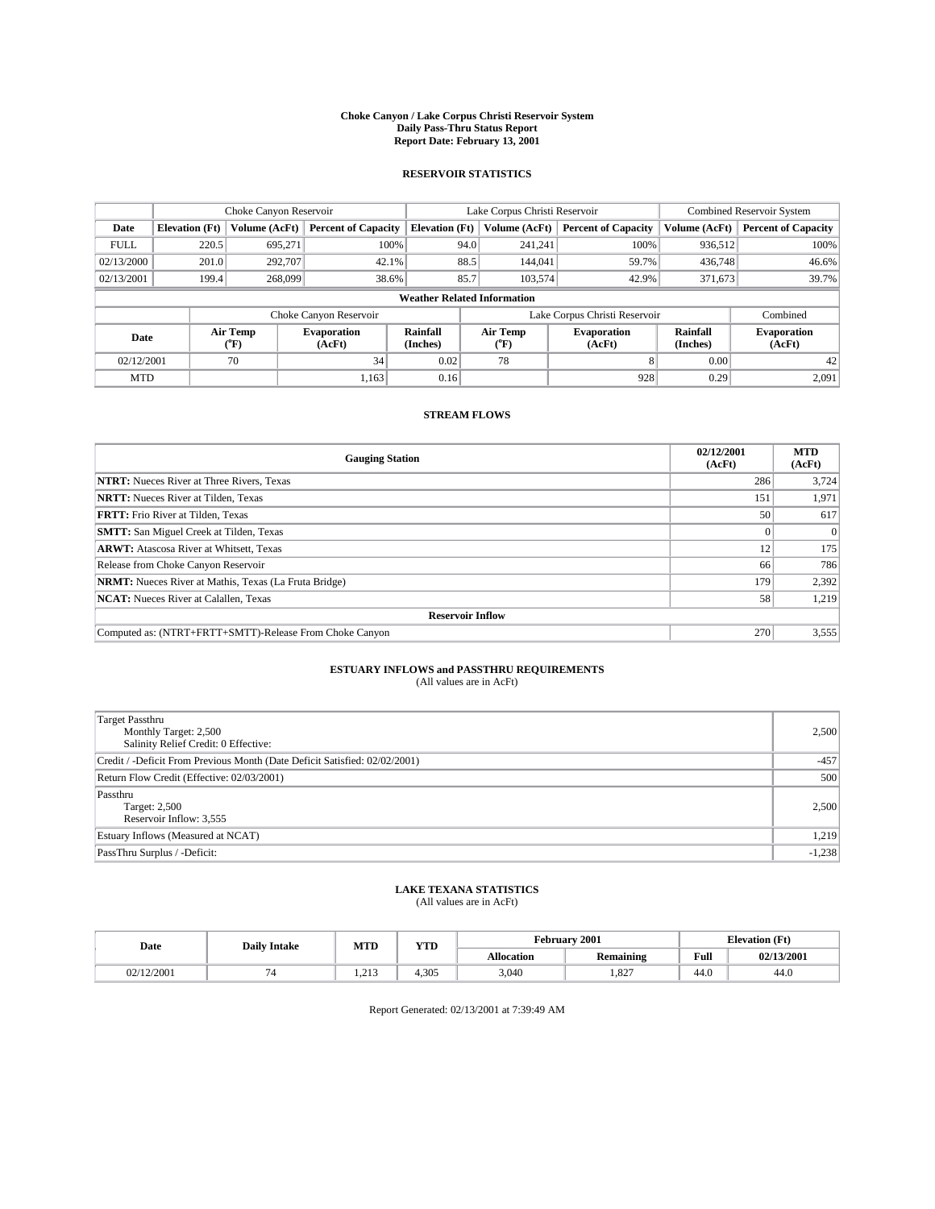#### **Choke Canyon / Lake Corpus Christi Reservoir System Daily Pass-Thru Status Report Report Date: February 13, 2001**

#### **RESERVOIR STATISTICS**

|             | Choke Canyon Reservoir             |                             |                              |                             | Lake Corpus Christi Reservoir | <b>Combined Reservoir System</b> |                      |                              |  |
|-------------|------------------------------------|-----------------------------|------------------------------|-----------------------------|-------------------------------|----------------------------------|----------------------|------------------------------|--|
| Date        | <b>Elevation</b> (Ft)              | Volume (AcFt)               | <b>Percent of Capacity</b>   | <b>Elevation</b> (Ft)       | Volume (AcFt)                 | <b>Percent of Capacity</b>       | Volume (AcFt)        | <b>Percent of Capacity</b>   |  |
| <b>FULL</b> | 220.5                              | 695,271                     | 100%                         | 94.0                        | 241,241                       | 100%                             | 936,512              | 100%                         |  |
| 02/13/2000  | 201.0                              | 292,707                     | $42.1\%$                     | 88.5                        | 144,041                       | 59.7%                            | 436,748              | 46.6%                        |  |
| 02/13/2001  | 199.4                              | 268,099                     | 38.6%                        | 85.7                        | 103,574                       | 42.9%                            | 371,673              | 39.7%                        |  |
|             | <b>Weather Related Information</b> |                             |                              |                             |                               |                                  |                      |                              |  |
|             |                                    |                             | Choke Canyon Reservoir       |                             |                               | Lake Corpus Christi Reservoir    |                      | Combined                     |  |
| Date        |                                    | Air Temp<br>${}^{\circ}$ F) | <b>Evaporation</b><br>(AcFt) | <b>Rainfall</b><br>(Inches) | Air Temp<br>("F)              | <b>Evaporation</b><br>(AcFt)     | Rainfall<br>(Inches) | <b>Evaporation</b><br>(AcFt) |  |
| 02/12/2001  |                                    | 70                          | 34                           | 0.02                        | 78                            |                                  | 0.00                 | 42                           |  |
| <b>MTD</b>  |                                    |                             | 1.163                        | 0.16                        |                               | 928                              | 0.29                 | 2,091                        |  |

### **STREAM FLOWS**

| <b>Gauging Station</b>                                       | 02/12/2001<br>(AcFt) | <b>MTD</b><br>(AcFt) |  |  |  |  |
|--------------------------------------------------------------|----------------------|----------------------|--|--|--|--|
| <b>NTRT:</b> Nueces River at Three Rivers, Texas             | 286                  | 3,724                |  |  |  |  |
| <b>NRTT:</b> Nueces River at Tilden, Texas                   | 151                  | 1,971                |  |  |  |  |
| <b>FRTT:</b> Frio River at Tilden, Texas                     | 50 <sup>1</sup>      | 617                  |  |  |  |  |
| <b>SMTT:</b> San Miguel Creek at Tilden, Texas               |                      |                      |  |  |  |  |
| <b>ARWT:</b> Atascosa River at Whitsett, Texas               | 12                   | 175                  |  |  |  |  |
| Release from Choke Canyon Reservoir                          | 66                   | 786                  |  |  |  |  |
| <b>NRMT:</b> Nueces River at Mathis, Texas (La Fruta Bridge) | 179                  | 2,392                |  |  |  |  |
| <b>NCAT:</b> Nueces River at Calallen, Texas                 | 58                   | 1,219                |  |  |  |  |
| <b>Reservoir Inflow</b>                                      |                      |                      |  |  |  |  |
| Computed as: (NTRT+FRTT+SMTT)-Release From Choke Canyon      | 270                  | 3,555                |  |  |  |  |

# **ESTUARY INFLOWS and PASSTHRU REQUIREMENTS**<br>(All values are in AcFt)

| <b>Target Passthru</b><br>Monthly Target: 2,500<br>Salinity Relief Credit: 0 Effective: | 2,500    |
|-----------------------------------------------------------------------------------------|----------|
| Credit / -Deficit From Previous Month (Date Deficit Satisfied: 02/02/2001)              | $-457$   |
| Return Flow Credit (Effective: 02/03/2001)                                              | 500      |
| Passthru<br>Target: 2,500<br>Reservoir Inflow: 3,555                                    | 2,500    |
| Estuary Inflows (Measured at NCAT)                                                      | 1,219    |
| PassThru Surplus / -Deficit:                                                            | $-1,238$ |

# **LAKE TEXANA STATISTICS** (All values are in AcFt)

| Date                 | <b>Daily Intake</b> | MTD   | <b>TIME</b><br>1 I D | <b>February</b>   | 2001                    | <b>Elevation (Ft)</b> |            |
|----------------------|---------------------|-------|----------------------|-------------------|-------------------------|-----------------------|------------|
|                      |                     |       |                      | <b>Allocation</b> | . .<br><b>Remaining</b> | Full                  | 02/13/2001 |
| 02/12/2001<br>2. A L |                     | 1.21J | 4.305                | 3,040             | 027<br>1.02             | 44.0                  | 44.0       |

Report Generated: 02/13/2001 at 7:39:49 AM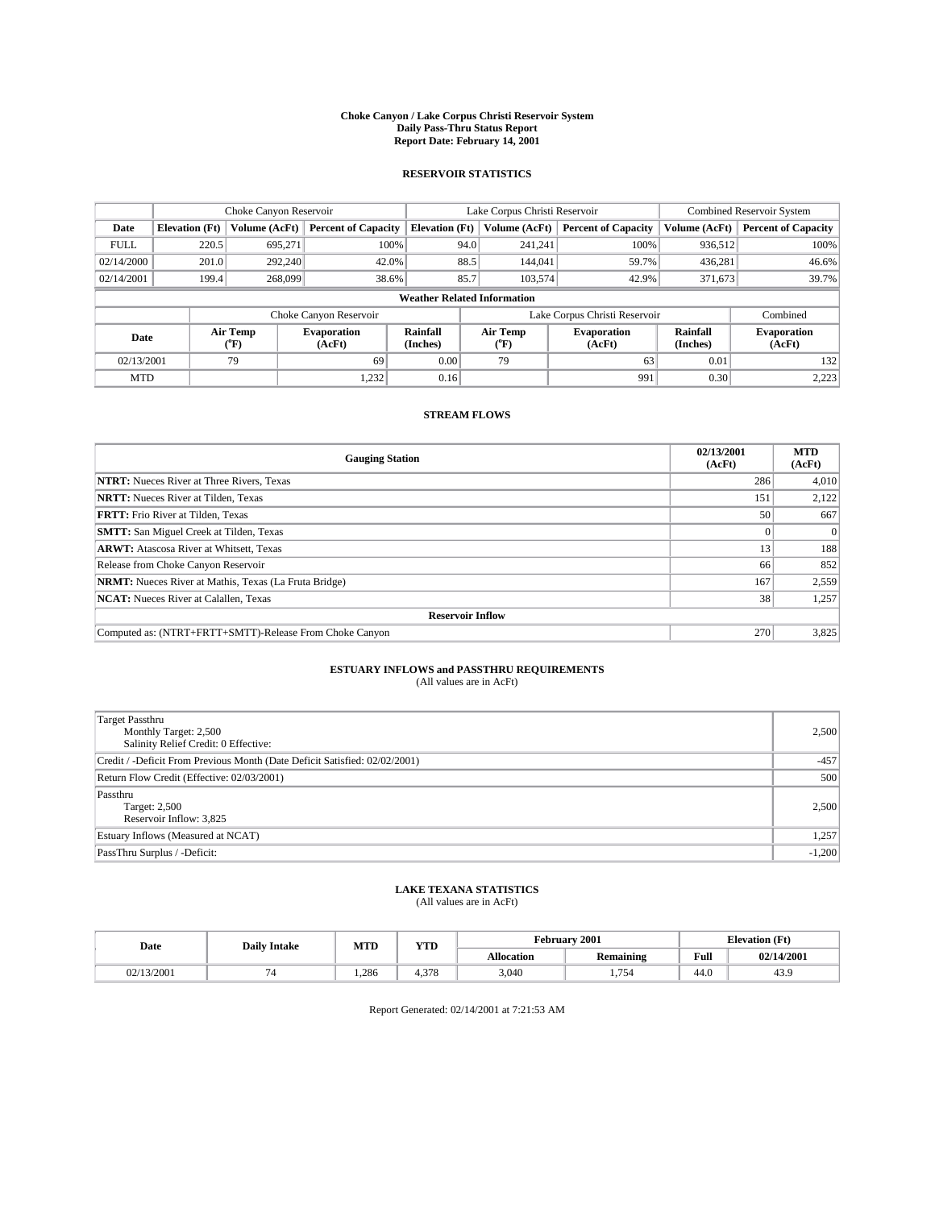#### **Choke Canyon / Lake Corpus Christi Reservoir System Daily Pass-Thru Status Report Report Date: February 14, 2001**

#### **RESERVOIR STATISTICS**

|                                    | Choke Canyon Reservoir                                              |                             |                              |                             | Lake Corpus Christi Reservoir | <b>Combined Reservoir System</b> |                      |                              |  |
|------------------------------------|---------------------------------------------------------------------|-----------------------------|------------------------------|-----------------------------|-------------------------------|----------------------------------|----------------------|------------------------------|--|
| Date                               | <b>Elevation</b> (Ft)                                               | Volume (AcFt)               | <b>Percent of Capacity</b>   | <b>Elevation</b> (Ft)       | Volume (AcFt)                 | <b>Percent of Capacity</b>       | Volume (AcFt)        | <b>Percent of Capacity</b>   |  |
| <b>FULL</b>                        | 220.5                                                               | 695,271                     | 100%                         | 94.0                        | 241,241                       | 100%                             | 936,512              | 100%                         |  |
| 02/14/2000                         | 201.0                                                               | 292,240                     | 42.0%                        | 88.5                        | 144,041                       | 59.7%                            | 436,281              | 46.6%                        |  |
| 02/14/2001                         | 199.4                                                               | 268,099                     | 38.6%                        | 85.7                        | 103,574                       | 42.9%                            | 371,673              | 39.7%                        |  |
| <b>Weather Related Information</b> |                                                                     |                             |                              |                             |                               |                                  |                      |                              |  |
|                                    | Combined<br>Choke Canyon Reservoir<br>Lake Corpus Christi Reservoir |                             |                              |                             |                               |                                  |                      |                              |  |
| Date                               |                                                                     | Air Temp<br>${}^{\circ}$ F) | <b>Evaporation</b><br>(AcFt) | <b>Rainfall</b><br>(Inches) | Air Temp<br>("F)              | <b>Evaporation</b><br>(AcFt)     | Rainfall<br>(Inches) | <b>Evaporation</b><br>(AcFt) |  |
| 02/13/2001                         |                                                                     | 79                          | 69                           | 0.00                        | 79                            | 63                               | 0.01                 | 132                          |  |
| <b>MTD</b>                         |                                                                     |                             | 1,232                        | 0.16                        |                               | 991                              | 0.30                 | 2,223                        |  |

### **STREAM FLOWS**

| <b>Gauging Station</b>                                       | 02/13/2001<br>(AcFt) | <b>MTD</b><br>(AcFt) |  |  |  |  |
|--------------------------------------------------------------|----------------------|----------------------|--|--|--|--|
| <b>NTRT:</b> Nueces River at Three Rivers, Texas             | 286                  | 4,010                |  |  |  |  |
| <b>NRTT:</b> Nueces River at Tilden, Texas                   | 151                  | 2,122                |  |  |  |  |
| <b>FRTT:</b> Frio River at Tilden, Texas                     | 50                   | 667                  |  |  |  |  |
| <b>SMTT:</b> San Miguel Creek at Tilden, Texas               |                      |                      |  |  |  |  |
| <b>ARWT:</b> Atascosa River at Whitsett, Texas               | 13                   | 188                  |  |  |  |  |
| Release from Choke Canyon Reservoir                          | 66                   | 852                  |  |  |  |  |
| <b>NRMT:</b> Nueces River at Mathis, Texas (La Fruta Bridge) | 167                  | 2,559                |  |  |  |  |
| <b>NCAT:</b> Nueces River at Calallen, Texas                 | 38                   | 1,257                |  |  |  |  |
| <b>Reservoir Inflow</b>                                      |                      |                      |  |  |  |  |
| Computed as: (NTRT+FRTT+SMTT)-Release From Choke Canyon      | 270                  | 3,825                |  |  |  |  |

### **ESTUARY INFLOWS and PASSTHRU REQUIREMENTS**

(All values are in AcFt)

| Target Passthru<br>Monthly Target: 2,500<br>Salinity Relief Credit: 0 Effective: | 2,500    |
|----------------------------------------------------------------------------------|----------|
| Credit / -Deficit From Previous Month (Date Deficit Satisfied: 02/02/2001)       | $-457$   |
| Return Flow Credit (Effective: 02/03/2001)                                       | 500      |
| Passthru<br>Target: 2,500<br>Reservoir Inflow: 3,825                             | 2,500    |
| Estuary Inflows (Measured at NCAT)                                               | 1,257    |
| PassThru Surplus / -Deficit:                                                     | $-1,200$ |

# **LAKE TEXANA STATISTICS** (All values are in AcFt)

| Date       | <b>Daily Intake</b> | MTD   | <b>TIMP</b><br>1 I D |                   | February 2001    | <b>Elevation</b> (Ft) |            |
|------------|---------------------|-------|----------------------|-------------------|------------------|-----------------------|------------|
|            |                     |       |                      | <b>Allocation</b> | <b>Remaining</b> | Full                  | 02/14/2001 |
| 02/13/2001 |                     | 1.286 | 270<br>4.310         | 3,040             | 1,754            | $\epsilon$<br>44.U    | 43.9       |

Report Generated: 02/14/2001 at 7:21:53 AM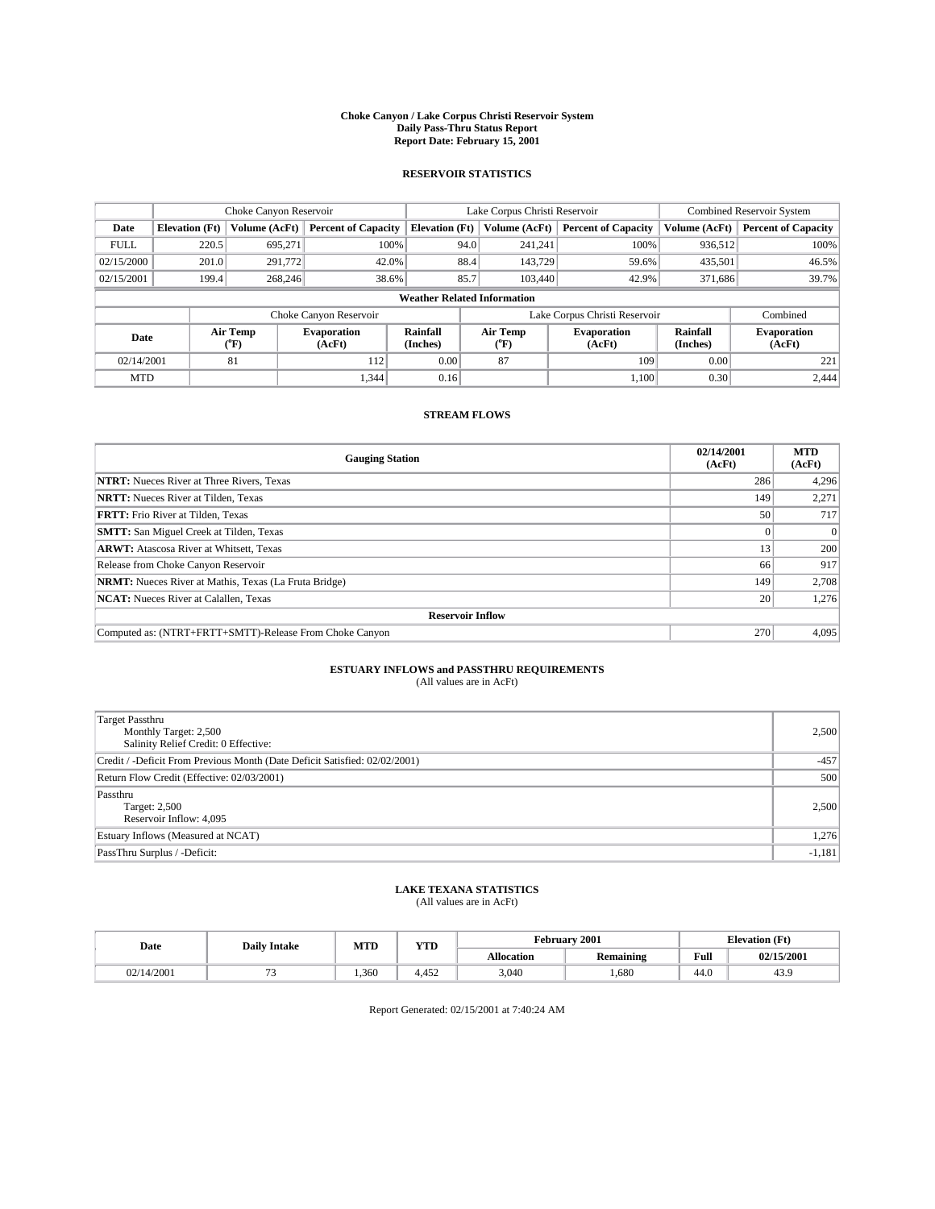#### **Choke Canyon / Lake Corpus Christi Reservoir System Daily Pass-Thru Status Report Report Date: February 15, 2001**

#### **RESERVOIR STATISTICS**

|             | Choke Canyon Reservoir                                              |                             |                              |                             | Lake Corpus Christi Reservoir | <b>Combined Reservoir System</b> |                      |                              |  |  |
|-------------|---------------------------------------------------------------------|-----------------------------|------------------------------|-----------------------------|-------------------------------|----------------------------------|----------------------|------------------------------|--|--|
| Date        | <b>Elevation</b> (Ft)                                               | Volume (AcFt)               | <b>Percent of Capacity</b>   | <b>Elevation</b> (Ft)       | Volume (AcFt)                 | <b>Percent of Capacity</b>       | Volume (AcFt)        | <b>Percent of Capacity</b>   |  |  |
| <b>FULL</b> | 220.5                                                               | 695,271                     | 100%                         |                             | 94.0<br>241,241               | 100%                             | 936,512              | 100%                         |  |  |
| 02/15/2000  | 201.0                                                               | 291,772                     | 42.0%                        |                             | 88.4<br>143,729               | 59.6%                            | 435,501              | 46.5%                        |  |  |
| 02/15/2001  | 199.4                                                               | 268,246                     | 38.6%                        |                             | 85.7<br>103,440               | 42.9%                            | 371,686              | 39.7%                        |  |  |
|             | <b>Weather Related Information</b>                                  |                             |                              |                             |                               |                                  |                      |                              |  |  |
|             | Combined<br>Choke Canyon Reservoir<br>Lake Corpus Christi Reservoir |                             |                              |                             |                               |                                  |                      |                              |  |  |
| Date        |                                                                     | Air Temp<br>${}^{\circ}$ F) | <b>Evaporation</b><br>(AcFt) | <b>Rainfall</b><br>(Inches) | Air Temp<br>("F)              | <b>Evaporation</b><br>(AcFt)     | Rainfall<br>(Inches) | <b>Evaporation</b><br>(AcFt) |  |  |
| 02/14/2001  |                                                                     | 81                          | 112                          | 0.00                        | 87                            | 109                              | 0.00                 | 221                          |  |  |
| <b>MTD</b>  |                                                                     |                             | 1.344                        | 0.16                        |                               | 1.100                            | 0.30                 | 2.444                        |  |  |

### **STREAM FLOWS**

| <b>Gauging Station</b>                                       | 02/14/2001<br>(AcFt) | <b>MTD</b><br>(AcFt) |  |  |  |  |
|--------------------------------------------------------------|----------------------|----------------------|--|--|--|--|
| <b>NTRT:</b> Nueces River at Three Rivers, Texas             | 286                  | 4,296                |  |  |  |  |
| <b>NRTT:</b> Nueces River at Tilden, Texas                   | 149                  | 2,271                |  |  |  |  |
| <b>FRTT:</b> Frio River at Tilden, Texas                     | 50 <sup>1</sup>      | 717                  |  |  |  |  |
| <b>SMTT:</b> San Miguel Creek at Tilden, Texas               |                      |                      |  |  |  |  |
| <b>ARWT:</b> Atascosa River at Whitsett, Texas               | 13                   | 200                  |  |  |  |  |
| Release from Choke Canyon Reservoir                          | 66                   | 917                  |  |  |  |  |
| <b>NRMT:</b> Nueces River at Mathis, Texas (La Fruta Bridge) | 149                  | 2,708                |  |  |  |  |
| <b>NCAT:</b> Nueces River at Calallen, Texas                 | 20                   | 1,276                |  |  |  |  |
| <b>Reservoir Inflow</b>                                      |                      |                      |  |  |  |  |
| Computed as: (NTRT+FRTT+SMTT)-Release From Choke Canyon      | 270                  | 4,095                |  |  |  |  |

### **ESTUARY INFLOWS and PASSTHRU REQUIREMENTS**<br>(All values are in AcFt)

| Target Passthru<br>Monthly Target: 2,500<br>Salinity Relief Credit: 0 Effective: | 2,500    |
|----------------------------------------------------------------------------------|----------|
| Credit / -Deficit From Previous Month (Date Deficit Satisfied: 02/02/2001)       | $-457$   |
| Return Flow Credit (Effective: 02/03/2001)                                       | 500      |
| Passthru<br>Target: 2,500<br>Reservoir Inflow: 4,095                             | 2,500    |
| Estuary Inflows (Measured at NCAT)                                               | 1,276    |
| PassThru Surplus / -Deficit:                                                     | $-1,181$ |

# **LAKE TEXANA STATISTICS** (All values are in AcFt)

| Date   | <b>Daily Intake</b> | MTD   | $\mathbf{v}$<br>1 I D                  |                   | February 2001           | <b>Elevation (Ft)</b> |            |
|--------|---------------------|-------|----------------------------------------|-------------------|-------------------------|-----------------------|------------|
|        |                     |       |                                        | <b>Allocation</b> | . .<br><b>Remaining</b> | Full                  | 02/15/2001 |
| 4/2001 |                     | 1,360 | $\Lambda \subset \mathcal{L}$<br>4,452 | 3,040             | 1,680                   | 44.0                  | 43.5       |

Report Generated: 02/15/2001 at 7:40:24 AM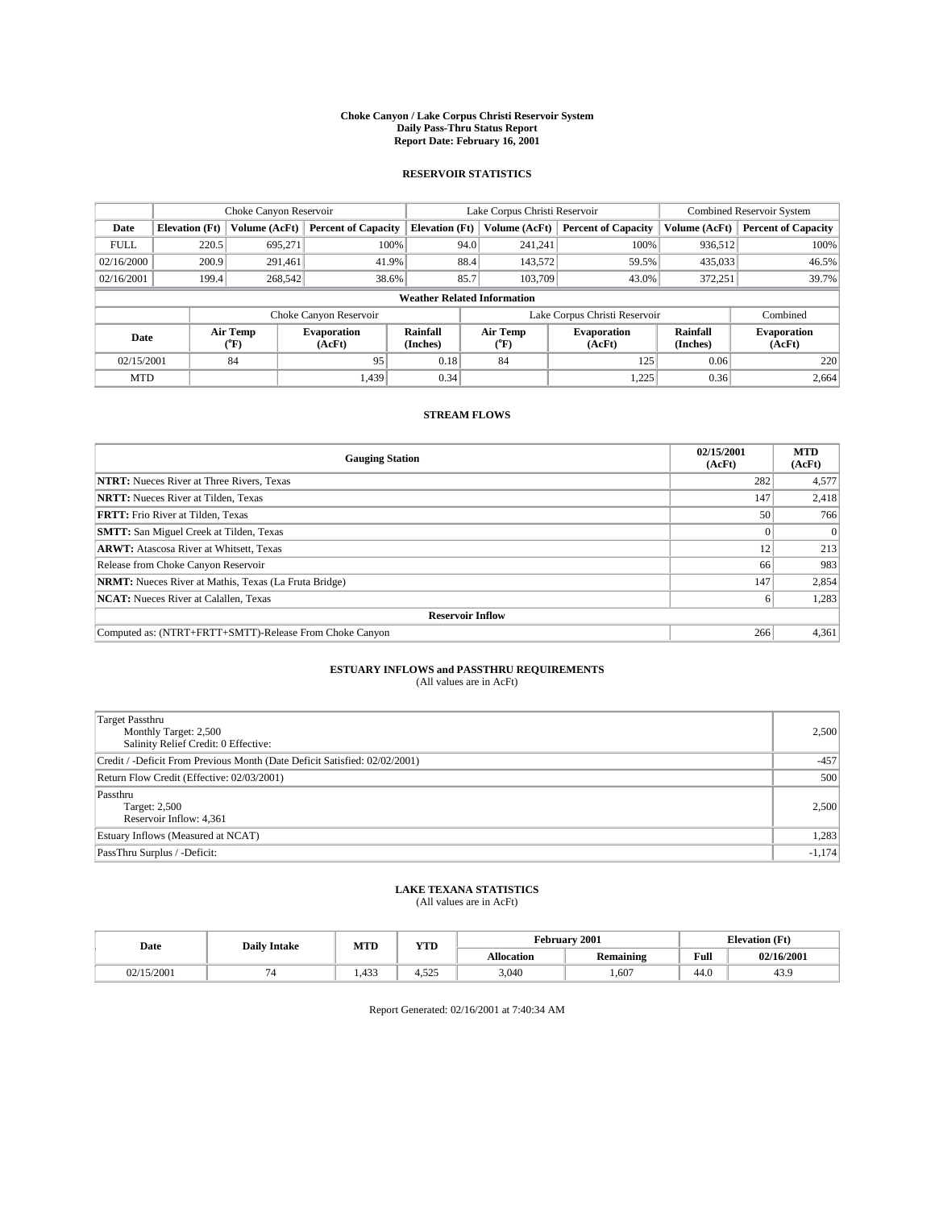#### **Choke Canyon / Lake Corpus Christi Reservoir System Daily Pass-Thru Status Report Report Date: February 16, 2001**

#### **RESERVOIR STATISTICS**

|                                    | Choke Canyon Reservoir |                             |                              |                             | Lake Corpus Christi Reservoir | <b>Combined Reservoir System</b> |                      |                              |
|------------------------------------|------------------------|-----------------------------|------------------------------|-----------------------------|-------------------------------|----------------------------------|----------------------|------------------------------|
| Date                               | <b>Elevation</b> (Ft)  | Volume (AcFt)               | <b>Percent of Capacity</b>   | <b>Elevation</b> (Ft)       | Volume (AcFt)                 | <b>Percent of Capacity</b>       | Volume (AcFt)        | <b>Percent of Capacity</b>   |
| <b>FULL</b>                        | 220.5                  | 695,271                     | 100%                         |                             | 94.0<br>241,241               | 100%                             | 936.512              | 100%                         |
| 02/16/2000                         | 200.9                  | 291.461                     | 41.9%                        | 88.4                        | 143,572                       | 59.5%                            | 435,033              | 46.5%                        |
| 02/16/2001                         | 199.4                  | 268,542                     | 38.6%                        | 85.7                        | 103,709                       | 43.0%                            | 372,251              | 39.7%                        |
| <b>Weather Related Information</b> |                        |                             |                              |                             |                               |                                  |                      |                              |
|                                    |                        |                             | Choke Canyon Reservoir       |                             |                               | Lake Corpus Christi Reservoir    |                      | Combined                     |
| Date                               |                        | Air Temp<br>${}^{\circ}$ F) | <b>Evaporation</b><br>(AcFt) | <b>Rainfall</b><br>(Inches) | Air Temp<br>("F)              | <b>Evaporation</b><br>(AcFt)     | Rainfall<br>(Inches) | <b>Evaporation</b><br>(AcFt) |
| 02/15/2001                         |                        | 84                          | 95                           | 0.18                        | 84                            | 125                              | 0.06                 | 220                          |
| <b>MTD</b>                         |                        |                             | 1.439                        | 0.34                        |                               | 1,225                            | 0.36                 | 2,664                        |

### **STREAM FLOWS**

| <b>Gauging Station</b>                                       | 02/15/2001<br>(AcFt) | <b>MTD</b><br>(AcFt) |  |  |  |  |
|--------------------------------------------------------------|----------------------|----------------------|--|--|--|--|
| <b>NTRT:</b> Nueces River at Three Rivers, Texas             | 282                  | 4,577                |  |  |  |  |
| <b>NRTT:</b> Nueces River at Tilden, Texas                   | 147                  | 2,418                |  |  |  |  |
| <b>FRTT:</b> Frio River at Tilden, Texas                     | 50 <sup>1</sup>      | 766                  |  |  |  |  |
| <b>SMTT:</b> San Miguel Creek at Tilden, Texas               |                      |                      |  |  |  |  |
| <b>ARWT:</b> Atascosa River at Whitsett, Texas               | 12                   | 213                  |  |  |  |  |
| Release from Choke Canyon Reservoir                          | 66                   | 983                  |  |  |  |  |
| <b>NRMT:</b> Nueces River at Mathis, Texas (La Fruta Bridge) | 147                  | 2,854                |  |  |  |  |
| <b>NCAT:</b> Nueces River at Calallen, Texas                 |                      | 1,283                |  |  |  |  |
| <b>Reservoir Inflow</b>                                      |                      |                      |  |  |  |  |
| Computed as: (NTRT+FRTT+SMTT)-Release From Choke Canyon      | 266                  | 4,361                |  |  |  |  |

### **ESTUARY INFLOWS and PASSTHRU REQUIREMENTS**<br>(All values are in AcFt)

| <b>Target Passthru</b><br>Monthly Target: 2,500<br>Salinity Relief Credit: 0 Effective: | 2,500    |
|-----------------------------------------------------------------------------------------|----------|
| Credit / -Deficit From Previous Month (Date Deficit Satisfied: 02/02/2001)              | $-457$   |
| Return Flow Credit (Effective: 02/03/2001)                                              | 500      |
| Passthru<br>Target: 2,500<br>Reservoir Inflow: 4,361                                    | 2,500    |
| Estuary Inflows (Measured at NCAT)                                                      | 1,283    |
| PassThru Surplus / -Deficit:                                                            | $-1,174$ |

# **LAKE TEXANA STATISTICS** (All values are in AcFt)

| Date       | <b>Daily Intake</b> | MTD          | $\mathbf{v}$<br>1 I D | February 2001     |                         |      | <b>Elevation (Ft)</b> |  |
|------------|---------------------|--------------|-----------------------|-------------------|-------------------------|------|-----------------------|--|
|            |                     |              |                       | <b>Allocation</b> | . .<br><b>Remaining</b> | Full | 02/16/2001            |  |
| 02/15/2001 |                     | 422<br>1,433 | $ -$<br>T.J <i>LJ</i> | 3,040             | 1,607                   | 44.0 | 43.5                  |  |

Report Generated: 02/16/2001 at 7:40:34 AM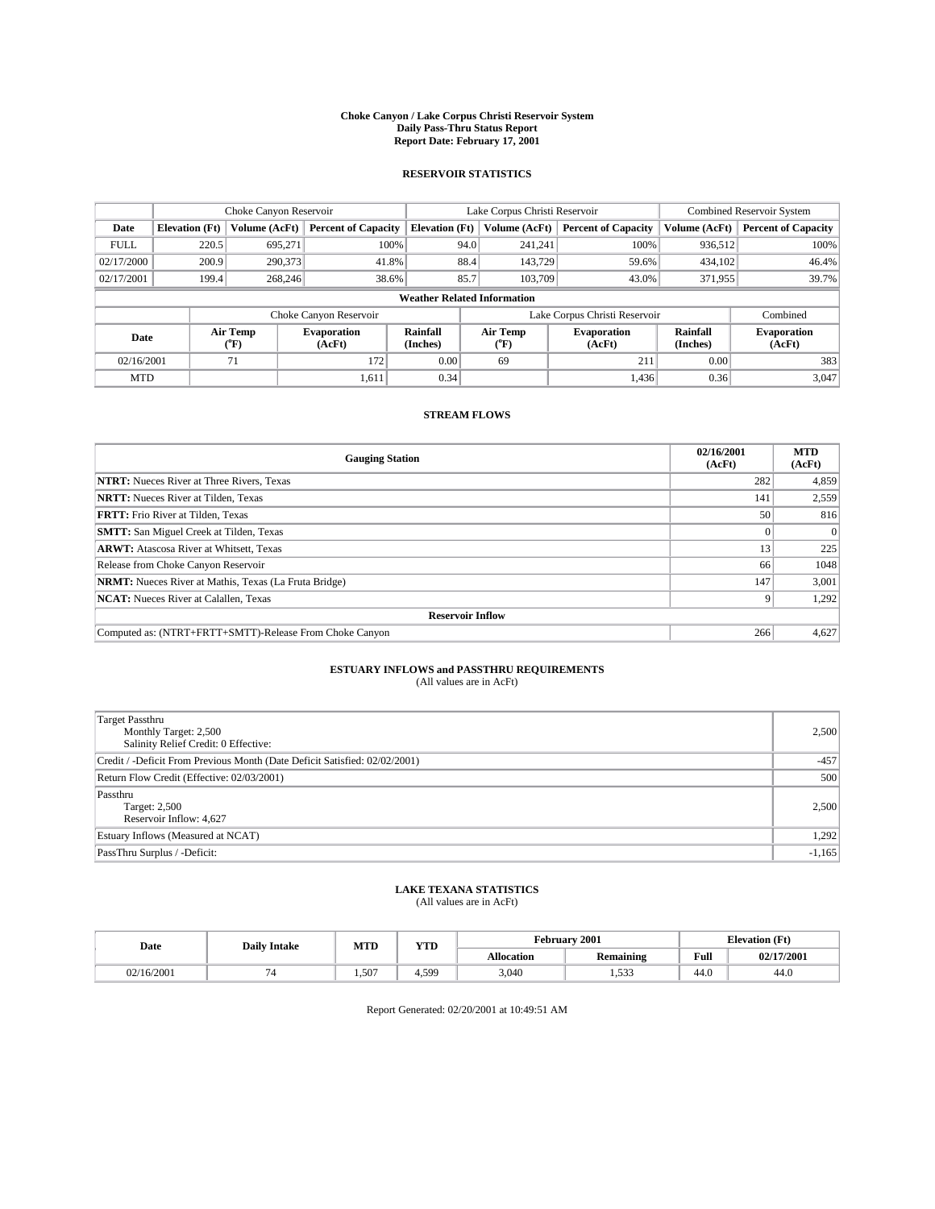#### **Choke Canyon / Lake Corpus Christi Reservoir System Daily Pass-Thru Status Report Report Date: February 17, 2001**

#### **RESERVOIR STATISTICS**

|             | Choke Canyon Reservoir             |                             |                              |                             | Lake Corpus Christi Reservoir |                  |                               |                      | <b>Combined Reservoir System</b> |  |  |
|-------------|------------------------------------|-----------------------------|------------------------------|-----------------------------|-------------------------------|------------------|-------------------------------|----------------------|----------------------------------|--|--|
| Date        | <b>Elevation</b> (Ft)              | Volume (AcFt)               | <b>Percent of Capacity</b>   | <b>Elevation</b> (Ft)       |                               | Volume (AcFt)    | <b>Percent of Capacity</b>    | Volume (AcFt)        | <b>Percent of Capacity</b>       |  |  |
| <b>FULL</b> | 220.5                              | 695,271                     | 100%                         |                             | 94.0                          | 241,241          | 100%                          | 936.512              | 100%                             |  |  |
| 02/17/2000  | 200.9                              | 290,373                     | 41.8%                        |                             | 88.4                          | 143,729          | 59.6%                         | 434,102              | 46.4%                            |  |  |
| 02/17/2001  | 199.4                              | 268,246                     | 38.6%                        |                             | 85.7                          | 103.709          | 43.0%                         | 371,955              | 39.7%                            |  |  |
|             | <b>Weather Related Information</b> |                             |                              |                             |                               |                  |                               |                      |                                  |  |  |
|             |                                    |                             | Choke Canyon Reservoir       |                             |                               |                  | Lake Corpus Christi Reservoir |                      | Combined                         |  |  |
| Date        |                                    | Air Temp<br>${}^{\circ}$ F) | <b>Evaporation</b><br>(AcFt) | <b>Rainfall</b><br>(Inches) |                               | Air Temp<br>("F) | <b>Evaporation</b><br>(AcFt)  | Rainfall<br>(Inches) | <b>Evaporation</b><br>(AcFt)     |  |  |
| 02/16/2001  |                                    | 71                          | 172                          | 0.00                        |                               | 69               | 211                           | 0.00                 | 383                              |  |  |
| <b>MTD</b>  |                                    |                             | 1,611                        | 0.34                        |                               |                  | 1,436                         | 0.36                 | 3,047                            |  |  |

### **STREAM FLOWS**

| <b>Gauging Station</b>                                       | 02/16/2001<br>(AcFt) | <b>MTD</b><br>(AcFt) |  |  |  |  |
|--------------------------------------------------------------|----------------------|----------------------|--|--|--|--|
| <b>NTRT:</b> Nueces River at Three Rivers, Texas             | 282                  | 4,859                |  |  |  |  |
| <b>NRTT:</b> Nueces River at Tilden, Texas                   | 141                  | 2,559                |  |  |  |  |
| <b>FRTT:</b> Frio River at Tilden, Texas                     | 50 <sup>1</sup>      | 816                  |  |  |  |  |
| <b>SMTT:</b> San Miguel Creek at Tilden, Texas               |                      |                      |  |  |  |  |
| <b>ARWT:</b> Atascosa River at Whitsett, Texas               | 13                   | 225                  |  |  |  |  |
| Release from Choke Canyon Reservoir                          | 66                   | 1048                 |  |  |  |  |
| <b>NRMT:</b> Nueces River at Mathis, Texas (La Fruta Bridge) | 147                  | 3,001                |  |  |  |  |
| <b>NCAT:</b> Nueces River at Calallen, Texas                 |                      | 1,292                |  |  |  |  |
| <b>Reservoir Inflow</b>                                      |                      |                      |  |  |  |  |
| Computed as: (NTRT+FRTT+SMTT)-Release From Choke Canyon      | 266                  | 4,627                |  |  |  |  |

### **ESTUARY INFLOWS and PASSTHRU REQUIREMENTS**<br>(All values are in AcFt)

| <b>Target Passthru</b><br>Monthly Target: 2,500<br>Salinity Relief Credit: 0 Effective: | 2,500    |
|-----------------------------------------------------------------------------------------|----------|
| Credit / -Deficit From Previous Month (Date Deficit Satisfied: 02/02/2001)              | $-457$   |
| Return Flow Credit (Effective: 02/03/2001)                                              | 500      |
| Passthru<br>Target: 2,500<br>Reservoir Inflow: 4,627                                    | 2,500    |
| Estuary Inflows (Measured at NCAT)                                                      | 1,292    |
| PassThru Surplus / -Deficit:                                                            | $-1,165$ |

# **LAKE TEXANA STATISTICS** (All values are in AcFt)

| Date       | <b>Daily Intake</b> | MTD  | VTT     | February 2001<br><b>Elevation</b> (Ft) |                                          |                |            |
|------------|---------------------|------|---------|----------------------------------------|------------------------------------------|----------------|------------|
|            |                     |      | 1 I D   | <b>Allocation</b>                      | $\ddot{\phantom{1}}$<br><b>Remaining</b> | Full           | 02/17/2001 |
| 02/16/2001 |                     | .507 | $+0.59$ | 3,040                                  | 1,533                                    | $\sim$<br>44.O | 44.U       |

Report Generated: 02/20/2001 at 10:49:51 AM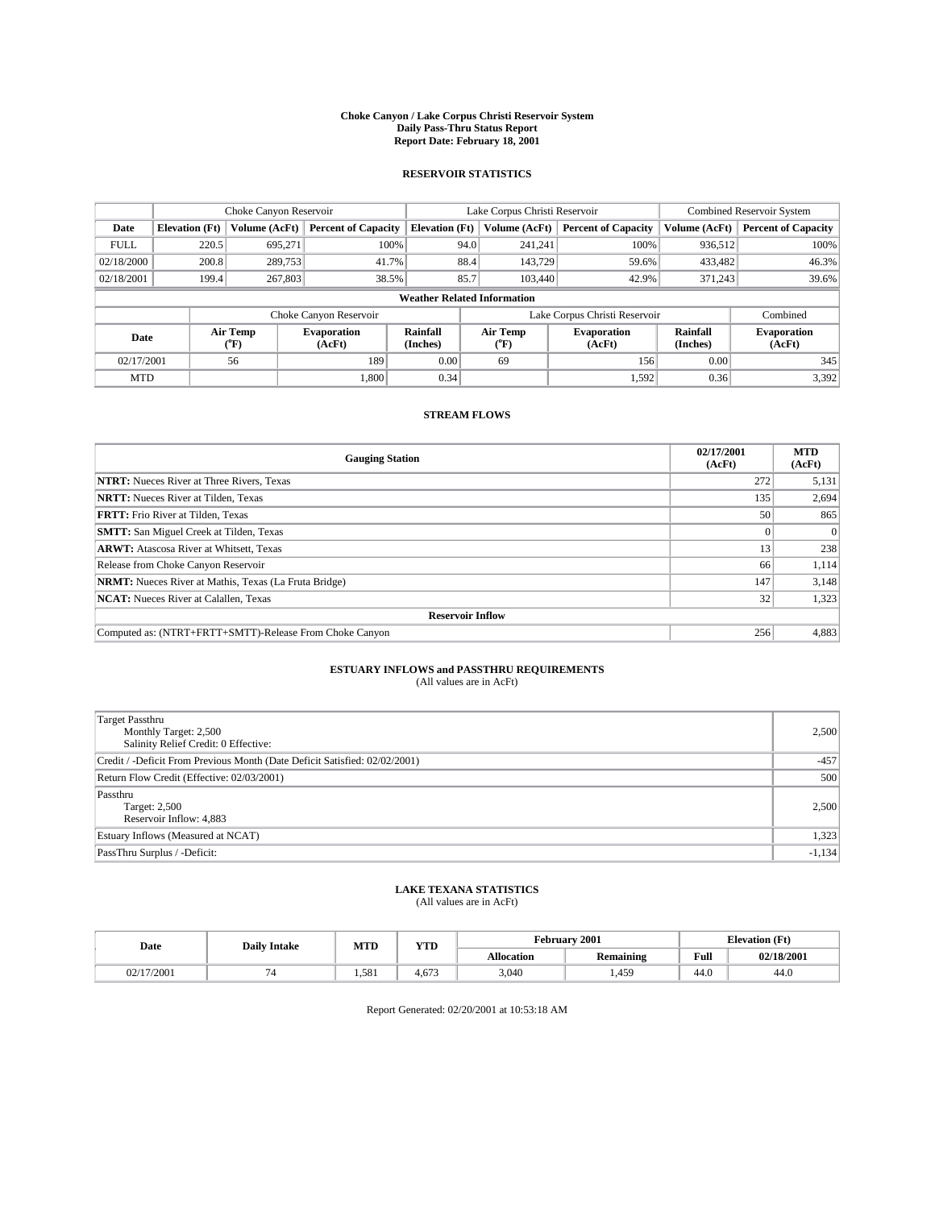#### **Choke Canyon / Lake Corpus Christi Reservoir System Daily Pass-Thru Status Report Report Date: February 18, 2001**

#### **RESERVOIR STATISTICS**

|                                    | Choke Canyon Reservoir |                  |                              |                             | Lake Corpus Christi Reservoir |                  |                               |                      | <b>Combined Reservoir System</b> |  |
|------------------------------------|------------------------|------------------|------------------------------|-----------------------------|-------------------------------|------------------|-------------------------------|----------------------|----------------------------------|--|
| Date                               | <b>Elevation</b> (Ft)  | Volume (AcFt)    | <b>Percent of Capacity</b>   | <b>Elevation</b> (Ft)       |                               | Volume (AcFt)    | <b>Percent of Capacity</b>    | Volume (AcFt)        | <b>Percent of Capacity</b>       |  |
| <b>FULL</b>                        | 220.5                  | 695,271          | 100%                         |                             | 94.0                          | 241,241          | 100%                          | 936.512              | 100%                             |  |
| 02/18/2000                         | 200.8                  | 289,753          | 41.7%                        |                             | 88.4                          | 143.729          | 59.6%                         | 433,482              | 46.3%                            |  |
| 02/18/2001                         | 199.4                  | 267,803          | 38.5%                        |                             | 85.7                          | 103,440          | 42.9%                         | 371.243              | 39.6%                            |  |
| <b>Weather Related Information</b> |                        |                  |                              |                             |                               |                  |                               |                      |                                  |  |
|                                    |                        |                  | Choke Canyon Reservoir       |                             |                               |                  | Lake Corpus Christi Reservoir |                      | Combined                         |  |
| Date                               |                        | Air Temp<br>(°F) | <b>Evaporation</b><br>(AcFt) | <b>Rainfall</b><br>(Inches) |                               | Air Temp<br>("F) | <b>Evaporation</b><br>(AcFt)  | Rainfall<br>(Inches) | <b>Evaporation</b><br>(AcFt)     |  |
| 02/17/2001                         |                        | 56               | 189                          | 0.00                        |                               | 69               | 156                           | 0.00                 | 345                              |  |
| <b>MTD</b>                         |                        |                  | 1.800                        | 0.34                        |                               |                  | 1,592                         | 0.36                 | 3,392                            |  |

### **STREAM FLOWS**

| <b>Gauging Station</b>                                       | 02/17/2001<br>(AcFt) | <b>MTD</b><br>(AcFt) |  |  |  |  |
|--------------------------------------------------------------|----------------------|----------------------|--|--|--|--|
| <b>NTRT:</b> Nueces River at Three Rivers, Texas             | 272                  | 5,131                |  |  |  |  |
| <b>NRTT:</b> Nueces River at Tilden, Texas                   | 135                  | 2,694                |  |  |  |  |
| <b>FRTT:</b> Frio River at Tilden, Texas                     | 50 <sup>1</sup>      | 865                  |  |  |  |  |
| <b>SMTT:</b> San Miguel Creek at Tilden, Texas               |                      |                      |  |  |  |  |
| <b>ARWT:</b> Atascosa River at Whitsett, Texas               | 13                   | 238                  |  |  |  |  |
| Release from Choke Canyon Reservoir                          | 66                   | 1,114                |  |  |  |  |
| <b>NRMT:</b> Nueces River at Mathis, Texas (La Fruta Bridge) | 147                  | 3,148                |  |  |  |  |
| <b>NCAT:</b> Nueces River at Calallen, Texas                 | 32                   | 1,323                |  |  |  |  |
| <b>Reservoir Inflow</b>                                      |                      |                      |  |  |  |  |
| Computed as: (NTRT+FRTT+SMTT)-Release From Choke Canyon      | 256                  | 4,883                |  |  |  |  |

### **ESTUARY INFLOWS and PASSTHRU REQUIREMENTS**<br>(All values are in AcFt)

| Target Passthru<br>Monthly Target: 2,500<br>Salinity Relief Credit: 0 Effective: | 2,500    |
|----------------------------------------------------------------------------------|----------|
| Credit / -Deficit From Previous Month (Date Deficit Satisfied: 02/02/2001)       | $-457$   |
| Return Flow Credit (Effective: 02/03/2001)                                       | 500      |
| Passthru<br>Target: 2,500<br>Reservoir Inflow: 4,883                             | 2,500    |
| Estuary Inflows (Measured at NCAT)                                               | 1,323    |
| PassThru Surplus / -Deficit:                                                     | $-1,134$ |

# **LAKE TEXANA STATISTICS** (All values are in AcFt)

| Date     | <b>Daily Intake</b> | MTD   | $\mathbf{v}$<br>1 I D | February 2001     |                         |      | <b>Elevation (Ft)</b> |  |
|----------|---------------------|-------|-----------------------|-------------------|-------------------------|------|-----------------------|--|
|          |                     |       |                       | <b>Allocation</b> | . .<br><b>Remaining</b> | Full | 02/18/2001            |  |
| /17/2001 |                     | 1.581 | $4.67^{\circ}$        | 3,040             | .,459                   | 44.0 | -44.6                 |  |

Report Generated: 02/20/2001 at 10:53:18 AM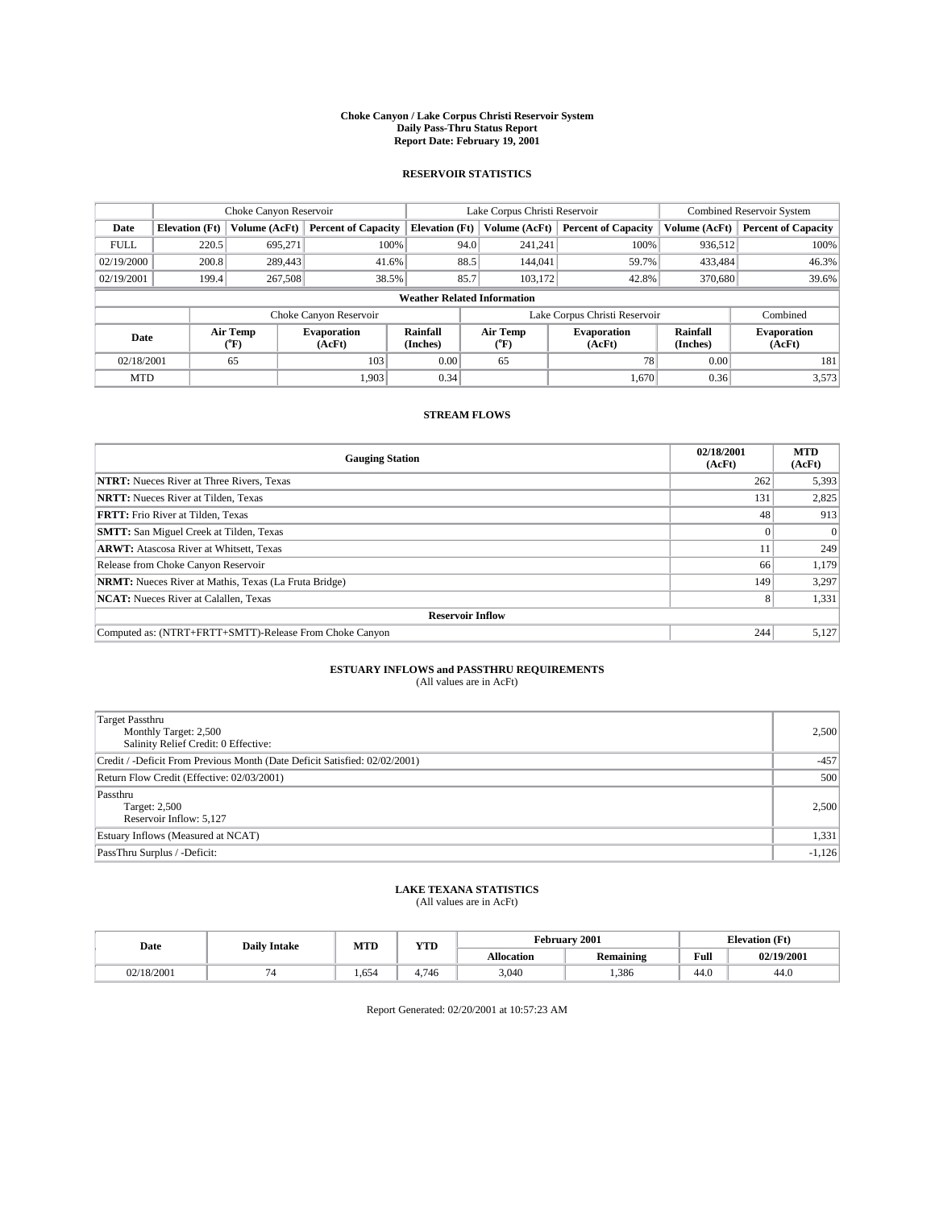#### **Choke Canyon / Lake Corpus Christi Reservoir System Daily Pass-Thru Status Report Report Date: February 19, 2001**

#### **RESERVOIR STATISTICS**

|             | Choke Canyon Reservoir             |                             |                              |                             | Lake Corpus Christi Reservoir |                  |                               |                      | <b>Combined Reservoir System</b> |  |  |
|-------------|------------------------------------|-----------------------------|------------------------------|-----------------------------|-------------------------------|------------------|-------------------------------|----------------------|----------------------------------|--|--|
| Date        | <b>Elevation</b> (Ft)              | Volume (AcFt)               | <b>Percent of Capacity</b>   | <b>Elevation</b> (Ft)       |                               | Volume (AcFt)    | <b>Percent of Capacity</b>    | Volume (AcFt)        | <b>Percent of Capacity</b>       |  |  |
| <b>FULL</b> | 220.5                              | 695,271                     | 100%                         |                             | 94.0                          | 241,241          | 100%                          | 936.512              | 100%                             |  |  |
| 02/19/2000  | 200.8                              | 289,443                     | 41.6%                        |                             | 88.5                          | 144,041          | 59.7%                         | 433,484              | 46.3%                            |  |  |
| 02/19/2001  | 199.4                              | 267,508                     | 38.5%                        |                             | 85.7                          | 103.172          | 42.8%                         | 370,680              | 39.6%                            |  |  |
|             | <b>Weather Related Information</b> |                             |                              |                             |                               |                  |                               |                      |                                  |  |  |
|             |                                    |                             | Choke Canyon Reservoir       |                             |                               |                  | Lake Corpus Christi Reservoir |                      | Combined                         |  |  |
| Date        |                                    | Air Temp<br>${}^{\circ}$ F) | <b>Evaporation</b><br>(AcFt) | <b>Rainfall</b><br>(Inches) |                               | Air Temp<br>("F) | <b>Evaporation</b><br>(AcFt)  | Rainfall<br>(Inches) | <b>Evaporation</b><br>(AcFt)     |  |  |
| 02/18/2001  |                                    | 65                          | 103                          | 0.00                        |                               | 65               | 78                            | 0.00                 | 181                              |  |  |
| <b>MTD</b>  |                                    |                             | 1.903                        | 0.34                        |                               |                  | 1.670                         | 0.36                 | 3,573                            |  |  |

### **STREAM FLOWS**

| <b>Gauging Station</b>                                       | 02/18/2001<br>(AcFt) | <b>MTD</b><br>(AcFt) |
|--------------------------------------------------------------|----------------------|----------------------|
| <b>NTRT:</b> Nueces River at Three Rivers, Texas             | 262                  | 5,393                |
| <b>NRTT:</b> Nueces River at Tilden, Texas                   | 131                  | 2,825                |
| <b>FRTT:</b> Frio River at Tilden, Texas                     | 48                   | 913                  |
| <b>SMTT:</b> San Miguel Creek at Tilden, Texas               |                      |                      |
| <b>ARWT:</b> Atascosa River at Whitsett, Texas               | 11                   | 249                  |
| Release from Choke Canyon Reservoir                          | 66                   | 1,179                |
| <b>NRMT:</b> Nueces River at Mathis, Texas (La Fruta Bridge) | 149                  | 3,297                |
| <b>NCAT:</b> Nueces River at Calallen, Texas                 |                      | 1,331                |
| <b>Reservoir Inflow</b>                                      |                      |                      |
| Computed as: (NTRT+FRTT+SMTT)-Release From Choke Canyon      | 244                  | 5,127                |

### **ESTUARY INFLOWS and PASSTHRU REQUIREMENTS**<br>(All values are in AcFt)

| <b>Target Passthru</b><br>Monthly Target: 2,500<br>Salinity Relief Credit: 0 Effective: | 2,500    |
|-----------------------------------------------------------------------------------------|----------|
| Credit / -Deficit From Previous Month (Date Deficit Satisfied: 02/02/2001)              | $-457$   |
| Return Flow Credit (Effective: 02/03/2001)                                              | 500      |
| Passthru<br>Target: 2,500<br>Reservoir Inflow: 5,127                                    | 2,500    |
| Estuary Inflows (Measured at NCAT)                                                      | 1,331    |
| PassThru Surplus / -Deficit:                                                            | $-1,126$ |

# **LAKE TEXANA STATISTICS** (All values are in AcFt)

| Date       | <b>Daily Intake</b> | MTD                               | $\mathbf{v}$<br>1 I D  |                   | February 2001           | <b>Elevation (Ft)</b> |            |
|------------|---------------------|-----------------------------------|------------------------|-------------------|-------------------------|-----------------------|------------|
|            |                     |                                   |                        | <b>Allocation</b> | . .<br><b>Remaining</b> | Full                  | 02/19/2001 |
| 02/18/2001 |                     | $\overline{\phantom{a}}$<br>1,654 | 74 <sub>6</sub><br>746 | 3,040             | 1,386                   | 44.0                  | -44.6      |

Report Generated: 02/20/2001 at 10:57:23 AM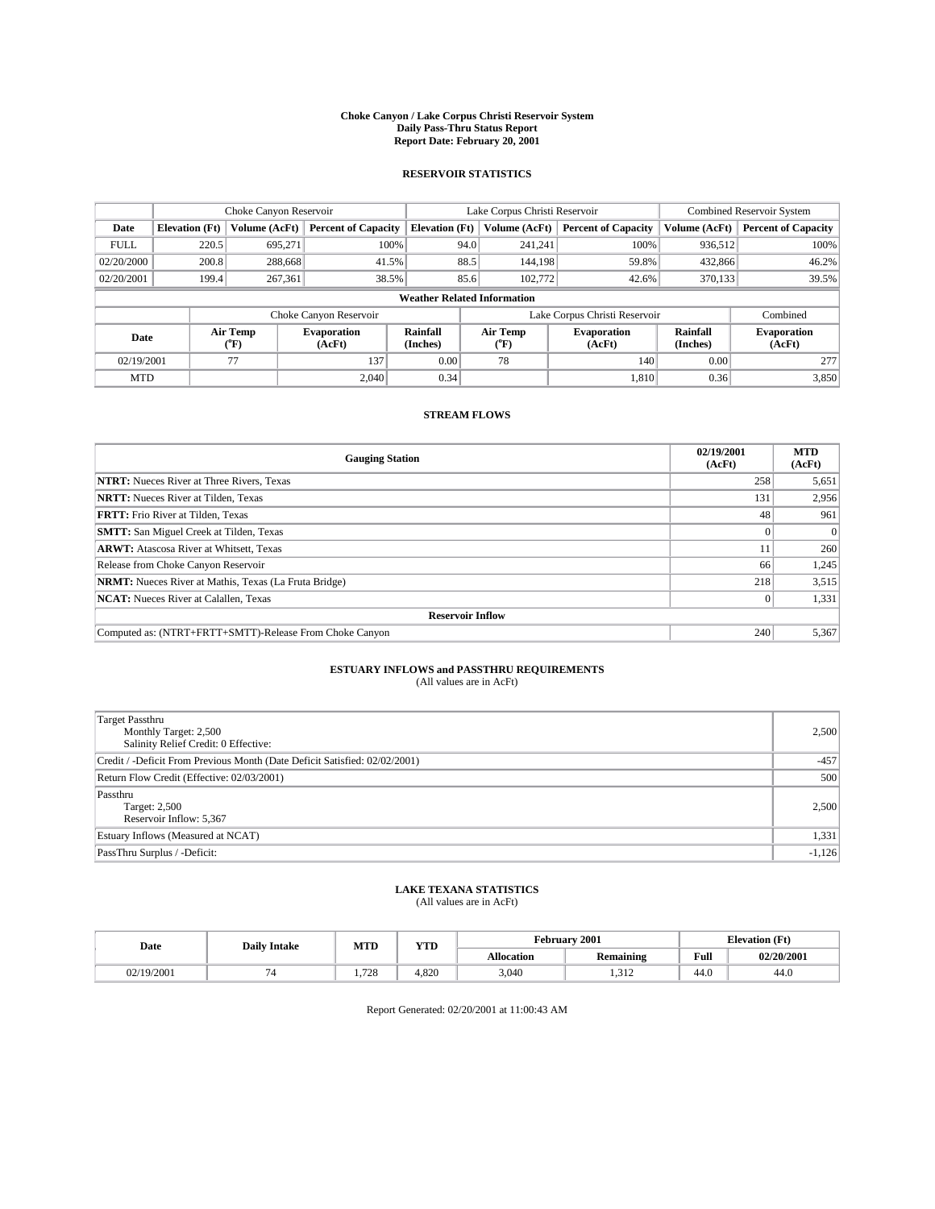#### **Choke Canyon / Lake Corpus Christi Reservoir System Daily Pass-Thru Status Report Report Date: February 20, 2001**

#### **RESERVOIR STATISTICS**

|                                    | Choke Canyon Reservoir                                              |                             |                              |                             | Lake Corpus Christi Reservoir |                  |                              |                      | <b>Combined Reservoir System</b> |  |  |
|------------------------------------|---------------------------------------------------------------------|-----------------------------|------------------------------|-----------------------------|-------------------------------|------------------|------------------------------|----------------------|----------------------------------|--|--|
| Date                               | <b>Elevation</b> (Ft)                                               | Volume (AcFt)               | <b>Percent of Capacity</b>   | <b>Elevation</b> (Ft)       |                               | Volume (AcFt)    | <b>Percent of Capacity</b>   | Volume (AcFt)        | <b>Percent of Capacity</b>       |  |  |
| <b>FULL</b>                        | 220.5                                                               | 695,271                     | 100%                         |                             | 94.0                          | 241,241          | 100%                         | 936.512              | 100%                             |  |  |
| 02/20/2000                         | 200.8                                                               | 288,668                     | 41.5%                        |                             | 88.5                          | 144.198          | 59.8%                        | 432,866              | 46.2%                            |  |  |
| 02/20/2001                         | 199.4                                                               | 267.361                     | 38.5%                        |                             | 85.6                          | 102,772          | 42.6%                        | 370,133              | 39.5%                            |  |  |
| <b>Weather Related Information</b> |                                                                     |                             |                              |                             |                               |                  |                              |                      |                                  |  |  |
|                                    | Lake Corpus Christi Reservoir<br>Combined<br>Choke Canyon Reservoir |                             |                              |                             |                               |                  |                              |                      |                                  |  |  |
| Date                               |                                                                     | Air Temp<br>${}^{\circ}$ F) | <b>Evaporation</b><br>(AcFt) | <b>Rainfall</b><br>(Inches) |                               | Air Temp<br>("F) | <b>Evaporation</b><br>(AcFt) | Rainfall<br>(Inches) | <b>Evaporation</b><br>(AcFt)     |  |  |
| 02/19/2001                         |                                                                     | 77                          | 137                          | 0.00                        |                               | 78               | 140                          | 0.00                 | 277                              |  |  |
| <b>MTD</b>                         |                                                                     |                             | 2.040                        | 0.34                        |                               |                  | 1.810                        | 0.36                 | 3,850                            |  |  |

### **STREAM FLOWS**

| <b>Gauging Station</b>                                       | 02/19/2001<br>(AcFt) | <b>MTD</b><br>(AcFt) |
|--------------------------------------------------------------|----------------------|----------------------|
| <b>NTRT:</b> Nueces River at Three Rivers, Texas             | 258                  | 5,651                |
| <b>NRTT:</b> Nueces River at Tilden, Texas                   | 131                  | 2,956                |
| <b>FRTT:</b> Frio River at Tilden, Texas                     | 48                   | 961                  |
| <b>SMTT:</b> San Miguel Creek at Tilden, Texas               |                      |                      |
| <b>ARWT:</b> Atascosa River at Whitsett, Texas               | 11                   | 260                  |
| Release from Choke Canyon Reservoir                          | 66                   | 1,245                |
| <b>NRMT:</b> Nueces River at Mathis, Texas (La Fruta Bridge) | 218                  | 3,515                |
| <b>NCAT:</b> Nueces River at Calallen, Texas                 |                      | 1,331                |
| <b>Reservoir Inflow</b>                                      |                      |                      |
| Computed as: (NTRT+FRTT+SMTT)-Release From Choke Canyon      | 240                  | 5,367                |

### **ESTUARY INFLOWS and PASSTHRU REQUIREMENTS**

(All values are in AcFt)

| <b>Target Passthru</b><br>Monthly Target: 2,500<br>Salinity Relief Credit: 0 Effective: | 2,500    |
|-----------------------------------------------------------------------------------------|----------|
| Credit / -Deficit From Previous Month (Date Deficit Satisfied: 02/02/2001)              | $-457$   |
| Return Flow Credit (Effective: 02/03/2001)                                              | 500      |
| Passthru<br>Target: 2,500<br>Reservoir Inflow: 5,367                                    | 2,500    |
| Estuary Inflows (Measured at NCAT)                                                      | 1,331    |
| PassThru Surplus / -Deficit:                                                            | $-1,126$ |

# **LAKE TEXANA STATISTICS** (All values are in AcFt)

| Date      | <b>Daily Intake</b> | <b>MTD</b>   | $\mathbf{v}$<br>1 I D |                   | February 2001           | <b>Elevation (Ft)</b> |            |
|-----------|---------------------|--------------|-----------------------|-------------------|-------------------------|-----------------------|------------|
|           |                     |              |                       | <b>Allocation</b> | . .<br><b>Remaining</b> | Full                  | 02/20/2001 |
| 2/19/2001 |                     | 700<br>1.120 | 4.82C                 | 3,040             | ⊶ د ب                   | 44.0                  | -44.6      |

Report Generated: 02/20/2001 at 11:00:43 AM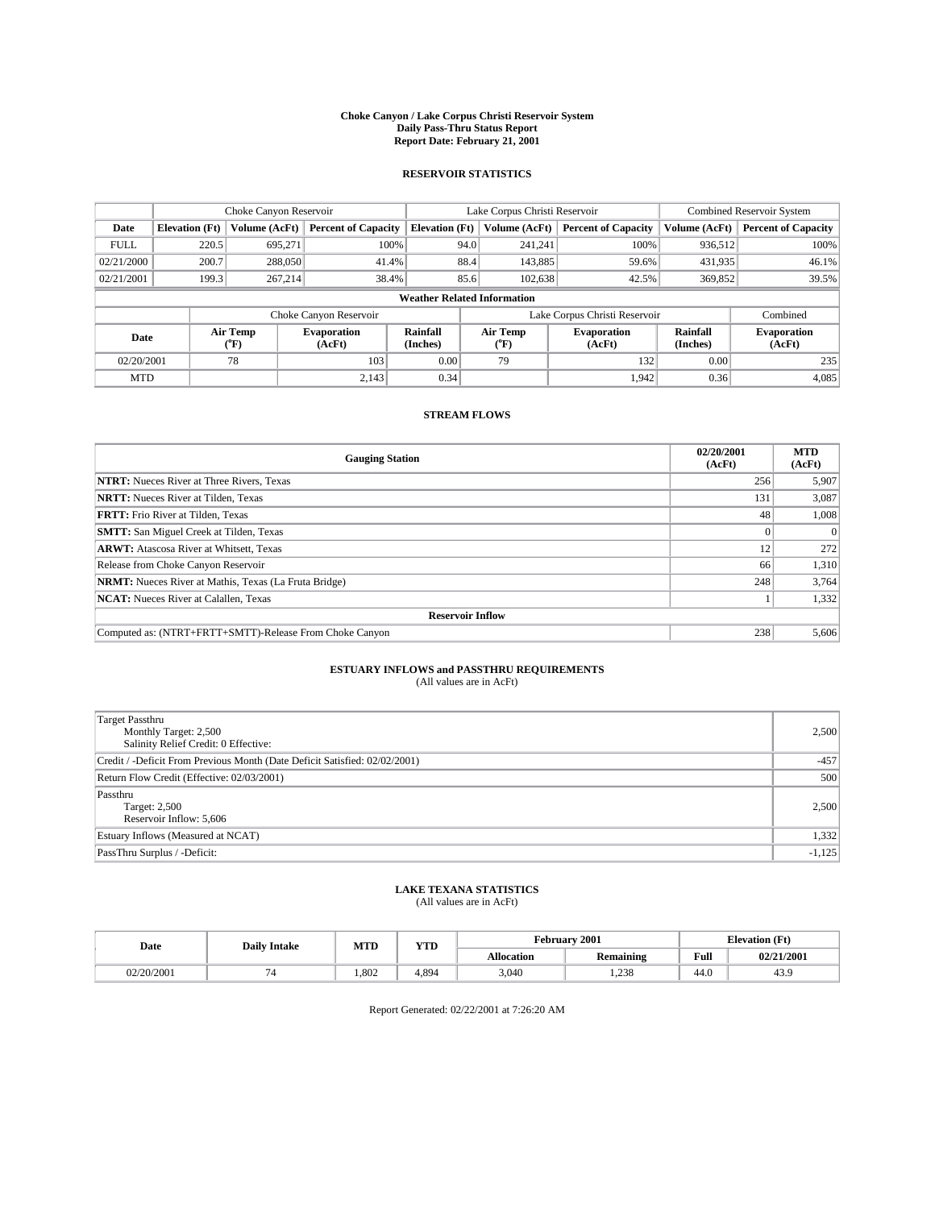#### **Choke Canyon / Lake Corpus Christi Reservoir System Daily Pass-Thru Status Report Report Date: February 21, 2001**

#### **RESERVOIR STATISTICS**

|                                    | Choke Canyon Reservoir |                  | Lake Corpus Christi Reservoir |                             |      |                  | Combined Reservoir System     |                      |                              |
|------------------------------------|------------------------|------------------|-------------------------------|-----------------------------|------|------------------|-------------------------------|----------------------|------------------------------|
| Date                               | <b>Elevation</b> (Ft)  | Volume (AcFt)    | <b>Percent of Capacity</b>    | <b>Elevation</b> (Ft)       |      | Volume (AcFt)    | <b>Percent of Capacity</b>    | Volume (AcFt)        | <b>Percent of Capacity</b>   |
| <b>FULL</b>                        | 220.5                  | 695,271          | 100%                          |                             | 94.0 | 241,241          | 100%                          | 936.512              | 100%                         |
| 02/21/2000                         | 200.7                  | 288,050          | 41.4%                         |                             | 88.4 | 143,885          | 59.6%                         | 431,935              | 46.1%                        |
| 02/21/2001                         | 199.3                  | 267.214          | 38.4%                         |                             | 85.6 | 102.638          | 42.5%                         | 369,852              | 39.5%                        |
| <b>Weather Related Information</b> |                        |                  |                               |                             |      |                  |                               |                      |                              |
|                                    |                        |                  | Choke Canyon Reservoir        |                             |      |                  | Lake Corpus Christi Reservoir |                      | Combined                     |
| Date                               |                        | Air Temp<br>(°F) | <b>Evaporation</b><br>(AcFt)  | <b>Rainfall</b><br>(Inches) |      | Air Temp<br>("F) | <b>Evaporation</b><br>(AcFt)  | Rainfall<br>(Inches) | <b>Evaporation</b><br>(AcFt) |
| 02/20/2001                         |                        | 78               | 103                           | 0.00                        |      | 79               | 132                           | 0.00                 | 235                          |
| <b>MTD</b>                         |                        |                  | 2.143                         | 0.34                        |      |                  | 1.942                         | 0.36                 | 4,085                        |

### **STREAM FLOWS**

| <b>Gauging Station</b>                                       | 02/20/2001<br>(AcFt) | <b>MTD</b><br>(AcFt) |
|--------------------------------------------------------------|----------------------|----------------------|
| <b>NTRT:</b> Nueces River at Three Rivers, Texas             | 256                  | 5,907                |
| <b>NRTT:</b> Nueces River at Tilden, Texas                   | 131                  | 3,087                |
| <b>FRTT:</b> Frio River at Tilden, Texas                     | 48                   | 1,008                |
| <b>SMTT:</b> San Miguel Creek at Tilden, Texas               |                      |                      |
| <b>ARWT:</b> Atascosa River at Whitsett, Texas               | 12                   | 272                  |
| Release from Choke Canyon Reservoir                          | 66                   | 1,310                |
| <b>NRMT:</b> Nueces River at Mathis, Texas (La Fruta Bridge) | 248                  | 3,764                |
| <b>NCAT:</b> Nueces River at Calallen, Texas                 |                      | 1,332                |
| <b>Reservoir Inflow</b>                                      |                      |                      |
| Computed as: (NTRT+FRTT+SMTT)-Release From Choke Canyon      | 238                  | 5,606                |

# **ESTUARY INFLOWS and PASSTHRU REQUIREMENTS**<br>(All values are in AcFt)

| <b>Target Passthru</b><br>Monthly Target: 2,500<br>Salinity Relief Credit: 0 Effective: | 2,500    |
|-----------------------------------------------------------------------------------------|----------|
| Credit / -Deficit From Previous Month (Date Deficit Satisfied: 02/02/2001)              | $-457$   |
| Return Flow Credit (Effective: 02/03/2001)                                              | 500      |
| Passthru<br>Target: 2,500<br>Reservoir Inflow: 5,606                                    | 2,500    |
| Estuary Inflows (Measured at NCAT)                                                      | 1,332    |
| PassThru Surplus / -Deficit:                                                            | $-1,125$ |

# **LAKE TEXANA STATISTICS** (All values are in AcFt)

| Date       | <b>Daily Intake</b> | <b>MTD</b> | $\mathbf{v}$<br>1 I D | February 2001     |                         |      | <b>Elevation (Ft)</b> |  |
|------------|---------------------|------------|-----------------------|-------------------|-------------------------|------|-----------------------|--|
|            |                     |            |                       | <b>Allocation</b> | . .<br><b>Remaining</b> | Full | 02/21/2001            |  |
| 02/20/2001 |                     | .802       | 4.894                 | 3,040             | 1,238                   | 44.0 | 43.5                  |  |

Report Generated: 02/22/2001 at 7:26:20 AM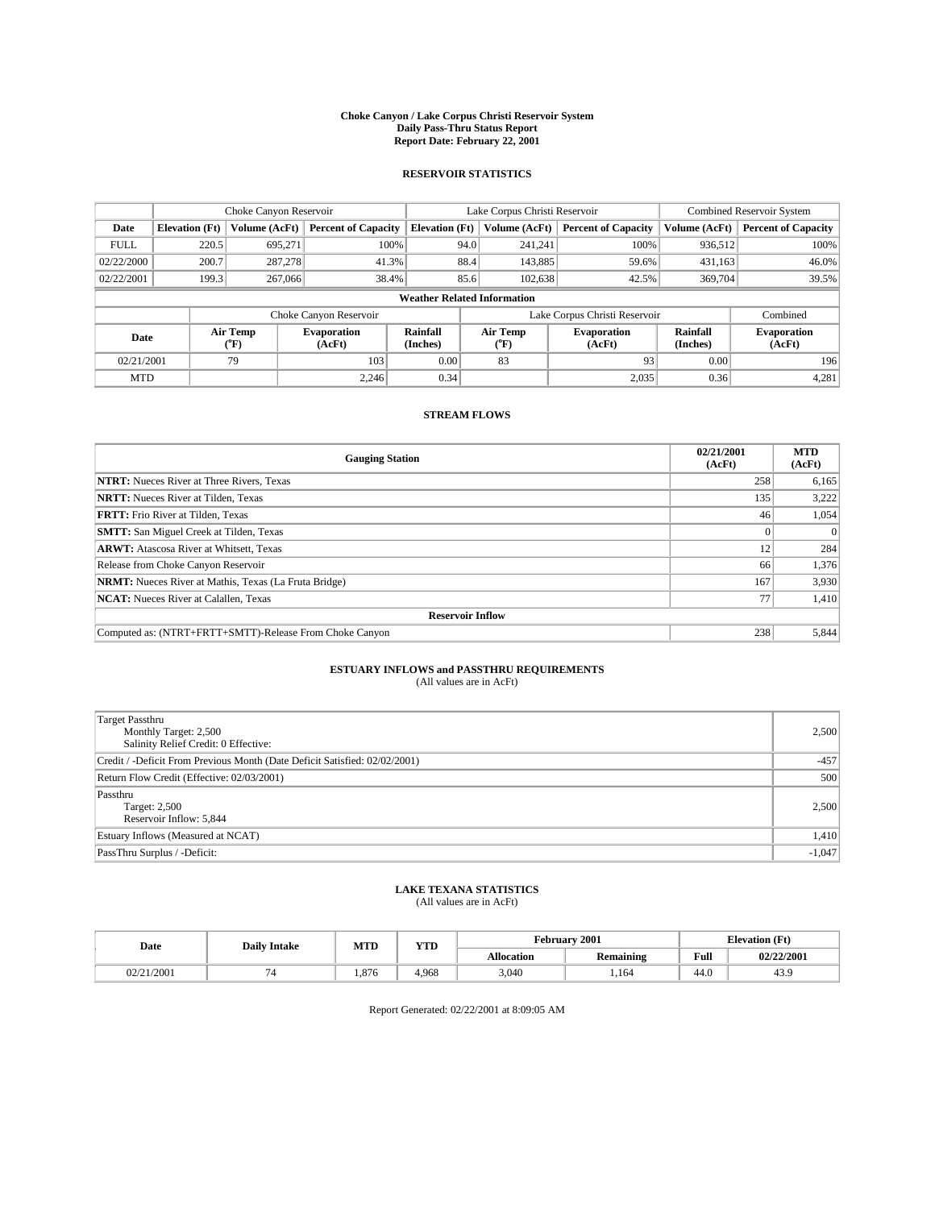#### **Choke Canyon / Lake Corpus Christi Reservoir System Daily Pass-Thru Status Report Report Date: February 22, 2001**

#### **RESERVOIR STATISTICS**

|             | Choke Canyon Reservoir             |                             |                              |                             | Lake Corpus Christi Reservoir |         |                               |                      | <b>Combined Reservoir System</b> |  |  |
|-------------|------------------------------------|-----------------------------|------------------------------|-----------------------------|-------------------------------|---------|-------------------------------|----------------------|----------------------------------|--|--|
| Date        | <b>Elevation</b> (Ft)              | Volume (AcFt)               | <b>Percent of Capacity</b>   | <b>Elevation</b> (Ft)       | Volume (AcFt)                 |         | <b>Percent of Capacity</b>    | Volume (AcFt)        | <b>Percent of Capacity</b>       |  |  |
| <b>FULL</b> | 220.5                              | 695,271                     | 100%                         |                             | 94.0<br>241,241               |         | 100%                          | 936,512              | 100%                             |  |  |
| 02/22/2000  | 200.7                              | 287,278                     | 41.3%                        |                             | 88.4                          | 143,885 | 59.6%                         | 431,163              | 46.0%                            |  |  |
| 02/22/2001  | 199.3                              | 267,066                     | 38.4%                        |                             | 85.6                          | 102,638 | 42.5%                         | 369,704              | 39.5%                            |  |  |
|             | <b>Weather Related Information</b> |                             |                              |                             |                               |         |                               |                      |                                  |  |  |
|             |                                    |                             | Choke Canyon Reservoir       |                             |                               |         | Lake Corpus Christi Reservoir |                      | Combined                         |  |  |
| Date        |                                    | Air Temp<br>${}^{\circ}$ F) | <b>Evaporation</b><br>(AcFt) | <b>Rainfall</b><br>(Inches) | Air Temp<br>("F)              |         | <b>Evaporation</b><br>(AcFt)  | Rainfall<br>(Inches) | <b>Evaporation</b><br>(AcFt)     |  |  |
| 02/21/2001  |                                    | 79                          | 103                          | 0.00                        | 83                            |         | 93                            | 0.00                 | 196                              |  |  |
| <b>MTD</b>  |                                    |                             | 2.246                        | 0.34                        |                               |         | 2,035                         | 0.36                 | 4,281                            |  |  |

### **STREAM FLOWS**

| <b>Gauging Station</b>                                       | 02/21/2001<br>(AcFt) | <b>MTD</b><br>(AcFt) |  |  |  |  |
|--------------------------------------------------------------|----------------------|----------------------|--|--|--|--|
| <b>NTRT:</b> Nueces River at Three Rivers, Texas             | 258                  | 6,165                |  |  |  |  |
| <b>NRTT:</b> Nueces River at Tilden, Texas                   | 135                  | 3.222                |  |  |  |  |
| <b>FRTT:</b> Frio River at Tilden, Texas                     | 46                   | 1,054                |  |  |  |  |
| <b>SMTT:</b> San Miguel Creek at Tilden, Texas               |                      |                      |  |  |  |  |
| <b>ARWT:</b> Atascosa River at Whitsett, Texas               | 12                   | 284                  |  |  |  |  |
| Release from Choke Canyon Reservoir                          | 66                   | 1,376                |  |  |  |  |
| <b>NRMT:</b> Nueces River at Mathis, Texas (La Fruta Bridge) | 167                  | 3,930                |  |  |  |  |
| <b>NCAT:</b> Nueces River at Calallen, Texas                 | 77                   | 1,410                |  |  |  |  |
| <b>Reservoir Inflow</b>                                      |                      |                      |  |  |  |  |
| Computed as: (NTRT+FRTT+SMTT)-Release From Choke Canyon      | 238                  | 5,844                |  |  |  |  |

### **ESTUARY INFLOWS and PASSTHRU REQUIREMENTS**<br>(All values are in AcFt)

| Target Passthru<br>Monthly Target: 2,500<br>Salinity Relief Credit: 0 Effective: | 2,500    |
|----------------------------------------------------------------------------------|----------|
| Credit / -Deficit From Previous Month (Date Deficit Satisfied: 02/02/2001)       | $-457$   |
| Return Flow Credit (Effective: 02/03/2001)                                       | 500      |
| Passthru<br>Target: 2,500<br>Reservoir Inflow: 5,844                             | 2,500    |
| Estuary Inflows (Measured at NCAT)                                               | 1,410    |
| PassThru Surplus / -Deficit:                                                     | $-1,047$ |

# **LAKE TEXANA STATISTICS** (All values are in AcFt)

| Date       | <b>Daily Intake</b> | MTD  | VTT<br>1 I D |                   | February 2001           | <b>Elevation</b> (Ft) |            |
|------------|---------------------|------|--------------|-------------------|-------------------------|-----------------------|------------|
|            |                     |      |              | <b>Allocation</b> | . .<br><b>Remaining</b> | Full                  | 02/22/2001 |
| 02/21/2001 |                     | .876 | 4.968        | 3,040             | 164.،                   | 44.0                  | 45.9       |

Report Generated: 02/22/2001 at 8:09:05 AM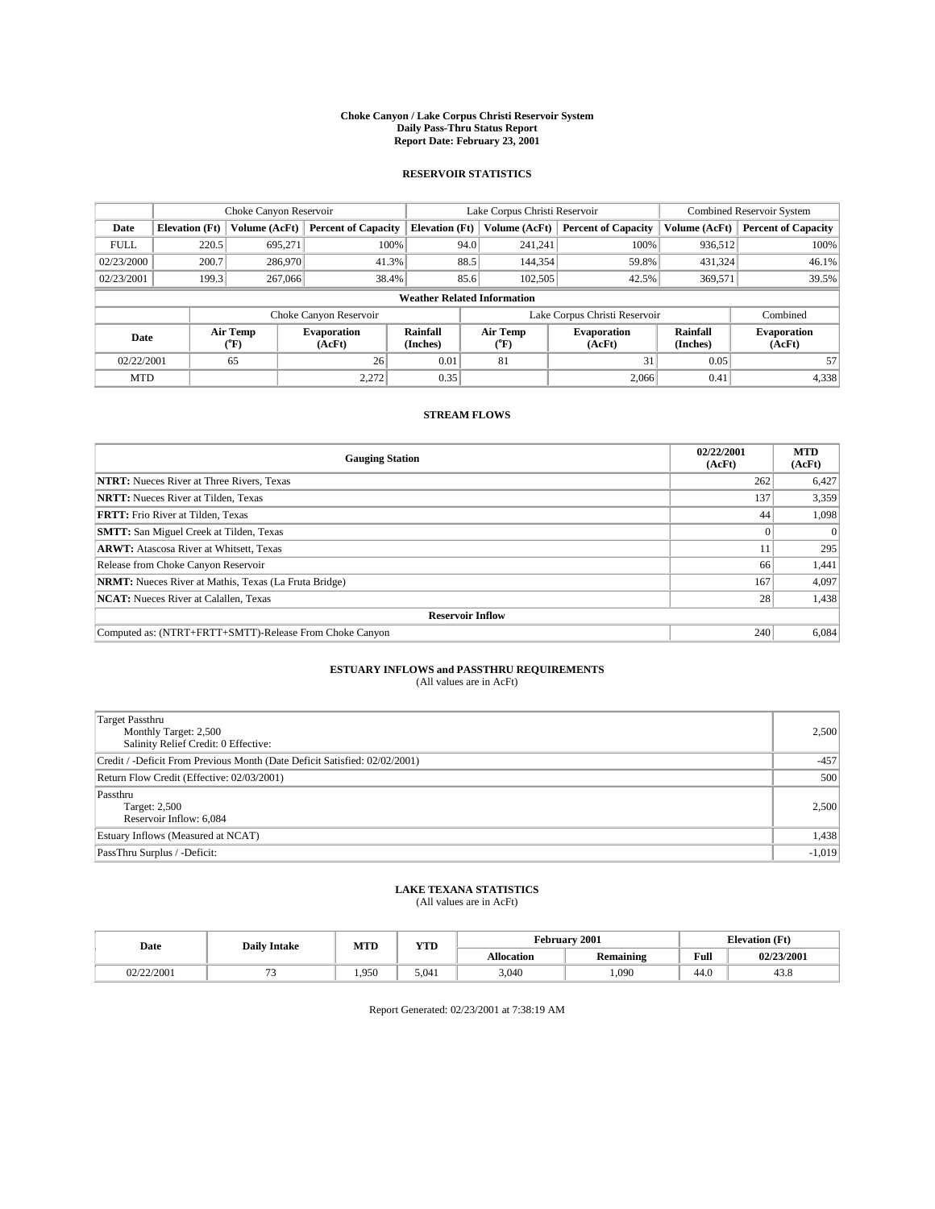#### **Choke Canyon / Lake Corpus Christi Reservoir System Daily Pass-Thru Status Report Report Date: February 23, 2001**

#### **RESERVOIR STATISTICS**

|             | Choke Canyon Reservoir             |                             |                              |                             | Lake Corpus Christi Reservoir |                  |                               |                      | <b>Combined Reservoir System</b> |  |  |
|-------------|------------------------------------|-----------------------------|------------------------------|-----------------------------|-------------------------------|------------------|-------------------------------|----------------------|----------------------------------|--|--|
| Date        | <b>Elevation</b> (Ft)              | Volume (AcFt)               | <b>Percent of Capacity</b>   | <b>Elevation</b> (Ft)       |                               | Volume (AcFt)    | <b>Percent of Capacity</b>    | Volume (AcFt)        | <b>Percent of Capacity</b>       |  |  |
| <b>FULL</b> | 220.5                              | 695,271                     | 100%                         |                             | 94.0                          | 241,241          | 100%                          | 936.512              | 100%                             |  |  |
| 02/23/2000  | 200.7                              | 286,970                     | 41.3%                        |                             | 88.5                          | 144,354          | 59.8%                         | 431,324              | 46.1%                            |  |  |
| 02/23/2001  | 199.3                              | 267,066                     | 38.4%                        |                             | 85.6                          | 102,505          | 42.5%                         | 369,571              | 39.5%                            |  |  |
|             | <b>Weather Related Information</b> |                             |                              |                             |                               |                  |                               |                      |                                  |  |  |
|             |                                    |                             | Choke Canyon Reservoir       |                             |                               |                  | Lake Corpus Christi Reservoir |                      | Combined                         |  |  |
| Date        |                                    | Air Temp<br>${}^{\circ}$ F) | <b>Evaporation</b><br>(AcFt) | <b>Rainfall</b><br>(Inches) |                               | Air Temp<br>("F) | <b>Evaporation</b><br>(AcFt)  | Rainfall<br>(Inches) | <b>Evaporation</b><br>(AcFt)     |  |  |
| 02/22/2001  |                                    | 65                          | 26                           | 0.01                        |                               | 81               | 31                            | 0.05                 | 57                               |  |  |
| <b>MTD</b>  |                                    |                             | 2.272                        | 0.35                        |                               |                  | 2,066                         | 0.41                 | 4,338                            |  |  |

### **STREAM FLOWS**

| <b>Gauging Station</b>                                       | 02/22/2001<br>(AcFt) | <b>MTD</b><br>(AcFt) |  |  |  |  |
|--------------------------------------------------------------|----------------------|----------------------|--|--|--|--|
| <b>NTRT:</b> Nueces River at Three Rivers, Texas             | 262                  | 6,427                |  |  |  |  |
| <b>NRTT:</b> Nueces River at Tilden, Texas                   | 137                  | 3,359                |  |  |  |  |
| <b>FRTT:</b> Frio River at Tilden, Texas                     | 44                   | 1,098                |  |  |  |  |
| <b>SMTT:</b> San Miguel Creek at Tilden, Texas               |                      |                      |  |  |  |  |
| <b>ARWT:</b> Atascosa River at Whitsett, Texas               | 11                   | 295                  |  |  |  |  |
| Release from Choke Canyon Reservoir                          | 66                   | 1,441                |  |  |  |  |
| <b>NRMT:</b> Nueces River at Mathis, Texas (La Fruta Bridge) | 167                  | 4,097                |  |  |  |  |
| <b>NCAT:</b> Nueces River at Calallen, Texas                 | 28 <sub>1</sub>      | 1,438                |  |  |  |  |
| <b>Reservoir Inflow</b>                                      |                      |                      |  |  |  |  |
| Computed as: (NTRT+FRTT+SMTT)-Release From Choke Canyon      | 240                  | 6,084                |  |  |  |  |

### **ESTUARY INFLOWS and PASSTHRU REQUIREMENTS**

(All values are in AcFt)

| Target Passthru<br>Monthly Target: 2,500<br>Salinity Relief Credit: 0 Effective: | 2,500    |
|----------------------------------------------------------------------------------|----------|
| Credit / -Deficit From Previous Month (Date Deficit Satisfied: 02/02/2001)       | $-457$   |
| Return Flow Credit (Effective: 02/03/2001)                                       | 500      |
| Passthru<br>Target: 2,500<br>Reservoir Inflow: 6,084                             | 2,500    |
| Estuary Inflows (Measured at NCAT)                                               | 1,438    |
| PassThru Surplus / -Deficit:                                                     | $-1,019$ |

# **LAKE TEXANA STATISTICS** (All values are in AcFt)

| Date       | <b>Daily Intake</b> | MTD   | <b>WTD</b><br>1 I D | <b>February</b>   | 2001             | <b>Elevation</b> (Ft)  |            |
|------------|---------------------|-------|---------------------|-------------------|------------------|------------------------|------------|
|            |                     |       |                     | <b>Allocation</b> | <b>Remaining</b> | Full                   | 02/23/2001 |
| 02/22/2001 | - -                 | 1.950 | 5.041               | 3,040             | .090             | $\overline{1}$<br>44.U | 45.G       |

Report Generated: 02/23/2001 at 7:38:19 AM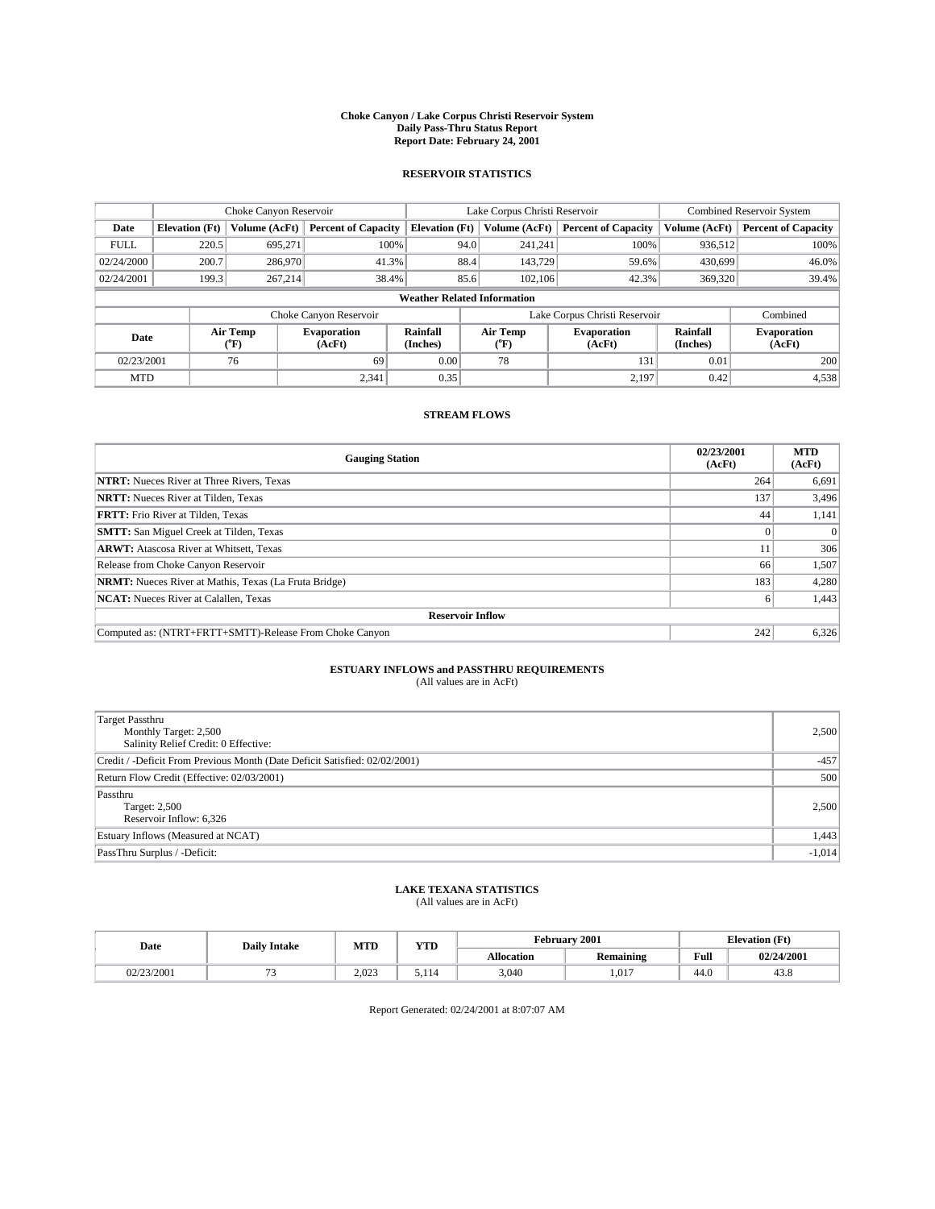#### **Choke Canyon / Lake Corpus Christi Reservoir System Daily Pass-Thru Status Report Report Date: February 24, 2001**

#### **RESERVOIR STATISTICS**

|             | Choke Canyon Reservoir             |                             | Lake Corpus Christi Reservoir |                             |      |                  | <b>Combined Reservoir System</b> |                      |                              |  |
|-------------|------------------------------------|-----------------------------|-------------------------------|-----------------------------|------|------------------|----------------------------------|----------------------|------------------------------|--|
| Date        | <b>Elevation</b> (Ft)              | Volume (AcFt)               | <b>Percent of Capacity</b>    | <b>Elevation</b> (Ft)       |      | Volume (AcFt)    | <b>Percent of Capacity</b>       | Volume (AcFt)        | <b>Percent of Capacity</b>   |  |
| <b>FULL</b> | 220.5                              | 695,271                     | 100%                          |                             | 94.0 | 241,241          | 100%                             | 936.512              | 100%                         |  |
| 02/24/2000  | 200.7                              | 286,970                     | 41.3%                         |                             | 88.4 | 143,729          | 59.6%                            | 430,699              | 46.0%                        |  |
| 02/24/2001  | 199.3                              | 267.214                     | 38.4%                         |                             | 85.6 | 102.106          | 42.3%                            | 369,320              | 39.4%                        |  |
|             | <b>Weather Related Information</b> |                             |                               |                             |      |                  |                                  |                      |                              |  |
|             |                                    |                             | Choke Canyon Reservoir        |                             |      |                  | Lake Corpus Christi Reservoir    |                      | Combined                     |  |
| Date        |                                    | Air Temp<br>${}^{\circ}$ F) | <b>Evaporation</b><br>(AcFt)  | <b>Rainfall</b><br>(Inches) |      | Air Temp<br>("F) | <b>Evaporation</b><br>(AcFt)     | Rainfall<br>(Inches) | <b>Evaporation</b><br>(AcFt) |  |
| 02/23/2001  |                                    | 76                          | 69                            | 0.00                        |      | 78               | 131                              | 0.01                 | 200                          |  |
| <b>MTD</b>  |                                    |                             | 2,341                         | 0.35                        |      |                  | 2,197                            | 0.42                 | 4,538                        |  |

### **STREAM FLOWS**

| <b>Gauging Station</b>                                       | 02/23/2001<br>(AcFt) | <b>MTD</b><br>(AcFt) |  |  |  |  |
|--------------------------------------------------------------|----------------------|----------------------|--|--|--|--|
| <b>NTRT:</b> Nueces River at Three Rivers, Texas             | 264                  | 6,691                |  |  |  |  |
| <b>NRTT:</b> Nueces River at Tilden, Texas                   | 137                  | 3,496                |  |  |  |  |
| <b>FRTT:</b> Frio River at Tilden, Texas                     | 44                   | 1,141                |  |  |  |  |
| <b>SMTT:</b> San Miguel Creek at Tilden, Texas               |                      |                      |  |  |  |  |
| <b>ARWT:</b> Atascosa River at Whitsett, Texas               | 11                   | 306                  |  |  |  |  |
| Release from Choke Canyon Reservoir                          | 66                   | 1,507                |  |  |  |  |
| <b>NRMT:</b> Nueces River at Mathis, Texas (La Fruta Bridge) | 183                  | 4,280                |  |  |  |  |
| <b>NCAT:</b> Nueces River at Calallen, Texas                 | <sub>0</sub>         | 1,443                |  |  |  |  |
| <b>Reservoir Inflow</b>                                      |                      |                      |  |  |  |  |
| Computed as: (NTRT+FRTT+SMTT)-Release From Choke Canyon      | 242                  | 6,326                |  |  |  |  |

### **ESTUARY INFLOWS and PASSTHRU REQUIREMENTS**

(All values are in AcFt)

| Target Passthru<br>Monthly Target: 2,500<br>Salinity Relief Credit: 0 Effective: | 2,500    |
|----------------------------------------------------------------------------------|----------|
| Credit / -Deficit From Previous Month (Date Deficit Satisfied: 02/02/2001)       | $-457$   |
| Return Flow Credit (Effective: 02/03/2001)                                       | 500      |
| Passthru<br>Target: 2,500<br>Reservoir Inflow: 6,326                             | 2,500    |
| Estuary Inflows (Measured at NCAT)                                               | 1,443    |
| PassThru Surplus / -Deficit:                                                     | $-1,014$ |

# **LAKE TEXANA STATISTICS** (All values are in AcFt)

| Date       | <b>Daily Intake</b> | <b>MTD</b> | <b>TIME</b><br>1 I D |                   | February 2001           | <b>Elevation (Ft)</b> |            |
|------------|---------------------|------------|----------------------|-------------------|-------------------------|-----------------------|------------|
|            |                     |            |                      | <b>Allocation</b> | . .<br><b>Remaining</b> | Full                  | 02/24/2001 |
| 02/23/2001 |                     | 2.023      | D.I 14               | 3,040             | 1,017                   | 44.0                  | 45.8       |

Report Generated: 02/24/2001 at 8:07:07 AM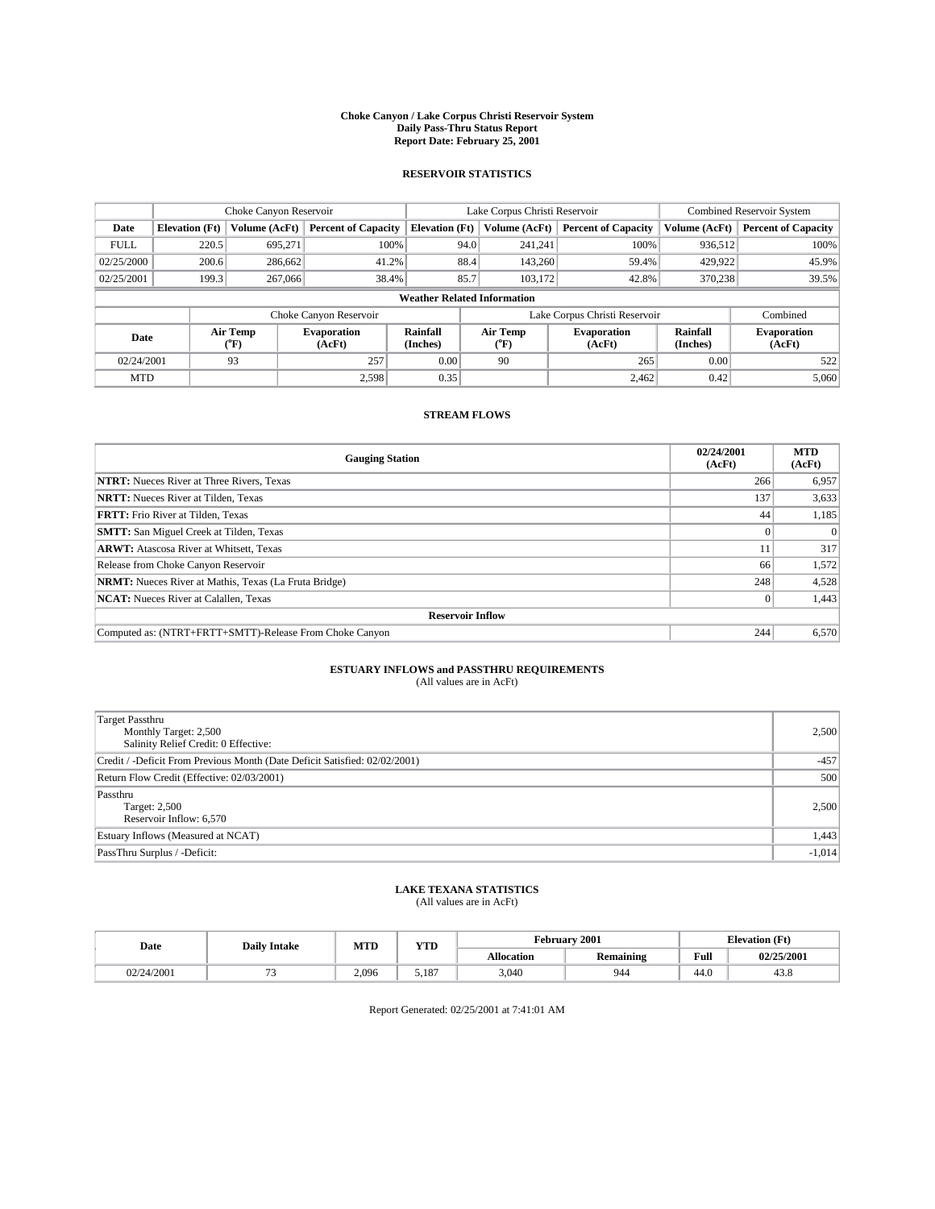#### **Choke Canyon / Lake Corpus Christi Reservoir System Daily Pass-Thru Status Report Report Date: February 25, 2001**

#### **RESERVOIR STATISTICS**

|             | Choke Canyon Reservoir             |                  |                              |                             | Lake Corpus Christi Reservoir | <b>Combined Reservoir System</b> |                      |                              |  |
|-------------|------------------------------------|------------------|------------------------------|-----------------------------|-------------------------------|----------------------------------|----------------------|------------------------------|--|
| Date        | <b>Elevation</b> (Ft)              | Volume (AcFt)    | <b>Percent of Capacity</b>   | <b>Elevation</b> (Ft)       | Volume (AcFt)                 | <b>Percent of Capacity</b>       | Volume (AcFt)        | <b>Percent of Capacity</b>   |  |
| <b>FULL</b> | 220.5                              | 695,271          | 100%                         | 94.0                        | 241,241                       | 100%                             | 936,512              | 100%                         |  |
| 02/25/2000  | 200.6                              | 286,662          | 41.2%                        | 88.4                        | 143,260                       | 59.4%                            | 429,922              | 45.9%                        |  |
| 02/25/2001  | 199.3                              | 267,066          | 38.4%                        | 85.7                        | 103.172                       | 42.8%                            | 370,238              | 39.5%                        |  |
|             | <b>Weather Related Information</b> |                  |                              |                             |                               |                                  |                      |                              |  |
|             |                                    |                  | Choke Canyon Reservoir       |                             |                               | Lake Corpus Christi Reservoir    |                      | Combined                     |  |
| Date        |                                    | Air Temp<br>(°F) | <b>Evaporation</b><br>(AcFt) | <b>Rainfall</b><br>(Inches) | Air Temp<br>("F)              | <b>Evaporation</b><br>(AcFt)     | Rainfall<br>(Inches) | <b>Evaporation</b><br>(AcFt) |  |
| 02/24/2001  |                                    | 93               | 257                          | 0.00                        | 90                            | 265                              | 0.00                 | 522                          |  |
| <b>MTD</b>  |                                    |                  | 2.598                        | 0.35                        |                               | 2,462                            | 0.42                 | 5,060                        |  |

### **STREAM FLOWS**

| <b>Gauging Station</b>                                       | 02/24/2001<br>(AcFt) | <b>MTD</b><br>(AcFt) |  |  |  |  |
|--------------------------------------------------------------|----------------------|----------------------|--|--|--|--|
| <b>NTRT:</b> Nueces River at Three Rivers, Texas             | 266                  | 6,957                |  |  |  |  |
| <b>NRTT:</b> Nueces River at Tilden, Texas                   | 137                  | 3,633                |  |  |  |  |
| <b>FRTT:</b> Frio River at Tilden, Texas                     | 44                   | 1,185                |  |  |  |  |
| <b>SMTT:</b> San Miguel Creek at Tilden, Texas               |                      |                      |  |  |  |  |
| <b>ARWT:</b> Atascosa River at Whitsett, Texas               | 11                   | 317                  |  |  |  |  |
| Release from Choke Canyon Reservoir                          | 66                   | 1,572                |  |  |  |  |
| <b>NRMT:</b> Nueces River at Mathis, Texas (La Fruta Bridge) | 248                  | 4,528                |  |  |  |  |
| <b>NCAT:</b> Nueces River at Calallen, Texas                 |                      | 1,443                |  |  |  |  |
| <b>Reservoir Inflow</b>                                      |                      |                      |  |  |  |  |
| Computed as: (NTRT+FRTT+SMTT)-Release From Choke Canyon      | 244                  | 6,570                |  |  |  |  |

### **ESTUARY INFLOWS and PASSTHRU REQUIREMENTS**<br>(All values are in AcFt)

| Target Passthru<br>Monthly Target: 2,500<br>Salinity Relief Credit: 0 Effective: | 2,500    |
|----------------------------------------------------------------------------------|----------|
| Credit / -Deficit From Previous Month (Date Deficit Satisfied: 02/02/2001)       | $-457$   |
| Return Flow Credit (Effective: 02/03/2001)                                       | 500      |
| Passthru<br>Target: 2,500<br>Reservoir Inflow: 6,570                             | 2,500    |
| Estuary Inflows (Measured at NCAT)                                               | 1,443    |
| PassThru Surplus / -Deficit:                                                     | $-1,014$ |

## **LAKE TEXANA STATISTICS** (All values are in AcFt)

| Date             | <b>Daily Intake</b> | <b>MTD</b> | $\mathbf{v}$<br>1 I D |                   | February 2001           | <b>Elevation (Ft)</b> |            |
|------------------|---------------------|------------|-----------------------|-------------------|-------------------------|-----------------------|------------|
|                  |                     |            |                       | <b>Allocation</b> | . .<br><b>Remaining</b> | Full                  | 02/25/2001 |
| 4/2001<br>02/24/ |                     | 2.096      | <b>7107</b><br>. ۱۵.  | 3,040             | 944                     | 44.0                  | 45.6       |

Report Generated: 02/25/2001 at 7:41:01 AM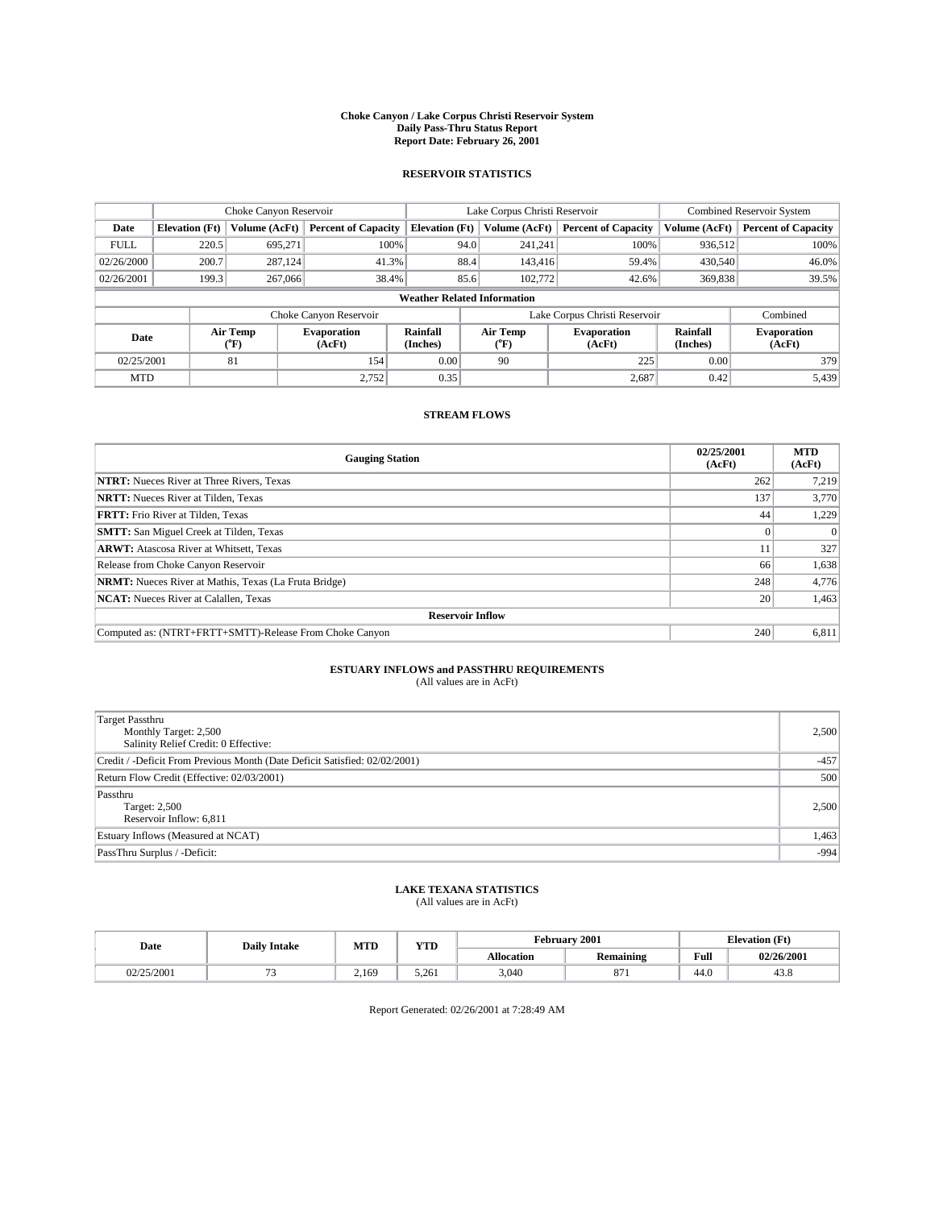#### **Choke Canyon / Lake Corpus Christi Reservoir System Daily Pass-Thru Status Report Report Date: February 26, 2001**

#### **RESERVOIR STATISTICS**

|             | Choke Canyon Reservoir                                              |                  |                              |                             | Lake Corpus Christi Reservoir |                  |                              |                      | <b>Combined Reservoir System</b> |  |  |
|-------------|---------------------------------------------------------------------|------------------|------------------------------|-----------------------------|-------------------------------|------------------|------------------------------|----------------------|----------------------------------|--|--|
| Date        | <b>Elevation</b> (Ft)                                               | Volume (AcFt)    | <b>Percent of Capacity</b>   | <b>Elevation</b> (Ft)       |                               | Volume (AcFt)    | <b>Percent of Capacity</b>   | Volume (AcFt)        | <b>Percent of Capacity</b>       |  |  |
| <b>FULL</b> | 220.5                                                               | 695,271          | 100%                         |                             | 94.0                          | 241,241          | 100%                         | 936,512              | 100%                             |  |  |
| 02/26/2000  | 200.7                                                               | 287.124          | 41.3%                        |                             | 88.4                          | 143,416          | 59.4%                        | 430,540              | 46.0%                            |  |  |
| 02/26/2001  | 199.3                                                               | 267,066          | 38.4%                        |                             | 85.6                          | 102,772          | 42.6%                        | 369,838              | 39.5%                            |  |  |
|             | <b>Weather Related Information</b>                                  |                  |                              |                             |                               |                  |                              |                      |                                  |  |  |
|             | Lake Corpus Christi Reservoir<br>Combined<br>Choke Canyon Reservoir |                  |                              |                             |                               |                  |                              |                      |                                  |  |  |
| Date        |                                                                     | Air Temp<br>(°F) | <b>Evaporation</b><br>(AcFt) | <b>Rainfall</b><br>(Inches) |                               | Air Temp<br>("F) | <b>Evaporation</b><br>(AcFt) | Rainfall<br>(Inches) | <b>Evaporation</b><br>(AcFt)     |  |  |
| 02/25/2001  |                                                                     | 81               | 154                          | 0.00                        |                               | 90               | 225                          | 0.00                 | 379                              |  |  |
| <b>MTD</b>  |                                                                     |                  | 2.752                        | 0.35                        |                               |                  | 2,687                        | 0.42                 | 5,439                            |  |  |

### **STREAM FLOWS**

| <b>Gauging Station</b>                                       | 02/25/2001<br>(AcFt) | <b>MTD</b><br>(AcFt) |  |  |  |  |
|--------------------------------------------------------------|----------------------|----------------------|--|--|--|--|
| <b>NTRT:</b> Nueces River at Three Rivers, Texas             | 262                  | 7,219                |  |  |  |  |
| <b>NRTT:</b> Nueces River at Tilden, Texas                   | 137                  | 3,770                |  |  |  |  |
| <b>FRTT:</b> Frio River at Tilden, Texas                     | 44                   | 1,229                |  |  |  |  |
| <b>SMTT:</b> San Miguel Creek at Tilden, Texas               |                      |                      |  |  |  |  |
| <b>ARWT:</b> Atascosa River at Whitsett, Texas               | 11                   | 327                  |  |  |  |  |
| Release from Choke Canyon Reservoir                          | 66                   | 1,638                |  |  |  |  |
| <b>NRMT:</b> Nueces River at Mathis, Texas (La Fruta Bridge) | 248                  | 4,776                |  |  |  |  |
| <b>NCAT:</b> Nueces River at Calallen, Texas                 | 20                   | 1,463                |  |  |  |  |
| <b>Reservoir Inflow</b>                                      |                      |                      |  |  |  |  |
| Computed as: (NTRT+FRTT+SMTT)-Release From Choke Canyon      | 240                  | 6,811                |  |  |  |  |

## **ESTUARY INFLOWS and PASSTHRU REQUIREMENTS**<br>(All values are in AcFt)

| <b>Target Passthru</b><br>Monthly Target: 2,500<br>Salinity Relief Credit: 0 Effective: | 2,500  |
|-----------------------------------------------------------------------------------------|--------|
| Credit / -Deficit From Previous Month (Date Deficit Satisfied: 02/02/2001)              | $-457$ |
| Return Flow Credit (Effective: 02/03/2001)                                              | 500    |
| Passthru<br>Target: 2,500<br>Reservoir Inflow: 6,811                                    | 2,500  |
| Estuary Inflows (Measured at NCAT)                                                      | 1,463  |
| PassThru Surplus / -Deficit:                                                            | $-994$ |

# **LAKE TEXANA STATISTICS** (All values are in AcFt)

| Date       | <b>Daily Intake</b> | <b>MTD</b> | VTF<br>1 I D |                   | February 2001   | <b>Elevation</b> (Ft) |            |
|------------|---------------------|------------|--------------|-------------------|-----------------|-----------------------|------------|
|            |                     |            |              | <b>Allocation</b> | Remaining       | Full                  | 02/26/2001 |
| 02/25/2001 |                     | 2.169      | 5.261        | 3,040             | $\Omega$<br>011 | 44.U                  | 45.6       |

Report Generated: 02/26/2001 at 7:28:49 AM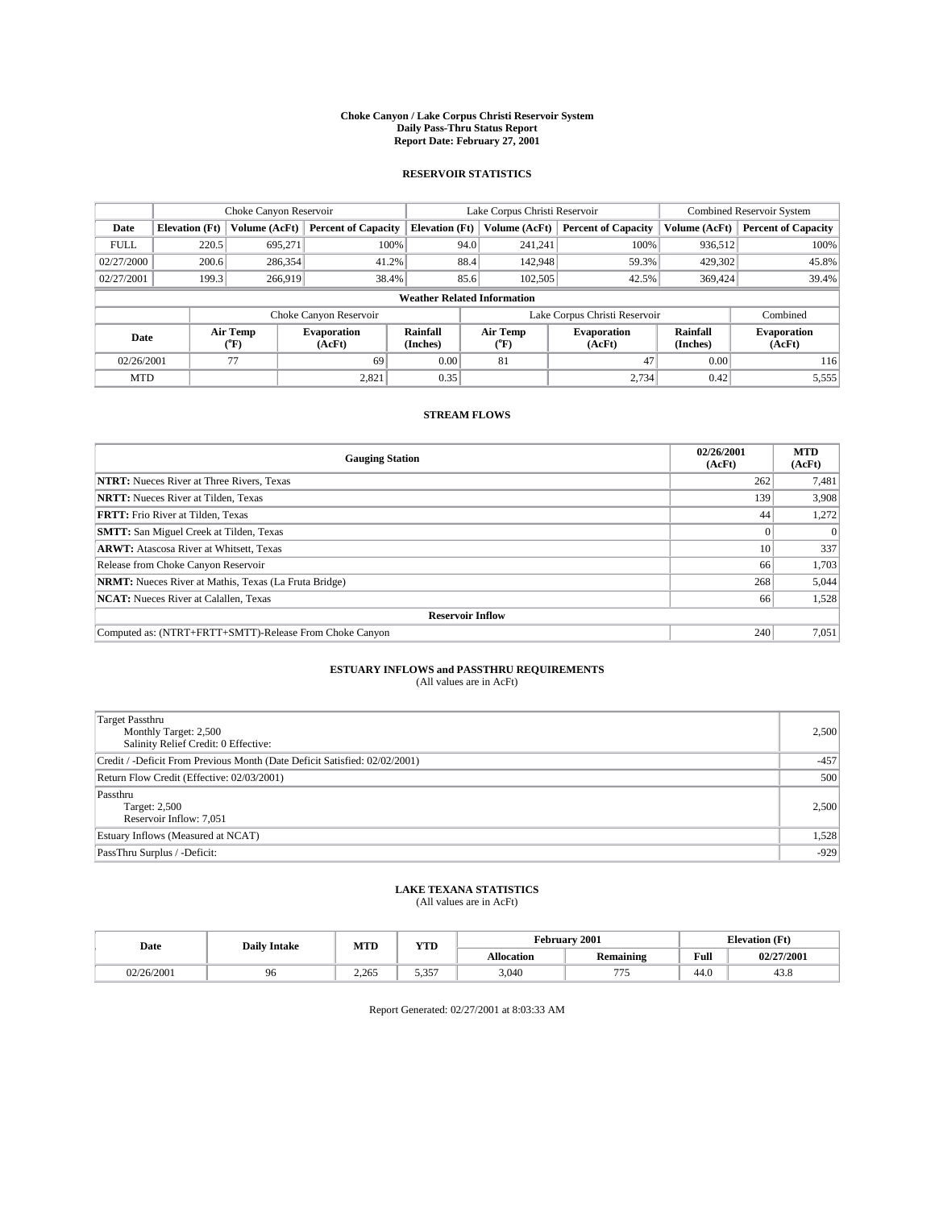#### **Choke Canyon / Lake Corpus Christi Reservoir System Daily Pass-Thru Status Report Report Date: February 27, 2001**

#### **RESERVOIR STATISTICS**

|             | Choke Canyon Reservoir             |                             |                              |                             | Lake Corpus Christi Reservoir |               |                               |                      | <b>Combined Reservoir System</b> |  |
|-------------|------------------------------------|-----------------------------|------------------------------|-----------------------------|-------------------------------|---------------|-------------------------------|----------------------|----------------------------------|--|
| Date        | <b>Elevation</b> (Ft)              | Volume (AcFt)               | <b>Percent of Capacity</b>   | <b>Elevation</b> (Ft)       |                               | Volume (AcFt) | <b>Percent of Capacity</b>    | Volume (AcFt)        | <b>Percent of Capacity</b>       |  |
| <b>FULL</b> | 220.5                              | 695,271                     | 100%                         |                             | 94.0                          | 241,241       | 100%                          | 936.512              | 100%                             |  |
| 02/27/2000  | 200.6                              | 286,354                     | 41.2%                        |                             | 88.4                          | 142,948       | 59.3%                         | 429,302              | 45.8%                            |  |
| 02/27/2001  | 199.3                              | 266,919                     | 38.4%                        |                             | 85.6                          | 102,505       | 42.5%                         | 369,424              | 39.4%                            |  |
|             | <b>Weather Related Information</b> |                             |                              |                             |                               |               |                               |                      |                                  |  |
|             |                                    |                             | Choke Canyon Reservoir       |                             |                               |               | Lake Corpus Christi Reservoir |                      | Combined                         |  |
| Date        |                                    | Air Temp<br>${}^{\circ}$ F) | <b>Evaporation</b><br>(AcFt) | <b>Rainfall</b><br>(Inches) | Air Temp<br>("F)              |               | <b>Evaporation</b><br>(AcFt)  | Rainfall<br>(Inches) | <b>Evaporation</b><br>(AcFt)     |  |
| 02/26/2001  |                                    | 77                          | 69                           | 0.00                        | 81                            |               | 47                            | 0.00                 | 116                              |  |
| <b>MTD</b>  |                                    |                             | 2,821                        | 0.35                        |                               |               | 2,734                         | 0.42                 | 5,555                            |  |

### **STREAM FLOWS**

| <b>Gauging Station</b>                                       | 02/26/2001<br>(AcFt) | <b>MTD</b><br>(AcFt) |  |  |  |
|--------------------------------------------------------------|----------------------|----------------------|--|--|--|
| <b>NTRT:</b> Nueces River at Three Rivers, Texas             | 262                  | 7,481                |  |  |  |
| <b>NRTT:</b> Nueces River at Tilden, Texas                   | 139                  | 3,908                |  |  |  |
| <b>FRTT:</b> Frio River at Tilden, Texas                     | 44                   | 1,272                |  |  |  |
| <b>SMTT:</b> San Miguel Creek at Tilden, Texas               |                      |                      |  |  |  |
| <b>ARWT:</b> Atascosa River at Whitsett, Texas               | 10 <sup>1</sup>      | 337                  |  |  |  |
| Release from Choke Canyon Reservoir                          | 66                   | 1,703                |  |  |  |
| <b>NRMT:</b> Nueces River at Mathis, Texas (La Fruta Bridge) | 268                  | 5,044                |  |  |  |
| <b>NCAT:</b> Nueces River at Calallen, Texas                 | 66                   | 1,528                |  |  |  |
| <b>Reservoir Inflow</b>                                      |                      |                      |  |  |  |
| Computed as: (NTRT+FRTT+SMTT)-Release From Choke Canyon      | 240                  | 7,051                |  |  |  |

## **ESTUARY INFLOWS and PASSTHRU REQUIREMENTS**<br>(All values are in AcFt)

| <b>Target Passthru</b><br>Monthly Target: 2,500<br>Salinity Relief Credit: 0 Effective: | 2,500  |
|-----------------------------------------------------------------------------------------|--------|
| Credit / -Deficit From Previous Month (Date Deficit Satisfied: 02/02/2001)              | $-457$ |
| Return Flow Credit (Effective: 02/03/2001)                                              | 500    |
| Passthru<br>Target: 2,500<br>Reservoir Inflow: 7,051                                    | 2,500  |
| Estuary Inflows (Measured at NCAT)                                                      | 1,528  |
| PassThru Surplus / -Deficit:                                                            | $-929$ |

# **LAKE TEXANA STATISTICS** (All values are in AcFt)

| Date       | <b>Daily Intake</b> | <b>MTD</b> | VTF<br>1 I D  |                   | February 2001 | <b>Elevation</b> (Ft) |            |
|------------|---------------------|------------|---------------|-------------------|---------------|-----------------------|------------|
|            |                     |            |               | <b>Allocation</b> | Remaining     | Full                  | 02/27/2001 |
| 02/26/2001 | 96<br>, J           | 2.265      | - ^ - -<br>ັ້ | 3,040             | $- -$         | 44.U                  | 45.6       |

Report Generated: 02/27/2001 at 8:03:33 AM